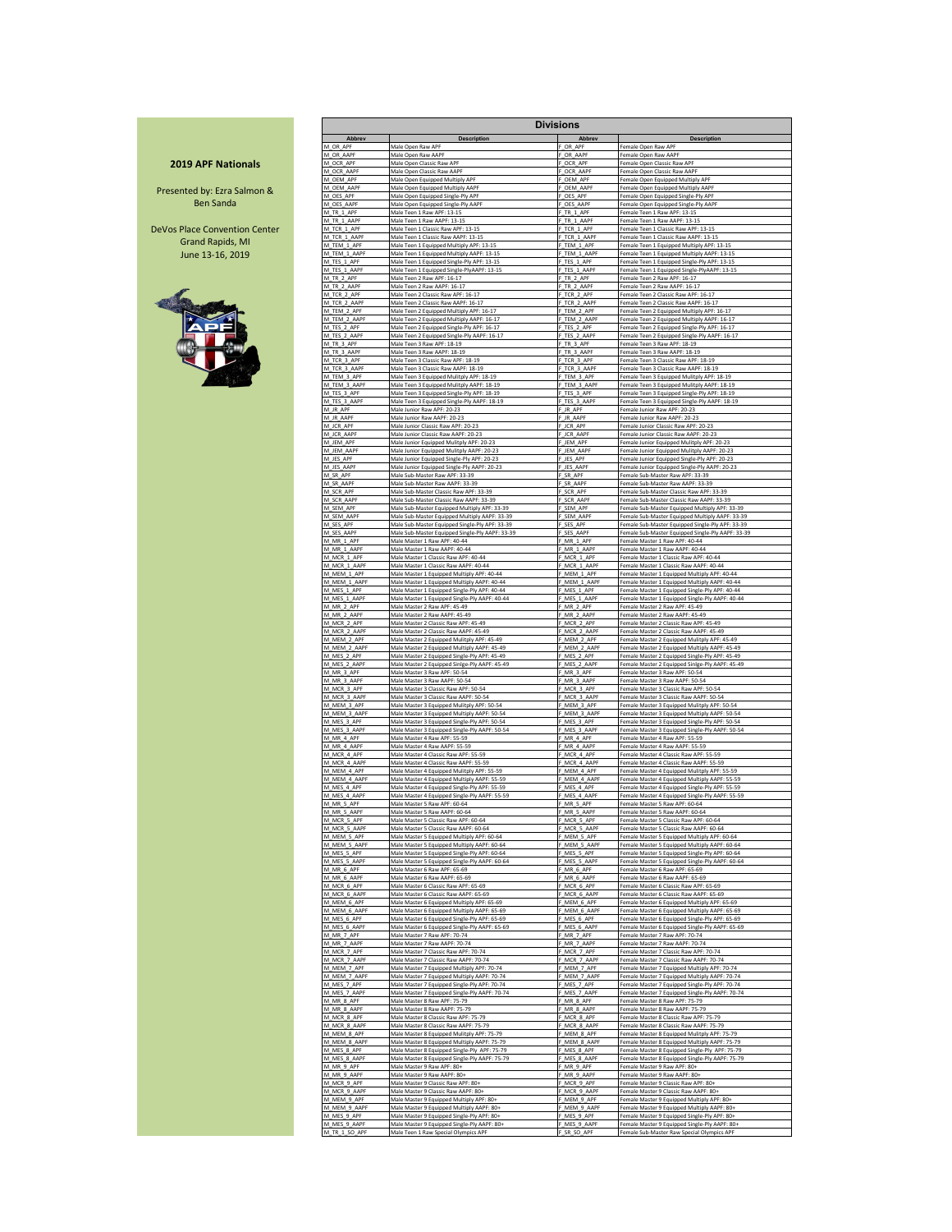## **2019 APF Nationals**

Presented by: Ezra Salmon & Ben Sanda

DeVos Place Convention Center Grand Rapids, MI June 13-16, 2019



|                             |                                                                                             | <b>Divisions</b>             |                                                                                                 |
|-----------------------------|---------------------------------------------------------------------------------------------|------------------------------|-------------------------------------------------------------------------------------------------|
| Abbrev                      | <b>Description</b>                                                                          | Abbrev                       | <b>Description</b>                                                                              |
| M OR APF                    | Male Open Raw APF                                                                           | OR APF                       | Female Open Raw APF                                                                             |
| M OR AAPF                   | Male Open Raw AAPF                                                                          | F OR AAPF                    | Female Open Raw AAPF                                                                            |
| M OCR APF                   | Male Open Classic Raw APF                                                                   | F_OCR_APF                    | Female Open Classic Raw APF                                                                     |
| M OCR AAPF                  | Male Open Classic Raw AAPF                                                                  | OCR AAP                      | Female Open Classic Raw AAPF                                                                    |
| M_OEM_APF                   | Male Open Equipped Multiply APF                                                             | F_OEM_APF                    | Female Open Equipped Multiply APF                                                               |
| M_OEM_AAPF                  | Male Open Equipped Multiply AAPF                                                            | F_OEM_AAPF                   | Female Open Equipped Multiply AAPF                                                              |
| M_OES_APF<br>M OES AAPF     | Male Open Equipped Single-Ply APF                                                           | F_OES_APF<br>F OES AAPF      | Female Open Equipped Single-Ply APF                                                             |
| M_TR_1_APF                  | Male Open Equipped Single-Ply AAPF<br>Male Teen 1 Raw APF: 13-15                            | F_TR_1_APF                   | Female Open Equipped Single-Ply AAPF<br>Female Teen 1 Raw APF: 13-15                            |
| M TR 1 AAPF                 | Male Teen 1 Raw AAPF: 13-15                                                                 | F TR 1 AAPE                  | Female Teen 1 Raw AAPF: 13-15                                                                   |
| M_TCR_1_APF                 | Male Teen 1 Classic Raw APF: 13-15                                                          | F TCR 1 APF                  | Female Teen 1 Classic Raw APF: 13-15                                                            |
| M_TCR_1_AAPF                | Male Teen 1 Classic Raw AAPF: 13-15                                                         | F_TCR_1_AAPF                 | Female Teen 1 Classic Raw AAPF: 13-15                                                           |
| M_TEM_1_APF                 | Male Teen 1 Equipped Multiply APF: 13-15                                                    | F_TEM_1_APF                  | Female Teen 1 Equipped Multiply APF: 13-15                                                      |
| M_TEM_1_AAPF                | Male Teen 1 Equipped Multiply AAPF: 13-15                                                   | F_TEM_1_AAP                  | Female Teen 1 Equipped Multiply AAPF: 13-15                                                     |
| M_TES_1_APF                 | Male Teen 1 Equipped Single-Ply APF: 13-15                                                  | F_TES_1_APF                  | Female Teen 1 Equipped Single-Ply APF: 13-15                                                    |
| M_TES_1_AAPF                | Male Teen 1 Equipped Single-PlyAAPF: 13-15                                                  | F_TES_1_AAPF                 | Female Teen 1 Equipped Single-PlyAAPF: 13-15                                                    |
| M_TR_2_APF                  | Male Teen 2 Raw APF: 16-17                                                                  | TR_2_APF                     | Female Teen 2 Raw APF: 16-17                                                                    |
| M_TR_2_AAPF                 | Male Teen 2 Raw AAPF: 16-17                                                                 | F TR 2 AAPF                  | Female Teen 2 Raw AAPF: 16-17                                                                   |
| M_TCR_2_APF                 | Male Teen 2 Classic Raw APF: 16-17                                                          | F_TCR_2_APF                  | Female Teen 2 Classic Raw APF: 16-17                                                            |
| M_TCR_2_AAPF                | Male Teen 2 Classic Raw AAPF: 16-17                                                         | F TCR 2 AAPF                 | Female Teen 2 Classic Raw AAPF: 16-17                                                           |
| M TEM 2 APF                 | Male Teen 2 Equipped Multiply APF: 16-17                                                    | F TEM 2 APF                  | Female Teen 2 Equipped Multiply APF: 16-17                                                      |
| M TEM 2 AAPF                | Male Teen 2 Equipped Multiply AAPF: 16-17                                                   | F_TEM_2_AAP                  | Female Teen 2 Equipped Multiply AAPF: 16-17                                                     |
| M TES 2 APF                 | Male Teen 2 Equipped Single-Ply APF: 16-17                                                  | F_TES_2_APF                  | Female Teen 2 Equipped Single-Ply APF: 16-17                                                    |
| M_TES_2_AAPF                | Male Teen 2 Equipped Single-Ply AAPF: 16-17                                                 | TES_2_AAPF                   | Female Teen 2 Equipped Single-Ply AAPF: 16-17                                                   |
| M_TR_3_APF                  | Male Teen 3 Raw APF: 18-19                                                                  | TR_3_APF                     | Female Teen 3 Raw APF: 18-19                                                                    |
| M_TR_3_AAPF                 | Male Teen 3 Raw AAPF: 18-19                                                                 | TR_3_AAPF                    | Female Teen 3 Raw AAPF: 18-19                                                                   |
| M TCR 3 APF                 | Male Teen 3 Classic Raw APF: 18-19                                                          | F TCR 3 APF                  | Female Teen 3 Classic Raw APF: 18-19                                                            |
| M_TCR_3_AAPF                | Male Teen 3 Classic Raw AAPF: 18-19                                                         | F_TCR_3_AAPF                 | Female Teen 3 Classic Raw AAPF: 18-19                                                           |
| M_TEM_3_APF                 | Male Teen 3 Equipped Mulitply APF: 18-19                                                    | TEM 3 APF                    | Female Teen 3 Equipped Mulitply APF: 18-19                                                      |
| M_TEM_3_AAPF                | Male Teen 3 Equipped Mulitply AAPF: 18-19                                                   | F_TEM_3_AAPF                 | Female Teen 3 Equipped Mulitply AAPF: 18-19                                                     |
| M_TES_3_APF                 | Male Teen 3 Equipped Single-Ply APF: 18-19                                                  | F TES 3 APF                  | Female Teen 3 Equipped Single-Ply APF: 18-19                                                    |
| M_TES_3_AAPF                | Male Teen 3 Equipped Single-Ply AAPF: 18-19                                                 | F_TES_3_AAPF                 | Female Teen 3 Equipped Single-Ply AAPF: 18-19                                                   |
| M JR APF                    | Male Junior Raw APF: 20-23                                                                  | JR APF                       | Female Junior Raw APF: 20-23                                                                    |
| M JR AAPF                   | Male Junior Raw AAPF: 20-23                                                                 | JR AAPF                      | Female Junior Raw AAPF: 20-23                                                                   |
| M JCR APF                   | Male Junior Classic Raw APF: 20-23                                                          | F JCR APF                    | Female Junior Classic Raw APF: 20-23                                                            |
| M_JCR_AAPF                  | Male Junior Classic Raw AAPF: 20-23                                                         | F_JCR_AAPF                   | Female Junior Classic Raw AAPF: 20-23                                                           |
| M JEM APF                   | Male Junior Equipped Mulitply APF: 20-23                                                    | F JEM APF                    | Female Junior Equipped Mulitply APF: 20-23                                                      |
| M JEM AAPE                  | Male Junior Equipped Mulitply AAPF: 20-23                                                   | F_JEM_AAP                    | Female Junior Equipped Mulitply AAPF: 20-23                                                     |
| M_JES_APF                   | Male Junior Equipped Single-Ply APF: 20-23                                                  | F_JES_APF                    | Female Junior Equipped Single-Ply APF: 20-23                                                    |
| M JES AAPF                  | Male Junior Equipped Single-Ply AAPF: 20-23                                                 | F JES AAPF                   | Female Junior Equipped Single-Ply AAPF: 20-23                                                   |
| M_SR_APF                    | Male Sub-Master Raw APF: 33-39                                                              | F SR APF                     | Female Sub-Master Raw APF: 33-39                                                                |
| M_SR_AAPF                   | Male Sub-Master Raw AAPF: 33-39                                                             | F_SR_AAPF                    | Female Sub-Master Raw AAPF: 33-39                                                               |
| M_SCR_APF                   | Male Sub-Master Classic Raw APF: 33-39                                                      | F_SCR_APF                    | Female Sub-Master Classic Raw APF: 33-39                                                        |
| M SCR AAPF                  | Male Sub-Master Classic Raw AAPF: 33-39                                                     | F_SCR_AAPF                   | Female Sub-Master Classic Raw AAPF: 33-39                                                       |
| M_SEM_APF                   | Male Sub-Master Equipped Multiply APF: 33-39                                                | F SEM APF                    | Female Sub-Master Equipped Multiply APF: 33-39                                                  |
| M SEM AAPF                  | Male Sub-Master Equipped Multiply AAPF: 33-39                                               | F_SEM_AAPF                   | Female Sub-Master Equipped Multiply AAPF: 33-39                                                 |
| M SES APF                   | Male Sub-Master Equipped Single-Ply APF: 33-39                                              | F SES APF                    | Female Sub-Master Equipped Single-Ply APF: 33-39                                                |
| M SES AAPF                  | Male Sub-Master Equipped Single-Ply AAPF: 33-39<br>Male Master 1 Raw APF: 40-44             | F_SES_AAPF                   | Female Sub-Master Equipped Single-Ply AAPF: 33-39<br>Female Master 1 Raw APF: 40-44             |
| M_MR_1_APF<br>M MR 1 AAPF   | Male Master 1 Raw AAPF: 40-44                                                               | F_MR_1_APF<br>F MR 1 AAPF    | Female Master 1 Raw AAPF: 40-44                                                                 |
| M_MCR_1_APF                 | Male Master 1 Classic Raw APF: 40-44                                                        | F_MCR_1_APF                  | Female Master 1 Classic Raw APF: 40-44                                                          |
| M MCR 1 AAPF                | Male Master 1 Classic Raw AAPF: 40-44                                                       | F MCR 1 AAPF                 | Female Master 1 Classic Raw AAPF: 40-44                                                         |
| M_MEM_1_APF                 | Male Master 1 Equipped Multiply APF: 40-44                                                  | F_MEM_1_APF                  | Female Master 1 Equipped Multiply APF: 40-44                                                    |
| M_MEM_1_AAPF                | Male Master 1 Equipped Multiply AAPF: 40-44                                                 | F MEM 1 AAPF                 | Female Master 1 Equipped Multiply AAPF: 40-44                                                   |
| M_MES_1_APF                 | Male Master 1 Equipped Single-Ply APF: 40-44                                                | F_MES_1_APF                  | Female Master 1 Equipped Single-Ply APF: 40-44                                                  |
| M MES 1 AAPF                | Male Master 1 Equipped Single-Ply AAPF: 40-44                                               | F MES 1 AAPF                 | Female Master 1 Equipped Single-Ply AAPF: 40-44                                                 |
| M_MR_2_APF                  | Male Master 2 Raw APF: 45-49                                                                | F_MR_2_APF                   | Female Master 2 Raw APF: 45-49                                                                  |
| M_MR_2_AAPF                 | Male Master 2 Raw AAPF: 45-49                                                               | F_MR_2_AAPF                  | Female Master 2 Raw AAPF: 45-49                                                                 |
| M_MCR_2_APF                 | Male Master 2 Classic Raw APF: 45-49                                                        | F_MCR_2_APF                  | Female Master 2 Classic Raw APF: 45-49                                                          |
| M_MCR_2_AAPF                | Male Master 2 Classic Raw AAPF: 45-49                                                       | F_MCR_2_AAPF                 | Female Master 2 Classic Raw AAPF: 45-49                                                         |
| M_MEM_2_APF                 | Male Master 2 Equipped Mulitply APF: 45-49                                                  | F_MEM_2_APF                  | Female Master 2 Equipped Mulitply APF: 45-49                                                    |
| M MEM 2 AAPF                | Male Master 2 Equipped Multiply AAPF: 45-49                                                 | F MEM 2 AAPF                 | Female Master 2 Equipped Multiply AAPF: 45-49                                                   |
| M_MES_2_APF                 | Male Master 2 Equipped Single-Ply APF: 45-49                                                | F_MES_2_APF                  | Female Master 2 Equipped Single-Ply APF: 45-49                                                  |
| M_MES_2_AAPF                | Male Master 2 Equipped Sinlge-Ply AAPF: 45-49                                               | F_MES_2_AAPF                 | Female Master 2 Equipped Sinlge-Ply AAPF: 45-49                                                 |
| M_MR_3_APF                  | Male Master 3 Raw APF: 50-54                                                                | F_MR_3_APF                   | Female Master 3 Raw APF: 50-54                                                                  |
| M_MR_3_AAPF                 | Male Master 3 Raw AAPF: 50-54                                                               | F_MR_3_AAPF                  | Female Master 3 Raw AAPF: 50-54                                                                 |
| M_MCR_3_APF                 | Male Master 3 Classic Raw APF: 50-54                                                        | F_MCR_3_APF                  | Female Master 3 Classic Raw APF: 50-54                                                          |
| M_MCR_3_AAPF                | Male Master 3 Classic Raw AAPF: 50-54                                                       | F_MCR_3_AAPF                 | Female Master 3 Classic Raw AAPF: 50-54                                                         |
| M_MEM_3_APF                 | Male Master 3 Equipped Mulitply APF: 50-54                                                  | F_MEM_3_APF                  | Female Master 3 Equipped Mulitply APF: 50-54                                                    |
| M_MEM_3_AAPF                | Male Master 3 Equipped Multiply AAPF: 50-54                                                 | MEM_3_AAPF                   | Female Master 3 Equipped Multiply AAPF: 50-54                                                   |
| M_MES_3_APF                 | Male Master 3 Equipped Single-Ply APF: 50-54                                                | MES_3_APF                    | Female Master 3 Equipped Single-Ply APF: 50-54                                                  |
| M_MES_3_AAPF                | Male Master 3 Equipped Single-Ply AAPF: 50-54                                               | F_MES_3_AAPF                 | Female Master 3 Equipped Single-Ply AAPF: 50-54                                                 |
| M MR 4 APF                  | Male Master 4 Raw APF: 55-59                                                                | F MR 4 APF                   | Female Master 4 Raw APF: 55-59                                                                  |
| M_MR_4_AAPF                 | Male Master 4 Raw AAPF: 55-59                                                               | F_MR_4_AAPF                  | Female Master 4 Raw AAPF: 55-59                                                                 |
| M MCR 4 APF                 | Male Master 4 Classic Raw APF: 55-59                                                        | F MCR 4 APF                  | Female Master 4 Classic Raw APF: 55-59                                                          |
| M_MCR_4_AAPF                | Male Master 4 Classic Raw AAPF: 55-59                                                       | F MCR 4 AAPI                 | Female Master 4 Classic Raw AAPF: 55-59                                                         |
| M MEM 4 APF                 | Male Master 4 Equipped Mulitply APF: 55-59                                                  | F MEM 4 APF                  | Female Master 4 Equipped Mulitply APF: 55-59                                                    |
| M_MEM_4_AAPF                | Male Master 4 Equipped Multiply AAPF: 55-59                                                 | F_MEM_4_AAPF                 | Female Master 4 Equipped Multiply AAPF: 55-59                                                   |
| M MES 4 APF                 | Male Master 4 Equipped Single-Ply APF: 55-59                                                | MES 4 APF                    | Female Master 4 Equipped Single-Ply APF: 55-59                                                  |
| M_MES_4_AAPF                | Male Master 4 Equipped Single-Ply AAPF: 55-59                                               | F_MES_4_AAPF                 | Female Master 4 Equipped Single-Ply AAPF: 55-59                                                 |
| M_MR_5_APF                  | Male Master 5 Raw APF: 60-64                                                                | F_MR_5_APF                   | Female Master 5 Raw APF: 60-64                                                                  |
| M_MR_5_AAPF                 | Male Master 5 Raw AAPF: 60-64                                                               | F_MR_5_AAPF                  | Female Master 5 Raw AAPF: 60-64                                                                 |
| M MCR 5 APF                 | Male Master 5 Classic Raw APF: 60-64                                                        | MCR_5_API                    | Female Master 5 Classic Raw APF: 60-64                                                          |
| M MCR 5 AAPF                | Male Master 5 Classic Raw AAPF: 60-64                                                       | F_MCR_5_AAPF                 | Female Master 5 Classic Raw AAPF: 60-64                                                         |
| M_MEM_5_APF                 | Male Master 5 Equipped Multiply APF: 60-64                                                  | F_MEM_5_APF                  | Female Master 5 Equipped Multiply APF: 60-64                                                    |
| M_MEM_5_AAPF                | Male Master 5 Equipped Multiply AAPF: 60-64                                                 | F_MEM_5_AAPF                 | Female Master 5 Equipped Multiply AAPF: 60-64                                                   |
| M_MES_5_APF                 | Male Master 5 Equipped Single-Ply APF: 60-64                                                | F_MES_5_APF                  | Female Master 5 Equipped Single-Ply APF: 60-64                                                  |
| M MES 5 AAPF                | Male Master 5 Equipped Single-Ply AAPF: 60-64                                               | F_MES_5_AAPF                 | Female Master 5 Equipped Single-Ply AAPF: 60-64                                                 |
| M_MR_6_APF                  | Male Master 6 Raw APF: 65-69                                                                | F_MR_6_APF                   | Female Master 6 Raw APF: 65-69                                                                  |
| M_MR_6_AAPF                 | Male Master 6 Raw AAPF: 65-69                                                               | F MR 6 AAPF                  | Female Master 6 Raw AAPF: 65-69                                                                 |
| M_MCR_6_APF                 | Male Master 6 Classic Raw APF: 65-69                                                        | F MCR 6 APF                  | Female Master 6 Classic Raw APF: 65-69                                                          |
| M MCR 6 AAPF<br>M_MEM_6_APF | Male Master 6 Classic Raw AAPF: 65-69<br>Male Master 6 Equipped Multiply APF: 65-69         | MCR 6 AAPF<br>MEM_6_APF<br>я | Female Master 6 Classic Raw AAPF: 65-69<br>Female Master 6 Equipped Multiply APF: 65-69         |
| M MEM 6 AAPF                | Male Master 6 Equipped Multiply AAPF: 65-69                                                 | F_MEM_6_AAPF                 | Female Master 6 Equipped Multiply AAPF: 65-69                                                   |
| M_MES_6_APF                 | Male Master 6 Equipped Single-Ply APF: 65-69                                                | F_MES_6_APF                  | Female Master 6 Equipped Single-Ply APF: 65-69                                                  |
| M MES 6 AAPF<br>M MR 7 APF  | Male Master 6 Equipped Single-Ply AAPF: 65-69                                               | MES 6 AAPF                   | Female Master 6 Equipped Single-Ply AAPF: 65-69                                                 |
| M MR 7 AAPF                 | Male Master 7 Raw APF: 70-74                                                                | F_MR_7_APF                   | Female Master 7 Raw APF: 70-74                                                                  |
|                             | Male Master 7 Raw AAPF: 70-74                                                               | F MR 7 AAPF                  | Female Master 7 Raw AAPF: 70-74                                                                 |
| M_MCR_7_APF                 | Male Master 7 Classic Raw APF: 70-74                                                        | F_MCR_7_APF                  | Female Master 7 Classic Raw APF: 70-74                                                          |
| M MCR 7 AAPF                | Male Master 7 Classic Raw AAPF: 70-74                                                       | MCR 7 AAPF                   | Female Master 7 Classic Raw AAPF: 70-74                                                         |
| M_MEM_7_APF<br>M MEM 7 AAPF | Male Master 7 Equipped Multiply APF: 70-74                                                  | F_MEM_7_APF<br>F MEM 7 AAPF  | Female Master 7 Equipped Multiply APF: 70-74                                                    |
| M_MES_7_APF                 | Male Master 7 Equipped Multiply AAPF: 70-74<br>Male Master 7 Equipped Single-Ply APF: 70-74 | F MES 7 APF                  | Female Master 7 Equipped Multiply AAPF: 70-74<br>Female Master 7 Equipped Single-Ply APF: 70-74 |
| M_MES_7_AAPF                | Male Master 7 Equipped Single-Ply AAPF: 70-74                                               | F_MES_7_AAPF                 | Female Master 7 Equipped Single-Ply AAPF: 70-74                                                 |
| M MR 8 APF                  | Male Master 8 Raw APF: 75-79                                                                | F MR 8 APF                   | Female Master 8 Raw APF: 75-79                                                                  |
| M_MR_8_AAPF                 | Male Master 8 Raw AAPF: 75-79                                                               | F_MR_8_AAPF                  | Female Master 8 Raw AAPF: 75-79                                                                 |
| M_MCR_8_APF                 | Male Master 8 Classic Raw APF: 75-79                                                        | F MCR 8 APF                  | Female Master 8 Classic Raw APF: 75-79                                                          |
| M MCR 8 AAPF                | Male Master 8 Classic Raw AAPF: 75-79                                                       | F_MCR_8_AAPF                 | Female Master 8 Classic Raw AAPF: 75-79                                                         |
| M_MEM_8_APF                 | Male Master 8 Equipped Mulitply APF: 75-79                                                  | F_MEM_8_APF                  | Female Master 8 Equipped Mulitply APF: 75-79                                                    |
| M_MEM_8_AAPF                | Male Master 8 Equipped Multiply AAPF: 75-79                                                 | F_MEM_8_AAPF                 | Female Master 8 Equipped Multiply AAPF: 75-79                                                   |
| M MES 8 APF                 | Male Master 8 Equipped Single-Ply APF: 75-79                                                | F_MES_8_APF                  | Female Master 8 Equipped Single-Ply APF: 75-79                                                  |
| M_MES_8_AAPF                | Male Master 8 Equipped Single-Ply AAPF: 75-79                                               | F_MES_8_AAPF                 | Female Master 8 Equipped Single-Ply AAPF: 75-79                                                 |
| M_MR_9_APF                  | Male Master 9 Raw APF: 80+                                                                  | F_MR_9_APF                   | Female Master 9 Raw APF: 80+                                                                    |
| M_MR_9_AAPF                 | Male Master 9 Raw AAPF: 80+                                                                 | F_MR_9_AAPF                  | Female Master 9 Raw AAPF: 80+                                                                   |
| M_MCR_9_APF                 | Male Master 9 Classic Raw APF: 80+                                                          | F_MCR_9_APF                  | Female Master 9 Classic Raw APF: 80+                                                            |
| M_MCR_9_AAPF                | Male Master 9 Classic Raw AAPF: 80+                                                         | MCR_9_AAPF                   | Female Master 9 Classic Raw AAPF: 80+                                                           |
| M_MEM_9_APF                 | Male Master 9 Equipped Multiply APF: 80+                                                    | MEM_9_APF                    | Female Master 9 Equipped Multiply APF: 80+                                                      |
| M_MEM_9_AAPF                | Male Master 9 Equipped Multiply AAPF: 80-                                                   | MEM 9 AAPF                   | Female Master 9 Equipped Multiply AAPF: 80+                                                     |
| M MES 9 APF                 | Male Master 9 Equipped Single-Ply APF: 80+                                                  | F MES 9 APF                  | Female Master 9 Equipped Single-Ply APF: 80+                                                    |
| M_MES_9_AAPF                | Male Master 9 Equipped Single-Ply AAPF: 80+                                                 | F MES 9 AAPF                 | Female Master 9 Equipped Single-Ply AAPF: 80+                                                   |
| M_TR_1_SO_APF               | Male Teen 1 Raw Special Olympics APF                                                        | F_SR_SO_APF                  | Female Sub-Master Raw Special Olympics APF                                                      |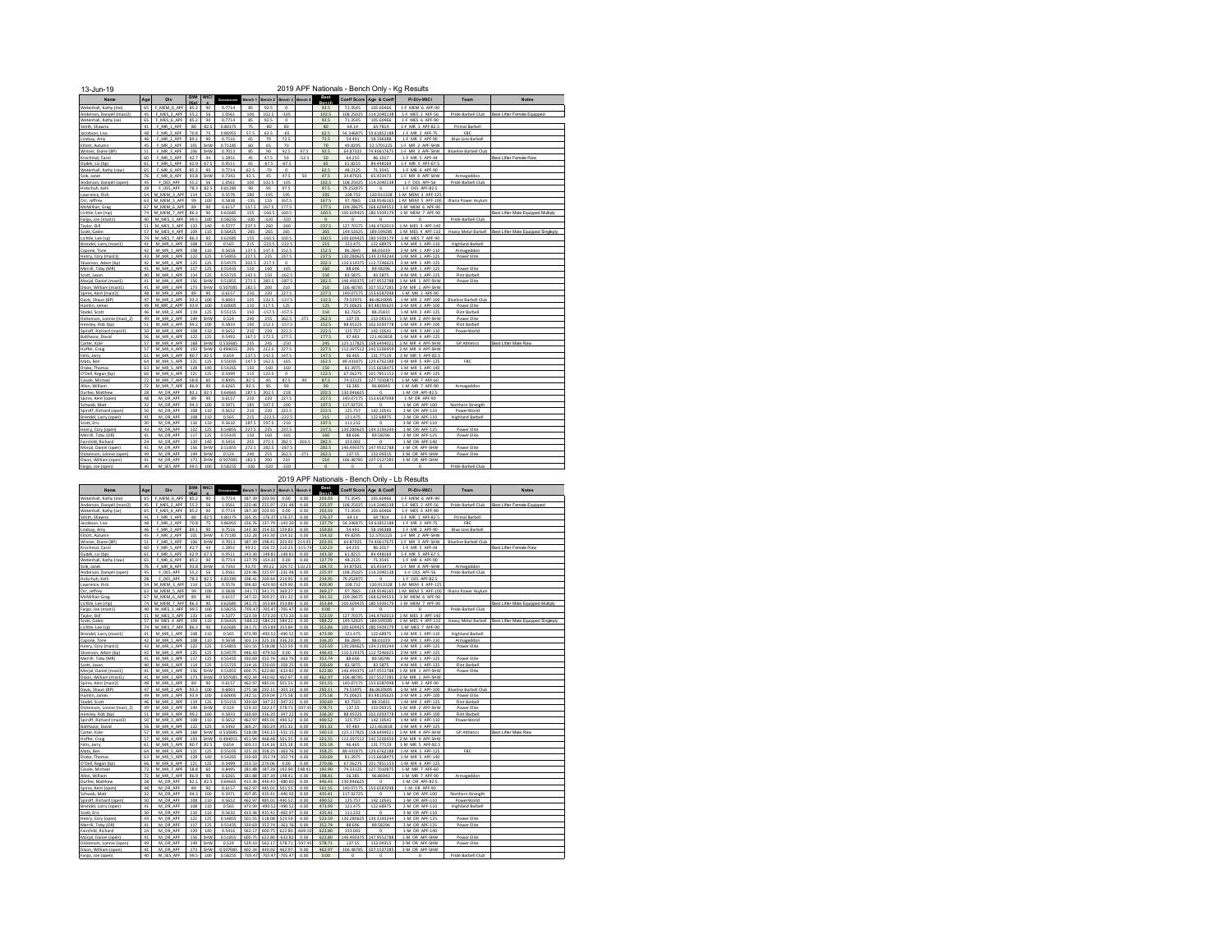| <b>BWt</b><br>WtCl<br>Boat<br>Coeff Score<br>Age & Coeff<br>Age<br>Div<br>Bench 4<br>PI-Div-WtCl<br>Bench 1<br>Bench 2<br>Bench 3<br>Team<br><b>Notes</b><br>Name<br>Ghashmanar<br>(Ka)<br>Bench<br>F MEM 6 APF<br>105.60466<br>Wetenhall, Kathy (me)<br>65<br>85.2<br>90<br>0.7714<br>85<br>92.5<br>$\Omega$<br>92.5<br>71.3545<br>1-F MEM 6 APF-90<br>$-105$<br>45<br>F MES 2 APF<br>55.2<br>56<br>1.0561<br>100<br>102.5<br>102.5<br>108.25025<br>114.2040138<br>1-F MES 2 APF-56<br>Pride Barbell Club<br>Best Lifter Female Equipped<br>Anderson, Danvell (mast2)<br>65<br>Wetenhall, Kathy (se)<br>F MES 6 APF<br>85.2<br>90<br>0.7714<br>92.5<br>$\circ$<br>92.5<br>71.3545<br>105.60466<br>1-F MES 6 APF-90<br>85<br>Smith, Shawna<br>41<br>F MR 1 APF<br>80<br>82.5<br>0.80175<br>75<br>$-80$<br>80<br>80<br>64.14<br>64,7814<br>1-F MR 1 APF-82.5<br>Primal Barbell<br>0.86955<br>Jacobson, Lisa<br>48<br>F MR 2 APF<br>70.8<br>75<br>57.5<br>62.5<br>$-65$<br>62.5<br>54.346875<br>59.61852188<br>1-F MR 2 APF-75<br><b>FRC</b><br>Lindsay, Amy<br>46<br>F MR 2 APF<br>89.1<br>90<br>0.7516<br>65<br>70<br>72.5<br>72.5<br>54.491<br>58.196388<br>1-F MR 2 APF-90<br><b>Blue Line Barbell</b><br>70<br>45<br>F MR 2 APF<br>101<br>SHW<br>0.71185<br>70<br>49.8295<br>52.5701225<br>1-F MR 2 APF-SHW<br>Elliott, Autumn<br>60<br>65<br>51<br>92.5<br>92.5<br>F MR 3 APF<br>106<br>SHW<br>0.7013<br>85<br>90<br>97.5<br>64.87025<br>74.40617675<br>1-F MR 3 APF-SHW<br>Winner, Diane (BP)<br><b>Blueline Barbell Club</b><br>Krochmal, Caro<br>60<br>F MR 5 APF<br>42.7<br>44<br>1.2851<br>45<br>47.5<br>50<br>$-52.5$<br>50<br>64.255<br>86,1017<br>1-F MR 5 APF-44<br>Best Lifter Female Raw<br>61<br>F MR 5 APF<br>0.9511<br>67.5<br>65<br>61.8215<br>84.448169<br>1-F MR 5 APF-67.5<br>Dudek, Liz (bp)<br>62.9<br>67.5<br>65<br>$-67.5$<br>48.2125<br>Wetenhall, Kathy (raw)<br>65<br>F MR 6 APF<br>85.2<br>90<br>0.7714<br>62.5<br>$-70$<br>$\circ$<br>62.5<br>713545<br>1-F MR 6 APF-90<br>76<br>F MR 8 APF<br>93.8<br>SHW<br>0.7343<br>42.5<br>47.5<br>50<br>47.5<br>34.87925<br>65.433473<br>1-F MR 8 APF-SHW<br>45<br>Armepeddon<br>45<br>F OES APF<br>1.0561<br>102.5<br>$-105$<br>108.25025<br>114.2040138<br>55.2<br>56<br>100<br>102.5<br>1-F OES APF-56<br>Pride Barbell Club<br>28<br>F OES APF<br>78.3<br>82.5<br>0.81285<br>95<br>97.5<br>97.5<br>90<br>79.252875<br>$\circ$<br>1-F OES APF-82.5<br>54<br>M MEM 3 APF<br>114<br>0.5576<br>$-195$<br>195<br>195<br>108.732<br>130.913328<br>125<br>180<br>1-M MEM 3 APF-125<br>M MEM 5 APF<br>100<br>138.9546165<br>63<br>99<br>0.5838<br>$-155$<br>155<br>167.5<br>167.5<br>97.7865<br>1-M MEM 5 APF-100<br>Illiana Power Asylum<br>M MEM 6 APF<br>157.5<br>167.5<br>177.5<br>168.6294553<br>1-M MEM 6 APF-90<br>67<br>89<br>90<br>0.6157<br>177.5<br>109.28675<br>74<br>M MEM 7 APF<br>0.62685<br>155<br>160.5<br>160.5<br>100.609425<br>180.5939179<br>1-M MEM 7 APF-90<br>86.3<br>90<br>$-160.5$<br>Best Lifter Male Equipped Multiply<br>0.58255<br>40<br>M MES 1 APF<br>99.5<br>100<br>$-320$<br>$-320$<br>320<br>$\circ$<br>$\circ$<br>$\circ$<br>$\Omega$<br>Pride Barbell Club<br>M MES 3 APF<br>0.5377<br>237.5<br>127.70375<br>146.4762013<br>1-M MES 3 APF-140<br>51<br>133<br>140<br>237.5<br>$-260$<br>$-260$<br>57<br>M MES 4 APF<br>110<br>0.56425<br>149.52625<br>189.599285<br>1-M MES 4 APF-110<br>Best Lifter Male Equipped Singleph<br>109<br>$-265$<br>$-265$<br>265<br>265<br>Heavy Metal Barbell<br>M MES 7 APF<br>74<br>86.3<br>90<br>0.62685<br>$-160.5$<br>160.5<br>160.5<br>100.609425<br>180.5939179<br>1-M MES 7 APF-90<br>155<br>41<br>M MR 1 APF<br>0.565<br>$-222.5$<br>$-222.5$<br>215<br>121.475<br>1-M MR 1 APF-110<br>Brendel, Larry (mast1)<br>108<br>110<br>215<br>122.68975<br><b>Highland Barbell</b><br>147.5<br>42<br>M MR 1 APF<br>108<br>110<br>0.5658<br>137.5<br>152.5<br>152.5<br>86.2845<br>2-M MR 1 APF-110<br>88,01019<br>Armapeddon<br>Capone, Tone<br>43<br>M MR 1 APF<br>122<br>125<br>0.54855<br>227.5<br>235<br>237.5<br>237.5<br>130.280625<br>134.319324<br>1-M MR 1 APF-125<br>Henry, Cory (mast1)<br>Power Elite<br>42<br>M MR 1 APF<br>125<br>0.54575<br>202.5<br>$-217.5$<br>110.514375<br>112.7246625<br>2-M MR 1 APF-125<br>Stiverson, Adam (bp)<br>125<br>$\Omega$<br>202.5<br>41<br>M MR 1 APF<br>117<br>125<br>0.55435<br>88.696<br>89.58296<br>3-M MR 1 APF-125<br>Merrill, Toby (MR)<br>150<br>160<br>$-165$<br>160<br>Power Elite<br>40<br>M MR 1 APF<br>114<br>125<br>0.55725<br>142.5<br>162.5<br>150<br>83.5875<br>Scott, Jason<br>150<br>83.5875<br>4-M MR 1 APF-125<br>Flint Barbell<br>41<br>M MR 1 APF<br>SHW<br>0.51855<br>282.5<br>$-287.5$<br>146.490375<br>147.9552788<br>Morial, Daniel (mast1)<br>156<br>272.5<br>282.5<br>1-M MR 1 APF-SHW<br>Power Elite<br>41<br>M MR 1 APF<br>0.507085<br>182.5<br>210<br>210<br>106.48785<br>107.5527285<br>2-M MR 1 APF-SHW<br>Dixon, William (mast1)<br>173<br>SHW<br>200<br>Spires, Kent (mast2)<br>48<br>M MR 2 APF<br>90<br>0.6157<br>220<br>227.5<br>227.5<br>140.07175<br>153.6587098<br>1-M MR 2 APF-90<br>89<br>210<br>Davis, Shaun (BP)<br>47<br>M MR 2 APF<br>93.3<br>100<br>0.6003<br>132.5<br>$-137.5$<br>132.5<br>79.53975<br>86.0620095<br>1-M MR 2 APF-100<br><b>Blueline Barbell Club</b><br>125<br>M MR 2 APF<br>49<br>93.9<br>100<br>0.60005<br>110<br>117.5<br>125<br>125<br>75.00625<br>83.48195625<br>2-M MR 2 APF-100<br>Hamlin, James<br>Power Elite<br>M MR 2 APF<br>119<br>0.55155<br>$-157.5$<br>46<br>125<br>150<br>$-157.5$<br>150<br>82.7325<br>88.35831<br>1-M MR 2 APF-125<br>Flint Barbell<br>Stadel, Scott<br>M MR 2 APF<br>SHW<br>0.524<br>255<br>262.5<br>$-271$<br>262.5<br>Dickenson, Lonnie (mast 2)<br>49<br>149<br>240<br>137.55<br>153.09315<br>1-M MR 2 APF-SHW<br>Power Elite<br>Hensley, Rob (bo)<br>51<br>M MR 3 APF<br>99.2<br>100<br>0.5833<br>150<br>152.5<br>$-157.5$<br>152.5<br>88.95325<br>102.0293778<br>1-M MR 3 APF-100<br>Flint Barbell<br>Spiroff, Richard (mast3)<br>50<br>M MR 3 APF<br>108<br>110<br>0.5652<br>210<br>220<br>222.5<br>222.5<br>125.757<br>142.10541<br>1-M MR 3 APF-110<br>PowerWorld<br>56<br>M MR 4 APF<br>122<br>125<br>0.5492<br>167.5<br>172.5<br>177.5<br>177.5<br>97.483<br>121.463818<br>1-M MR 4 APF-125<br>M MR 4 APF<br>235<br>$-250$<br>158.649402<br>1-M MR 4 APF-SHW<br>57<br>168<br>SHW<br>0.510685<br>245<br>245<br>125.117825<br><b>GP Athletics</b><br>Best Lifter Male Raw<br>57<br>M MR 4 APF<br>0.494055<br>212.5<br>227.5<br>227.5<br>112.397512<br>142.5200459<br>193<br>SHW<br>205<br>2-M MR 4 APF-SHW<br>Hoffer, Craip<br>61<br>M MR 5 APF<br>80.7<br>82.5<br>0.654<br>137.5<br>142.5<br>147.5<br>147.5<br>96.465<br>131,77119<br>1-M MR 5 APF-82.5<br>64<br>M MR 5 APF<br>121<br>125<br>0.55035<br>147.5<br>162.5<br>$-165$<br>162.5<br>89.431875<br>129.6762188<br>1-M MR 5 APF-125<br>FBC<br>0.54265<br>81.3975<br>63<br>M MR 5 APF<br>128<br>140<br>150<br>$-160$<br>$-160$<br>150<br>115.6658475<br>1-M MR 5 APF-140<br>125<br>122.5<br>66<br>M MR 6 APF<br>121<br>0.5499<br>115<br>$\circ$<br>122.5<br>67.36275<br>1-M MR 6 APF-125<br>101.785115<br>72<br>M MR 7 APF<br>58.8<br>60<br>0.8495<br>82.5<br>85<br>87.5<br>90<br>87.5<br>74.33125<br>Casale, Micheal<br>127.7010875<br>1-M MR 7 APF-60<br>Allen, William<br>72<br>M MR 7 APF<br>86.9<br>90<br>0.6265<br>82.5<br>85<br>90<br>90<br>56.385<br>96.86943<br>1-M MR 7 APF-90<br>Armageddon<br>28<br>M OR APF<br>82.<br>82.5<br>0.64665<br>187.5<br>202.5<br>$-218$<br>202.5<br>130.946625<br>1-M OR APF-82.5<br>Durfee, Matthew<br>$\Omega$<br>227.5<br>48<br>M OR APF<br>89<br>90<br>0.6157<br>210<br>220<br>227.5<br>140.07175<br>153.6587098<br>1-M OR APF-90<br>Spires, Kent (open)<br>32<br>M OR APF<br>94.3<br>0.5971<br>197.5<br>$-200$<br>197.5<br>117.92725<br>Schwab, Matt<br>100<br>185<br>$\circ$<br>1-M OR APF-100<br>Northern Strength<br>50<br>M OR APF<br>108<br>110<br>0.5652<br>222.5<br>222.5<br>125.757<br>Spiroff, Richard (open)<br>210<br>220<br>142.10541<br>1-M OR APF-110<br>PowerWorld<br>Brendel, Larry (open)<br>41<br>M OR APF<br>108<br>110<br>0.565<br>215<br>$-222.5$<br>$-222.5$<br>215<br>121.475<br>122.68975<br>2-M OR APF-110<br><b>Highland Barbell</b><br>30<br>M OR APF<br>110<br>110<br>0.5632<br>187.5<br>197.5<br>$-210$<br>197.5<br>111.232<br>3-M OR APF-110<br>Scott, Eric<br>n<br>43<br>125<br>0.54855<br>227.5<br>237.5<br>237.5<br>130.280625<br>134.3193244<br>Henry, Cory (open)<br>M OR APF<br>122<br>235<br>1-M OR APF-125<br>Power Elite<br>41<br>117<br>125<br>0.55435<br>$-165$<br>160<br>89,58296<br>Merrill, Toby (OR)<br>M OR APF<br>150<br>160<br>88.696<br>2-M OR APF-125<br>Power Elite<br>24<br>M OR APF<br>129<br>140<br>0.5416<br>255<br>272.5<br>282.5<br>303.5<br>282.5<br>153.002<br>$\circ$<br>1-M OR APF-140<br>Fairchild, Richard<br>41<br>Morial, Daniel (open)<br>M OR APF<br>156<br>SHW<br>0.51855<br>272.5<br>282.5<br>$-287.5$<br>282.5<br>146,490375<br>147.9552788<br>1-M OR APF-SHW<br>Power Elite<br>49<br>Dickenson, Lonnie (open)<br>M OR APF<br>149<br>SHW<br>0.524<br>240<br>255<br>262.5<br>$-271$<br>262.5<br>137.55<br>153.09315<br>2-M OR APF-SHW<br>Power Elite<br>Dixon, William (open)<br>41<br>M OR APF<br>0.507085<br>182.5<br>210<br>210<br>106.48785<br>107.5527285<br>3-M OR APF-SHW<br>173<br>SHW<br>200<br>$100 -$<br>$\Omega$ | 13-Jun-19                |    |           |      |         |        |      |        |         |         |         | 2019 APF Nationals - Bench Only - Kg Results |                    |  |
|-------------------------------------------------------------------------------------------------------------------------------------------------------------------------------------------------------------------------------------------------------------------------------------------------------------------------------------------------------------------------------------------------------------------------------------------------------------------------------------------------------------------------------------------------------------------------------------------------------------------------------------------------------------------------------------------------------------------------------------------------------------------------------------------------------------------------------------------------------------------------------------------------------------------------------------------------------------------------------------------------------------------------------------------------------------------------------------------------------------------------------------------------------------------------------------------------------------------------------------------------------------------------------------------------------------------------------------------------------------------------------------------------------------------------------------------------------------------------------------------------------------------------------------------------------------------------------------------------------------------------------------------------------------------------------------------------------------------------------------------------------------------------------------------------------------------------------------------------------------------------------------------------------------------------------------------------------------------------------------------------------------------------------------------------------------------------------------------------------------------------------------------------------------------------------------------------------------------------------------------------------------------------------------------------------------------------------------------------------------------------------------------------------------------------------------------------------------------------------------------------------------------------------------------------------------------------------------------------------------------------------------------------------------------------------------------------------------------------------------------------------------------------------------------------------------------------------------------------------------------------------------------------------------------------------------------------------------------------------------------------------------------------------------------------------------------------------------------------------------------------------------------------------------------------------------------------------------------------------------------------------------------------------------------------------------------------------------------------------------------------------------------------------------------------------------------------------------------------------------------------------------------------------------------------------------------------------------------------------------------------------------------------------------------------------------------------------------------------------------------------------------------------------------------------------------------------------------------------------------------------------------------------------------------------------------------------------------------------------------------------------------------------------------------------------------------------------------------------------------------------------------------------------------------------------------------------------------------------------------------------------------------------------------------------------------------------------------------------------------------------------------------------------------------------------------------------------------------------------------------------------------------------------------------------------------------------------------------------------------------------------------------------------------------------------------------------------------------------------------------------------------------------------------------------------------------------------------------------------------------------------------------------------------------------------------------------------------------------------------------------------------------------------------------------------------------------------------------------------------------------------------------------------------------------------------------------------------------------------------------------------------------------------------------------------------------------------------------------------------------------------------------------------------------------------------------------------------------------------------------------------------------------------------------------------------------------------------------------------------------------------------------------------------------------------------------------------------------------------------------------------------------------------------------------------------------------------------------------------------------------------------------------------------------------------------------------------------------------------------------------------------------------------------------------------------------------------------------------------------------------------------------------------------------------------------------------------------------------------------------------------------------------------------------------------------------------------------------------------------------------------------------------------------------------------------------------------------------------------------------------------------------------------------------------------------------------------------------------------------------------------------------------------------------------------------------------------------------------------------------------------------------------------------------------------------------------------------------------------------------------------------------------------------------------------------------------------------------------------------------------------------------------------------------------------------------------------------------------------------------------------------------------------------------------------------------------------------------------------------------------------------------------------------------------------------------------------------------------------------------------------------------------------------------------------------------------------------------------------------------------------------------------------------------------------------------------------------------------------------------------------------------------------------------------------------------------------------------------------------------------------------------------------------------------------------------------------------------------------------------------------------------------------------------------------------------------------------------------------------------------------------------------------------------------------------------------------------------------------------------------------------------------------------------------------------------------------------------------------------------------------------------------------------------------------------------------------------------------------------------------------------------------------------------------------------------------------------------------------------------------------------------------------------------------------------------------------------------------------------------------------------------------------------------------------------------------------------------------------------------------------------------------------------------------------------------------------------------------------------------------------------------------------------------------------------------------------------------------------------------------------------------------------------------------------------------------------------------------------------------------------------------------------------------------------------------------------------------------------------------------------------------------------------------------------------------------------------------------------------------------------------------------------|--------------------------|----|-----------|------|---------|--------|------|--------|---------|---------|---------|----------------------------------------------|--------------------|--|
|                                                                                                                                                                                                                                                                                                                                                                                                                                                                                                                                                                                                                                                                                                                                                                                                                                                                                                                                                                                                                                                                                                                                                                                                                                                                                                                                                                                                                                                                                                                                                                                                                                                                                                                                                                                                                                                                                                                                                                                                                                                                                                                                                                                                                                                                                                                                                                                                                                                                                                                                                                                                                                                                                                                                                                                                                                                                                                                                                                                                                                                                                                                                                                                                                                                                                                                                                                                                                                                                                                                                                                                                                                                                                                                                                                                                                                                                                                                                                                                                                                                                                                                                                                                                                                                                                                                                                                                                                                                                                                                                                                                                                                                                                                                                                                                                                                                                                                                                                                                                                                                                                                                                                                                                                                                                                                                                                                                                                                                                                                                                                                                                                                                                                                                                                                                                                                                                                                                                                                                                                                                                                                                                                                                                                                                                                                                                                                                                                                                                                                                                                                                                                                                                                                                                                                                                                                                                                                                                                                                                                                                                                                                                                                                                                                                                                                                                                                                                                                                                                                                                                                                                                                                                                                                                                                                                                                                                                                                                                                                                                                                                                                                                                                                                                                                                                                                                                                                                                                                                                                                                                                                                                                                                                                                                                                                                                                                                                                                                                                                                                                                                                                                                                                                                                                                                                                                                                                                                       |                          |    |           |      |         |        |      |        |         |         |         |                                              |                    |  |
|                                                                                                                                                                                                                                                                                                                                                                                                                                                                                                                                                                                                                                                                                                                                                                                                                                                                                                                                                                                                                                                                                                                                                                                                                                                                                                                                                                                                                                                                                                                                                                                                                                                                                                                                                                                                                                                                                                                                                                                                                                                                                                                                                                                                                                                                                                                                                                                                                                                                                                                                                                                                                                                                                                                                                                                                                                                                                                                                                                                                                                                                                                                                                                                                                                                                                                                                                                                                                                                                                                                                                                                                                                                                                                                                                                                                                                                                                                                                                                                                                                                                                                                                                                                                                                                                                                                                                                                                                                                                                                                                                                                                                                                                                                                                                                                                                                                                                                                                                                                                                                                                                                                                                                                                                                                                                                                                                                                                                                                                                                                                                                                                                                                                                                                                                                                                                                                                                                                                                                                                                                                                                                                                                                                                                                                                                                                                                                                                                                                                                                                                                                                                                                                                                                                                                                                                                                                                                                                                                                                                                                                                                                                                                                                                                                                                                                                                                                                                                                                                                                                                                                                                                                                                                                                                                                                                                                                                                                                                                                                                                                                                                                                                                                                                                                                                                                                                                                                                                                                                                                                                                                                                                                                                                                                                                                                                                                                                                                                                                                                                                                                                                                                                                                                                                                                                                                                                                                                                       |                          |    |           |      |         |        |      |        |         |         |         |                                              |                    |  |
|                                                                                                                                                                                                                                                                                                                                                                                                                                                                                                                                                                                                                                                                                                                                                                                                                                                                                                                                                                                                                                                                                                                                                                                                                                                                                                                                                                                                                                                                                                                                                                                                                                                                                                                                                                                                                                                                                                                                                                                                                                                                                                                                                                                                                                                                                                                                                                                                                                                                                                                                                                                                                                                                                                                                                                                                                                                                                                                                                                                                                                                                                                                                                                                                                                                                                                                                                                                                                                                                                                                                                                                                                                                                                                                                                                                                                                                                                                                                                                                                                                                                                                                                                                                                                                                                                                                                                                                                                                                                                                                                                                                                                                                                                                                                                                                                                                                                                                                                                                                                                                                                                                                                                                                                                                                                                                                                                                                                                                                                                                                                                                                                                                                                                                                                                                                                                                                                                                                                                                                                                                                                                                                                                                                                                                                                                                                                                                                                                                                                                                                                                                                                                                                                                                                                                                                                                                                                                                                                                                                                                                                                                                                                                                                                                                                                                                                                                                                                                                                                                                                                                                                                                                                                                                                                                                                                                                                                                                                                                                                                                                                                                                                                                                                                                                                                                                                                                                                                                                                                                                                                                                                                                                                                                                                                                                                                                                                                                                                                                                                                                                                                                                                                                                                                                                                                                                                                                                                                       |                          |    |           |      |         |        |      |        |         |         |         |                                              |                    |  |
|                                                                                                                                                                                                                                                                                                                                                                                                                                                                                                                                                                                                                                                                                                                                                                                                                                                                                                                                                                                                                                                                                                                                                                                                                                                                                                                                                                                                                                                                                                                                                                                                                                                                                                                                                                                                                                                                                                                                                                                                                                                                                                                                                                                                                                                                                                                                                                                                                                                                                                                                                                                                                                                                                                                                                                                                                                                                                                                                                                                                                                                                                                                                                                                                                                                                                                                                                                                                                                                                                                                                                                                                                                                                                                                                                                                                                                                                                                                                                                                                                                                                                                                                                                                                                                                                                                                                                                                                                                                                                                                                                                                                                                                                                                                                                                                                                                                                                                                                                                                                                                                                                                                                                                                                                                                                                                                                                                                                                                                                                                                                                                                                                                                                                                                                                                                                                                                                                                                                                                                                                                                                                                                                                                                                                                                                                                                                                                                                                                                                                                                                                                                                                                                                                                                                                                                                                                                                                                                                                                                                                                                                                                                                                                                                                                                                                                                                                                                                                                                                                                                                                                                                                                                                                                                                                                                                                                                                                                                                                                                                                                                                                                                                                                                                                                                                                                                                                                                                                                                                                                                                                                                                                                                                                                                                                                                                                                                                                                                                                                                                                                                                                                                                                                                                                                                                                                                                                                                                       |                          |    |           |      |         |        |      |        |         |         |         |                                              |                    |  |
|                                                                                                                                                                                                                                                                                                                                                                                                                                                                                                                                                                                                                                                                                                                                                                                                                                                                                                                                                                                                                                                                                                                                                                                                                                                                                                                                                                                                                                                                                                                                                                                                                                                                                                                                                                                                                                                                                                                                                                                                                                                                                                                                                                                                                                                                                                                                                                                                                                                                                                                                                                                                                                                                                                                                                                                                                                                                                                                                                                                                                                                                                                                                                                                                                                                                                                                                                                                                                                                                                                                                                                                                                                                                                                                                                                                                                                                                                                                                                                                                                                                                                                                                                                                                                                                                                                                                                                                                                                                                                                                                                                                                                                                                                                                                                                                                                                                                                                                                                                                                                                                                                                                                                                                                                                                                                                                                                                                                                                                                                                                                                                                                                                                                                                                                                                                                                                                                                                                                                                                                                                                                                                                                                                                                                                                                                                                                                                                                                                                                                                                                                                                                                                                                                                                                                                                                                                                                                                                                                                                                                                                                                                                                                                                                                                                                                                                                                                                                                                                                                                                                                                                                                                                                                                                                                                                                                                                                                                                                                                                                                                                                                                                                                                                                                                                                                                                                                                                                                                                                                                                                                                                                                                                                                                                                                                                                                                                                                                                                                                                                                                                                                                                                                                                                                                                                                                                                                                                                       |                          |    |           |      |         |        |      |        |         |         |         |                                              |                    |  |
|                                                                                                                                                                                                                                                                                                                                                                                                                                                                                                                                                                                                                                                                                                                                                                                                                                                                                                                                                                                                                                                                                                                                                                                                                                                                                                                                                                                                                                                                                                                                                                                                                                                                                                                                                                                                                                                                                                                                                                                                                                                                                                                                                                                                                                                                                                                                                                                                                                                                                                                                                                                                                                                                                                                                                                                                                                                                                                                                                                                                                                                                                                                                                                                                                                                                                                                                                                                                                                                                                                                                                                                                                                                                                                                                                                                                                                                                                                                                                                                                                                                                                                                                                                                                                                                                                                                                                                                                                                                                                                                                                                                                                                                                                                                                                                                                                                                                                                                                                                                                                                                                                                                                                                                                                                                                                                                                                                                                                                                                                                                                                                                                                                                                                                                                                                                                                                                                                                                                                                                                                                                                                                                                                                                                                                                                                                                                                                                                                                                                                                                                                                                                                                                                                                                                                                                                                                                                                                                                                                                                                                                                                                                                                                                                                                                                                                                                                                                                                                                                                                                                                                                                                                                                                                                                                                                                                                                                                                                                                                                                                                                                                                                                                                                                                                                                                                                                                                                                                                                                                                                                                                                                                                                                                                                                                                                                                                                                                                                                                                                                                                                                                                                                                                                                                                                                                                                                                                                                       |                          |    |           |      |         |        |      |        |         |         |         |                                              |                    |  |
|                                                                                                                                                                                                                                                                                                                                                                                                                                                                                                                                                                                                                                                                                                                                                                                                                                                                                                                                                                                                                                                                                                                                                                                                                                                                                                                                                                                                                                                                                                                                                                                                                                                                                                                                                                                                                                                                                                                                                                                                                                                                                                                                                                                                                                                                                                                                                                                                                                                                                                                                                                                                                                                                                                                                                                                                                                                                                                                                                                                                                                                                                                                                                                                                                                                                                                                                                                                                                                                                                                                                                                                                                                                                                                                                                                                                                                                                                                                                                                                                                                                                                                                                                                                                                                                                                                                                                                                                                                                                                                                                                                                                                                                                                                                                                                                                                                                                                                                                                                                                                                                                                                                                                                                                                                                                                                                                                                                                                                                                                                                                                                                                                                                                                                                                                                                                                                                                                                                                                                                                                                                                                                                                                                                                                                                                                                                                                                                                                                                                                                                                                                                                                                                                                                                                                                                                                                                                                                                                                                                                                                                                                                                                                                                                                                                                                                                                                                                                                                                                                                                                                                                                                                                                                                                                                                                                                                                                                                                                                                                                                                                                                                                                                                                                                                                                                                                                                                                                                                                                                                                                                                                                                                                                                                                                                                                                                                                                                                                                                                                                                                                                                                                                                                                                                                                                                                                                                                                                       |                          |    |           |      |         |        |      |        |         |         |         |                                              |                    |  |
|                                                                                                                                                                                                                                                                                                                                                                                                                                                                                                                                                                                                                                                                                                                                                                                                                                                                                                                                                                                                                                                                                                                                                                                                                                                                                                                                                                                                                                                                                                                                                                                                                                                                                                                                                                                                                                                                                                                                                                                                                                                                                                                                                                                                                                                                                                                                                                                                                                                                                                                                                                                                                                                                                                                                                                                                                                                                                                                                                                                                                                                                                                                                                                                                                                                                                                                                                                                                                                                                                                                                                                                                                                                                                                                                                                                                                                                                                                                                                                                                                                                                                                                                                                                                                                                                                                                                                                                                                                                                                                                                                                                                                                                                                                                                                                                                                                                                                                                                                                                                                                                                                                                                                                                                                                                                                                                                                                                                                                                                                                                                                                                                                                                                                                                                                                                                                                                                                                                                                                                                                                                                                                                                                                                                                                                                                                                                                                                                                                                                                                                                                                                                                                                                                                                                                                                                                                                                                                                                                                                                                                                                                                                                                                                                                                                                                                                                                                                                                                                                                                                                                                                                                                                                                                                                                                                                                                                                                                                                                                                                                                                                                                                                                                                                                                                                                                                                                                                                                                                                                                                                                                                                                                                                                                                                                                                                                                                                                                                                                                                                                                                                                                                                                                                                                                                                                                                                                                                                       |                          |    |           |      |         |        |      |        |         |         |         |                                              |                    |  |
|                                                                                                                                                                                                                                                                                                                                                                                                                                                                                                                                                                                                                                                                                                                                                                                                                                                                                                                                                                                                                                                                                                                                                                                                                                                                                                                                                                                                                                                                                                                                                                                                                                                                                                                                                                                                                                                                                                                                                                                                                                                                                                                                                                                                                                                                                                                                                                                                                                                                                                                                                                                                                                                                                                                                                                                                                                                                                                                                                                                                                                                                                                                                                                                                                                                                                                                                                                                                                                                                                                                                                                                                                                                                                                                                                                                                                                                                                                                                                                                                                                                                                                                                                                                                                                                                                                                                                                                                                                                                                                                                                                                                                                                                                                                                                                                                                                                                                                                                                                                                                                                                                                                                                                                                                                                                                                                                                                                                                                                                                                                                                                                                                                                                                                                                                                                                                                                                                                                                                                                                                                                                                                                                                                                                                                                                                                                                                                                                                                                                                                                                                                                                                                                                                                                                                                                                                                                                                                                                                                                                                                                                                                                                                                                                                                                                                                                                                                                                                                                                                                                                                                                                                                                                                                                                                                                                                                                                                                                                                                                                                                                                                                                                                                                                                                                                                                                                                                                                                                                                                                                                                                                                                                                                                                                                                                                                                                                                                                                                                                                                                                                                                                                                                                                                                                                                                                                                                                                                       |                          |    |           |      |         |        |      |        |         |         |         |                                              |                    |  |
|                                                                                                                                                                                                                                                                                                                                                                                                                                                                                                                                                                                                                                                                                                                                                                                                                                                                                                                                                                                                                                                                                                                                                                                                                                                                                                                                                                                                                                                                                                                                                                                                                                                                                                                                                                                                                                                                                                                                                                                                                                                                                                                                                                                                                                                                                                                                                                                                                                                                                                                                                                                                                                                                                                                                                                                                                                                                                                                                                                                                                                                                                                                                                                                                                                                                                                                                                                                                                                                                                                                                                                                                                                                                                                                                                                                                                                                                                                                                                                                                                                                                                                                                                                                                                                                                                                                                                                                                                                                                                                                                                                                                                                                                                                                                                                                                                                                                                                                                                                                                                                                                                                                                                                                                                                                                                                                                                                                                                                                                                                                                                                                                                                                                                                                                                                                                                                                                                                                                                                                                                                                                                                                                                                                                                                                                                                                                                                                                                                                                                                                                                                                                                                                                                                                                                                                                                                                                                                                                                                                                                                                                                                                                                                                                                                                                                                                                                                                                                                                                                                                                                                                                                                                                                                                                                                                                                                                                                                                                                                                                                                                                                                                                                                                                                                                                                                                                                                                                                                                                                                                                                                                                                                                                                                                                                                                                                                                                                                                                                                                                                                                                                                                                                                                                                                                                                                                                                                                                       |                          |    |           |      |         |        |      |        |         |         |         |                                              |                    |  |
|                                                                                                                                                                                                                                                                                                                                                                                                                                                                                                                                                                                                                                                                                                                                                                                                                                                                                                                                                                                                                                                                                                                                                                                                                                                                                                                                                                                                                                                                                                                                                                                                                                                                                                                                                                                                                                                                                                                                                                                                                                                                                                                                                                                                                                                                                                                                                                                                                                                                                                                                                                                                                                                                                                                                                                                                                                                                                                                                                                                                                                                                                                                                                                                                                                                                                                                                                                                                                                                                                                                                                                                                                                                                                                                                                                                                                                                                                                                                                                                                                                                                                                                                                                                                                                                                                                                                                                                                                                                                                                                                                                                                                                                                                                                                                                                                                                                                                                                                                                                                                                                                                                                                                                                                                                                                                                                                                                                                                                                                                                                                                                                                                                                                                                                                                                                                                                                                                                                                                                                                                                                                                                                                                                                                                                                                                                                                                                                                                                                                                                                                                                                                                                                                                                                                                                                                                                                                                                                                                                                                                                                                                                                                                                                                                                                                                                                                                                                                                                                                                                                                                                                                                                                                                                                                                                                                                                                                                                                                                                                                                                                                                                                                                                                                                                                                                                                                                                                                                                                                                                                                                                                                                                                                                                                                                                                                                                                                                                                                                                                                                                                                                                                                                                                                                                                                                                                                                                                                       |                          |    |           |      |         |        |      |        |         |         |         |                                              |                    |  |
|                                                                                                                                                                                                                                                                                                                                                                                                                                                                                                                                                                                                                                                                                                                                                                                                                                                                                                                                                                                                                                                                                                                                                                                                                                                                                                                                                                                                                                                                                                                                                                                                                                                                                                                                                                                                                                                                                                                                                                                                                                                                                                                                                                                                                                                                                                                                                                                                                                                                                                                                                                                                                                                                                                                                                                                                                                                                                                                                                                                                                                                                                                                                                                                                                                                                                                                                                                                                                                                                                                                                                                                                                                                                                                                                                                                                                                                                                                                                                                                                                                                                                                                                                                                                                                                                                                                                                                                                                                                                                                                                                                                                                                                                                                                                                                                                                                                                                                                                                                                                                                                                                                                                                                                                                                                                                                                                                                                                                                                                                                                                                                                                                                                                                                                                                                                                                                                                                                                                                                                                                                                                                                                                                                                                                                                                                                                                                                                                                                                                                                                                                                                                                                                                                                                                                                                                                                                                                                                                                                                                                                                                                                                                                                                                                                                                                                                                                                                                                                                                                                                                                                                                                                                                                                                                                                                                                                                                                                                                                                                                                                                                                                                                                                                                                                                                                                                                                                                                                                                                                                                                                                                                                                                                                                                                                                                                                                                                                                                                                                                                                                                                                                                                                                                                                                                                                                                                                                                                       | Sink, Janet              |    |           |      |         |        |      |        |         |         |         |                                              |                    |  |
|                                                                                                                                                                                                                                                                                                                                                                                                                                                                                                                                                                                                                                                                                                                                                                                                                                                                                                                                                                                                                                                                                                                                                                                                                                                                                                                                                                                                                                                                                                                                                                                                                                                                                                                                                                                                                                                                                                                                                                                                                                                                                                                                                                                                                                                                                                                                                                                                                                                                                                                                                                                                                                                                                                                                                                                                                                                                                                                                                                                                                                                                                                                                                                                                                                                                                                                                                                                                                                                                                                                                                                                                                                                                                                                                                                                                                                                                                                                                                                                                                                                                                                                                                                                                                                                                                                                                                                                                                                                                                                                                                                                                                                                                                                                                                                                                                                                                                                                                                                                                                                                                                                                                                                                                                                                                                                                                                                                                                                                                                                                                                                                                                                                                                                                                                                                                                                                                                                                                                                                                                                                                                                                                                                                                                                                                                                                                                                                                                                                                                                                                                                                                                                                                                                                                                                                                                                                                                                                                                                                                                                                                                                                                                                                                                                                                                                                                                                                                                                                                                                                                                                                                                                                                                                                                                                                                                                                                                                                                                                                                                                                                                                                                                                                                                                                                                                                                                                                                                                                                                                                                                                                                                                                                                                                                                                                                                                                                                                                                                                                                                                                                                                                                                                                                                                                                                                                                                                                                       | Anderson, Danyell (open) |    |           |      |         |        |      |        |         |         |         |                                              |                    |  |
|                                                                                                                                                                                                                                                                                                                                                                                                                                                                                                                                                                                                                                                                                                                                                                                                                                                                                                                                                                                                                                                                                                                                                                                                                                                                                                                                                                                                                                                                                                                                                                                                                                                                                                                                                                                                                                                                                                                                                                                                                                                                                                                                                                                                                                                                                                                                                                                                                                                                                                                                                                                                                                                                                                                                                                                                                                                                                                                                                                                                                                                                                                                                                                                                                                                                                                                                                                                                                                                                                                                                                                                                                                                                                                                                                                                                                                                                                                                                                                                                                                                                                                                                                                                                                                                                                                                                                                                                                                                                                                                                                                                                                                                                                                                                                                                                                                                                                                                                                                                                                                                                                                                                                                                                                                                                                                                                                                                                                                                                                                                                                                                                                                                                                                                                                                                                                                                                                                                                                                                                                                                                                                                                                                                                                                                                                                                                                                                                                                                                                                                                                                                                                                                                                                                                                                                                                                                                                                                                                                                                                                                                                                                                                                                                                                                                                                                                                                                                                                                                                                                                                                                                                                                                                                                                                                                                                                                                                                                                                                                                                                                                                                                                                                                                                                                                                                                                                                                                                                                                                                                                                                                                                                                                                                                                                                                                                                                                                                                                                                                                                                                                                                                                                                                                                                                                                                                                                                                                       | Holschuh, Kell           |    |           |      |         |        |      |        |         |         |         |                                              |                    |  |
|                                                                                                                                                                                                                                                                                                                                                                                                                                                                                                                                                                                                                                                                                                                                                                                                                                                                                                                                                                                                                                                                                                                                                                                                                                                                                                                                                                                                                                                                                                                                                                                                                                                                                                                                                                                                                                                                                                                                                                                                                                                                                                                                                                                                                                                                                                                                                                                                                                                                                                                                                                                                                                                                                                                                                                                                                                                                                                                                                                                                                                                                                                                                                                                                                                                                                                                                                                                                                                                                                                                                                                                                                                                                                                                                                                                                                                                                                                                                                                                                                                                                                                                                                                                                                                                                                                                                                                                                                                                                                                                                                                                                                                                                                                                                                                                                                                                                                                                                                                                                                                                                                                                                                                                                                                                                                                                                                                                                                                                                                                                                                                                                                                                                                                                                                                                                                                                                                                                                                                                                                                                                                                                                                                                                                                                                                                                                                                                                                                                                                                                                                                                                                                                                                                                                                                                                                                                                                                                                                                                                                                                                                                                                                                                                                                                                                                                                                                                                                                                                                                                                                                                                                                                                                                                                                                                                                                                                                                                                                                                                                                                                                                                                                                                                                                                                                                                                                                                                                                                                                                                                                                                                                                                                                                                                                                                                                                                                                                                                                                                                                                                                                                                                                                                                                                                                                                                                                                                                       | Lawrence, Rick           |    |           |      |         |        |      |        |         |         |         |                                              |                    |  |
|                                                                                                                                                                                                                                                                                                                                                                                                                                                                                                                                                                                                                                                                                                                                                                                                                                                                                                                                                                                                                                                                                                                                                                                                                                                                                                                                                                                                                                                                                                                                                                                                                                                                                                                                                                                                                                                                                                                                                                                                                                                                                                                                                                                                                                                                                                                                                                                                                                                                                                                                                                                                                                                                                                                                                                                                                                                                                                                                                                                                                                                                                                                                                                                                                                                                                                                                                                                                                                                                                                                                                                                                                                                                                                                                                                                                                                                                                                                                                                                                                                                                                                                                                                                                                                                                                                                                                                                                                                                                                                                                                                                                                                                                                                                                                                                                                                                                                                                                                                                                                                                                                                                                                                                                                                                                                                                                                                                                                                                                                                                                                                                                                                                                                                                                                                                                                                                                                                                                                                                                                                                                                                                                                                                                                                                                                                                                                                                                                                                                                                                                                                                                                                                                                                                                                                                                                                                                                                                                                                                                                                                                                                                                                                                                                                                                                                                                                                                                                                                                                                                                                                                                                                                                                                                                                                                                                                                                                                                                                                                                                                                                                                                                                                                                                                                                                                                                                                                                                                                                                                                                                                                                                                                                                                                                                                                                                                                                                                                                                                                                                                                                                                                                                                                                                                                                                                                                                                                                       | Orr. Jeffrey             |    |           |      |         |        |      |        |         |         |         |                                              |                    |  |
|                                                                                                                                                                                                                                                                                                                                                                                                                                                                                                                                                                                                                                                                                                                                                                                                                                                                                                                                                                                                                                                                                                                                                                                                                                                                                                                                                                                                                                                                                                                                                                                                                                                                                                                                                                                                                                                                                                                                                                                                                                                                                                                                                                                                                                                                                                                                                                                                                                                                                                                                                                                                                                                                                                                                                                                                                                                                                                                                                                                                                                                                                                                                                                                                                                                                                                                                                                                                                                                                                                                                                                                                                                                                                                                                                                                                                                                                                                                                                                                                                                                                                                                                                                                                                                                                                                                                                                                                                                                                                                                                                                                                                                                                                                                                                                                                                                                                                                                                                                                                                                                                                                                                                                                                                                                                                                                                                                                                                                                                                                                                                                                                                                                                                                                                                                                                                                                                                                                                                                                                                                                                                                                                                                                                                                                                                                                                                                                                                                                                                                                                                                                                                                                                                                                                                                                                                                                                                                                                                                                                                                                                                                                                                                                                                                                                                                                                                                                                                                                                                                                                                                                                                                                                                                                                                                                                                                                                                                                                                                                                                                                                                                                                                                                                                                                                                                                                                                                                                                                                                                                                                                                                                                                                                                                                                                                                                                                                                                                                                                                                                                                                                                                                                                                                                                                                                                                                                                                                       | McMillian, Greg          |    |           |      |         |        |      |        |         |         |         |                                              |                    |  |
|                                                                                                                                                                                                                                                                                                                                                                                                                                                                                                                                                                                                                                                                                                                                                                                                                                                                                                                                                                                                                                                                                                                                                                                                                                                                                                                                                                                                                                                                                                                                                                                                                                                                                                                                                                                                                                                                                                                                                                                                                                                                                                                                                                                                                                                                                                                                                                                                                                                                                                                                                                                                                                                                                                                                                                                                                                                                                                                                                                                                                                                                                                                                                                                                                                                                                                                                                                                                                                                                                                                                                                                                                                                                                                                                                                                                                                                                                                                                                                                                                                                                                                                                                                                                                                                                                                                                                                                                                                                                                                                                                                                                                                                                                                                                                                                                                                                                                                                                                                                                                                                                                                                                                                                                                                                                                                                                                                                                                                                                                                                                                                                                                                                                                                                                                                                                                                                                                                                                                                                                                                                                                                                                                                                                                                                                                                                                                                                                                                                                                                                                                                                                                                                                                                                                                                                                                                                                                                                                                                                                                                                                                                                                                                                                                                                                                                                                                                                                                                                                                                                                                                                                                                                                                                                                                                                                                                                                                                                                                                                                                                                                                                                                                                                                                                                                                                                                                                                                                                                                                                                                                                                                                                                                                                                                                                                                                                                                                                                                                                                                                                                                                                                                                                                                                                                                                                                                                                                                       | Lichtle, Lee (mp)        |    |           |      |         |        |      |        |         |         |         |                                              |                    |  |
|                                                                                                                                                                                                                                                                                                                                                                                                                                                                                                                                                                                                                                                                                                                                                                                                                                                                                                                                                                                                                                                                                                                                                                                                                                                                                                                                                                                                                                                                                                                                                                                                                                                                                                                                                                                                                                                                                                                                                                                                                                                                                                                                                                                                                                                                                                                                                                                                                                                                                                                                                                                                                                                                                                                                                                                                                                                                                                                                                                                                                                                                                                                                                                                                                                                                                                                                                                                                                                                                                                                                                                                                                                                                                                                                                                                                                                                                                                                                                                                                                                                                                                                                                                                                                                                                                                                                                                                                                                                                                                                                                                                                                                                                                                                                                                                                                                                                                                                                                                                                                                                                                                                                                                                                                                                                                                                                                                                                                                                                                                                                                                                                                                                                                                                                                                                                                                                                                                                                                                                                                                                                                                                                                                                                                                                                                                                                                                                                                                                                                                                                                                                                                                                                                                                                                                                                                                                                                                                                                                                                                                                                                                                                                                                                                                                                                                                                                                                                                                                                                                                                                                                                                                                                                                                                                                                                                                                                                                                                                                                                                                                                                                                                                                                                                                                                                                                                                                                                                                                                                                                                                                                                                                                                                                                                                                                                                                                                                                                                                                                                                                                                                                                                                                                                                                                                                                                                                                                                       | Fargo, Joe (mast1)       |    |           |      |         |        |      |        |         |         |         |                                              |                    |  |
|                                                                                                                                                                                                                                                                                                                                                                                                                                                                                                                                                                                                                                                                                                                                                                                                                                                                                                                                                                                                                                                                                                                                                                                                                                                                                                                                                                                                                                                                                                                                                                                                                                                                                                                                                                                                                                                                                                                                                                                                                                                                                                                                                                                                                                                                                                                                                                                                                                                                                                                                                                                                                                                                                                                                                                                                                                                                                                                                                                                                                                                                                                                                                                                                                                                                                                                                                                                                                                                                                                                                                                                                                                                                                                                                                                                                                                                                                                                                                                                                                                                                                                                                                                                                                                                                                                                                                                                                                                                                                                                                                                                                                                                                                                                                                                                                                                                                                                                                                                                                                                                                                                                                                                                                                                                                                                                                                                                                                                                                                                                                                                                                                                                                                                                                                                                                                                                                                                                                                                                                                                                                                                                                                                                                                                                                                                                                                                                                                                                                                                                                                                                                                                                                                                                                                                                                                                                                                                                                                                                                                                                                                                                                                                                                                                                                                                                                                                                                                                                                                                                                                                                                                                                                                                                                                                                                                                                                                                                                                                                                                                                                                                                                                                                                                                                                                                                                                                                                                                                                                                                                                                                                                                                                                                                                                                                                                                                                                                                                                                                                                                                                                                                                                                                                                                                                                                                                                                                                       | Taylor, Bill             |    |           |      |         |        |      |        |         |         |         |                                              |                    |  |
|                                                                                                                                                                                                                                                                                                                                                                                                                                                                                                                                                                                                                                                                                                                                                                                                                                                                                                                                                                                                                                                                                                                                                                                                                                                                                                                                                                                                                                                                                                                                                                                                                                                                                                                                                                                                                                                                                                                                                                                                                                                                                                                                                                                                                                                                                                                                                                                                                                                                                                                                                                                                                                                                                                                                                                                                                                                                                                                                                                                                                                                                                                                                                                                                                                                                                                                                                                                                                                                                                                                                                                                                                                                                                                                                                                                                                                                                                                                                                                                                                                                                                                                                                                                                                                                                                                                                                                                                                                                                                                                                                                                                                                                                                                                                                                                                                                                                                                                                                                                                                                                                                                                                                                                                                                                                                                                                                                                                                                                                                                                                                                                                                                                                                                                                                                                                                                                                                                                                                                                                                                                                                                                                                                                                                                                                                                                                                                                                                                                                                                                                                                                                                                                                                                                                                                                                                                                                                                                                                                                                                                                                                                                                                                                                                                                                                                                                                                                                                                                                                                                                                                                                                                                                                                                                                                                                                                                                                                                                                                                                                                                                                                                                                                                                                                                                                                                                                                                                                                                                                                                                                                                                                                                                                                                                                                                                                                                                                                                                                                                                                                                                                                                                                                                                                                                                                                                                                                                                       | Scott, Galen             |    |           |      |         |        |      |        |         |         |         |                                              |                    |  |
|                                                                                                                                                                                                                                                                                                                                                                                                                                                                                                                                                                                                                                                                                                                                                                                                                                                                                                                                                                                                                                                                                                                                                                                                                                                                                                                                                                                                                                                                                                                                                                                                                                                                                                                                                                                                                                                                                                                                                                                                                                                                                                                                                                                                                                                                                                                                                                                                                                                                                                                                                                                                                                                                                                                                                                                                                                                                                                                                                                                                                                                                                                                                                                                                                                                                                                                                                                                                                                                                                                                                                                                                                                                                                                                                                                                                                                                                                                                                                                                                                                                                                                                                                                                                                                                                                                                                                                                                                                                                                                                                                                                                                                                                                                                                                                                                                                                                                                                                                                                                                                                                                                                                                                                                                                                                                                                                                                                                                                                                                                                                                                                                                                                                                                                                                                                                                                                                                                                                                                                                                                                                                                                                                                                                                                                                                                                                                                                                                                                                                                                                                                                                                                                                                                                                                                                                                                                                                                                                                                                                                                                                                                                                                                                                                                                                                                                                                                                                                                                                                                                                                                                                                                                                                                                                                                                                                                                                                                                                                                                                                                                                                                                                                                                                                                                                                                                                                                                                                                                                                                                                                                                                                                                                                                                                                                                                                                                                                                                                                                                                                                                                                                                                                                                                                                                                                                                                                                                                       | Lichtle, Lee (sp)        |    |           |      |         |        |      |        |         |         |         |                                              |                    |  |
|                                                                                                                                                                                                                                                                                                                                                                                                                                                                                                                                                                                                                                                                                                                                                                                                                                                                                                                                                                                                                                                                                                                                                                                                                                                                                                                                                                                                                                                                                                                                                                                                                                                                                                                                                                                                                                                                                                                                                                                                                                                                                                                                                                                                                                                                                                                                                                                                                                                                                                                                                                                                                                                                                                                                                                                                                                                                                                                                                                                                                                                                                                                                                                                                                                                                                                                                                                                                                                                                                                                                                                                                                                                                                                                                                                                                                                                                                                                                                                                                                                                                                                                                                                                                                                                                                                                                                                                                                                                                                                                                                                                                                                                                                                                                                                                                                                                                                                                                                                                                                                                                                                                                                                                                                                                                                                                                                                                                                                                                                                                                                                                                                                                                                                                                                                                                                                                                                                                                                                                                                                                                                                                                                                                                                                                                                                                                                                                                                                                                                                                                                                                                                                                                                                                                                                                                                                                                                                                                                                                                                                                                                                                                                                                                                                                                                                                                                                                                                                                                                                                                                                                                                                                                                                                                                                                                                                                                                                                                                                                                                                                                                                                                                                                                                                                                                                                                                                                                                                                                                                                                                                                                                                                                                                                                                                                                                                                                                                                                                                                                                                                                                                                                                                                                                                                                                                                                                                                                       |                          |    |           |      |         |        |      |        |         |         |         |                                              |                    |  |
|                                                                                                                                                                                                                                                                                                                                                                                                                                                                                                                                                                                                                                                                                                                                                                                                                                                                                                                                                                                                                                                                                                                                                                                                                                                                                                                                                                                                                                                                                                                                                                                                                                                                                                                                                                                                                                                                                                                                                                                                                                                                                                                                                                                                                                                                                                                                                                                                                                                                                                                                                                                                                                                                                                                                                                                                                                                                                                                                                                                                                                                                                                                                                                                                                                                                                                                                                                                                                                                                                                                                                                                                                                                                                                                                                                                                                                                                                                                                                                                                                                                                                                                                                                                                                                                                                                                                                                                                                                                                                                                                                                                                                                                                                                                                                                                                                                                                                                                                                                                                                                                                                                                                                                                                                                                                                                                                                                                                                                                                                                                                                                                                                                                                                                                                                                                                                                                                                                                                                                                                                                                                                                                                                                                                                                                                                                                                                                                                                                                                                                                                                                                                                                                                                                                                                                                                                                                                                                                                                                                                                                                                                                                                                                                                                                                                                                                                                                                                                                                                                                                                                                                                                                                                                                                                                                                                                                                                                                                                                                                                                                                                                                                                                                                                                                                                                                                                                                                                                                                                                                                                                                                                                                                                                                                                                                                                                                                                                                                                                                                                                                                                                                                                                                                                                                                                                                                                                                                                       |                          |    |           |      |         |        |      |        |         |         |         |                                              |                    |  |
|                                                                                                                                                                                                                                                                                                                                                                                                                                                                                                                                                                                                                                                                                                                                                                                                                                                                                                                                                                                                                                                                                                                                                                                                                                                                                                                                                                                                                                                                                                                                                                                                                                                                                                                                                                                                                                                                                                                                                                                                                                                                                                                                                                                                                                                                                                                                                                                                                                                                                                                                                                                                                                                                                                                                                                                                                                                                                                                                                                                                                                                                                                                                                                                                                                                                                                                                                                                                                                                                                                                                                                                                                                                                                                                                                                                                                                                                                                                                                                                                                                                                                                                                                                                                                                                                                                                                                                                                                                                                                                                                                                                                                                                                                                                                                                                                                                                                                                                                                                                                                                                                                                                                                                                                                                                                                                                                                                                                                                                                                                                                                                                                                                                                                                                                                                                                                                                                                                                                                                                                                                                                                                                                                                                                                                                                                                                                                                                                                                                                                                                                                                                                                                                                                                                                                                                                                                                                                                                                                                                                                                                                                                                                                                                                                                                                                                                                                                                                                                                                                                                                                                                                                                                                                                                                                                                                                                                                                                                                                                                                                                                                                                                                                                                                                                                                                                                                                                                                                                                                                                                                                                                                                                                                                                                                                                                                                                                                                                                                                                                                                                                                                                                                                                                                                                                                                                                                                                                                       |                          |    |           |      |         |        |      |        |         |         |         |                                              |                    |  |
|                                                                                                                                                                                                                                                                                                                                                                                                                                                                                                                                                                                                                                                                                                                                                                                                                                                                                                                                                                                                                                                                                                                                                                                                                                                                                                                                                                                                                                                                                                                                                                                                                                                                                                                                                                                                                                                                                                                                                                                                                                                                                                                                                                                                                                                                                                                                                                                                                                                                                                                                                                                                                                                                                                                                                                                                                                                                                                                                                                                                                                                                                                                                                                                                                                                                                                                                                                                                                                                                                                                                                                                                                                                                                                                                                                                                                                                                                                                                                                                                                                                                                                                                                                                                                                                                                                                                                                                                                                                                                                                                                                                                                                                                                                                                                                                                                                                                                                                                                                                                                                                                                                                                                                                                                                                                                                                                                                                                                                                                                                                                                                                                                                                                                                                                                                                                                                                                                                                                                                                                                                                                                                                                                                                                                                                                                                                                                                                                                                                                                                                                                                                                                                                                                                                                                                                                                                                                                                                                                                                                                                                                                                                                                                                                                                                                                                                                                                                                                                                                                                                                                                                                                                                                                                                                                                                                                                                                                                                                                                                                                                                                                                                                                                                                                                                                                                                                                                                                                                                                                                                                                                                                                                                                                                                                                                                                                                                                                                                                                                                                                                                                                                                                                                                                                                                                                                                                                                                                       |                          |    |           |      |         |        |      |        |         |         |         |                                              |                    |  |
|                                                                                                                                                                                                                                                                                                                                                                                                                                                                                                                                                                                                                                                                                                                                                                                                                                                                                                                                                                                                                                                                                                                                                                                                                                                                                                                                                                                                                                                                                                                                                                                                                                                                                                                                                                                                                                                                                                                                                                                                                                                                                                                                                                                                                                                                                                                                                                                                                                                                                                                                                                                                                                                                                                                                                                                                                                                                                                                                                                                                                                                                                                                                                                                                                                                                                                                                                                                                                                                                                                                                                                                                                                                                                                                                                                                                                                                                                                                                                                                                                                                                                                                                                                                                                                                                                                                                                                                                                                                                                                                                                                                                                                                                                                                                                                                                                                                                                                                                                                                                                                                                                                                                                                                                                                                                                                                                                                                                                                                                                                                                                                                                                                                                                                                                                                                                                                                                                                                                                                                                                                                                                                                                                                                                                                                                                                                                                                                                                                                                                                                                                                                                                                                                                                                                                                                                                                                                                                                                                                                                                                                                                                                                                                                                                                                                                                                                                                                                                                                                                                                                                                                                                                                                                                                                                                                                                                                                                                                                                                                                                                                                                                                                                                                                                                                                                                                                                                                                                                                                                                                                                                                                                                                                                                                                                                                                                                                                                                                                                                                                                                                                                                                                                                                                                                                                                                                                                                                                       |                          |    |           |      |         |        |      |        |         |         |         |                                              |                    |  |
|                                                                                                                                                                                                                                                                                                                                                                                                                                                                                                                                                                                                                                                                                                                                                                                                                                                                                                                                                                                                                                                                                                                                                                                                                                                                                                                                                                                                                                                                                                                                                                                                                                                                                                                                                                                                                                                                                                                                                                                                                                                                                                                                                                                                                                                                                                                                                                                                                                                                                                                                                                                                                                                                                                                                                                                                                                                                                                                                                                                                                                                                                                                                                                                                                                                                                                                                                                                                                                                                                                                                                                                                                                                                                                                                                                                                                                                                                                                                                                                                                                                                                                                                                                                                                                                                                                                                                                                                                                                                                                                                                                                                                                                                                                                                                                                                                                                                                                                                                                                                                                                                                                                                                                                                                                                                                                                                                                                                                                                                                                                                                                                                                                                                                                                                                                                                                                                                                                                                                                                                                                                                                                                                                                                                                                                                                                                                                                                                                                                                                                                                                                                                                                                                                                                                                                                                                                                                                                                                                                                                                                                                                                                                                                                                                                                                                                                                                                                                                                                                                                                                                                                                                                                                                                                                                                                                                                                                                                                                                                                                                                                                                                                                                                                                                                                                                                                                                                                                                                                                                                                                                                                                                                                                                                                                                                                                                                                                                                                                                                                                                                                                                                                                                                                                                                                                                                                                                                                                       |                          |    |           |      |         |        |      |        |         |         |         |                                              |                    |  |
|                                                                                                                                                                                                                                                                                                                                                                                                                                                                                                                                                                                                                                                                                                                                                                                                                                                                                                                                                                                                                                                                                                                                                                                                                                                                                                                                                                                                                                                                                                                                                                                                                                                                                                                                                                                                                                                                                                                                                                                                                                                                                                                                                                                                                                                                                                                                                                                                                                                                                                                                                                                                                                                                                                                                                                                                                                                                                                                                                                                                                                                                                                                                                                                                                                                                                                                                                                                                                                                                                                                                                                                                                                                                                                                                                                                                                                                                                                                                                                                                                                                                                                                                                                                                                                                                                                                                                                                                                                                                                                                                                                                                                                                                                                                                                                                                                                                                                                                                                                                                                                                                                                                                                                                                                                                                                                                                                                                                                                                                                                                                                                                                                                                                                                                                                                                                                                                                                                                                                                                                                                                                                                                                                                                                                                                                                                                                                                                                                                                                                                                                                                                                                                                                                                                                                                                                                                                                                                                                                                                                                                                                                                                                                                                                                                                                                                                                                                                                                                                                                                                                                                                                                                                                                                                                                                                                                                                                                                                                                                                                                                                                                                                                                                                                                                                                                                                                                                                                                                                                                                                                                                                                                                                                                                                                                                                                                                                                                                                                                                                                                                                                                                                                                                                                                                                                                                                                                                                                       |                          |    |           |      |         |        |      |        |         |         |         |                                              |                    |  |
|                                                                                                                                                                                                                                                                                                                                                                                                                                                                                                                                                                                                                                                                                                                                                                                                                                                                                                                                                                                                                                                                                                                                                                                                                                                                                                                                                                                                                                                                                                                                                                                                                                                                                                                                                                                                                                                                                                                                                                                                                                                                                                                                                                                                                                                                                                                                                                                                                                                                                                                                                                                                                                                                                                                                                                                                                                                                                                                                                                                                                                                                                                                                                                                                                                                                                                                                                                                                                                                                                                                                                                                                                                                                                                                                                                                                                                                                                                                                                                                                                                                                                                                                                                                                                                                                                                                                                                                                                                                                                                                                                                                                                                                                                                                                                                                                                                                                                                                                                                                                                                                                                                                                                                                                                                                                                                                                                                                                                                                                                                                                                                                                                                                                                                                                                                                                                                                                                                                                                                                                                                                                                                                                                                                                                                                                                                                                                                                                                                                                                                                                                                                                                                                                                                                                                                                                                                                                                                                                                                                                                                                                                                                                                                                                                                                                                                                                                                                                                                                                                                                                                                                                                                                                                                                                                                                                                                                                                                                                                                                                                                                                                                                                                                                                                                                                                                                                                                                                                                                                                                                                                                                                                                                                                                                                                                                                                                                                                                                                                                                                                                                                                                                                                                                                                                                                                                                                                                                                       |                          |    |           |      |         |        |      |        |         |         |         |                                              |                    |  |
|                                                                                                                                                                                                                                                                                                                                                                                                                                                                                                                                                                                                                                                                                                                                                                                                                                                                                                                                                                                                                                                                                                                                                                                                                                                                                                                                                                                                                                                                                                                                                                                                                                                                                                                                                                                                                                                                                                                                                                                                                                                                                                                                                                                                                                                                                                                                                                                                                                                                                                                                                                                                                                                                                                                                                                                                                                                                                                                                                                                                                                                                                                                                                                                                                                                                                                                                                                                                                                                                                                                                                                                                                                                                                                                                                                                                                                                                                                                                                                                                                                                                                                                                                                                                                                                                                                                                                                                                                                                                                                                                                                                                                                                                                                                                                                                                                                                                                                                                                                                                                                                                                                                                                                                                                                                                                                                                                                                                                                                                                                                                                                                                                                                                                                                                                                                                                                                                                                                                                                                                                                                                                                                                                                                                                                                                                                                                                                                                                                                                                                                                                                                                                                                                                                                                                                                                                                                                                                                                                                                                                                                                                                                                                                                                                                                                                                                                                                                                                                                                                                                                                                                                                                                                                                                                                                                                                                                                                                                                                                                                                                                                                                                                                                                                                                                                                                                                                                                                                                                                                                                                                                                                                                                                                                                                                                                                                                                                                                                                                                                                                                                                                                                                                                                                                                                                                                                                                                                                       |                          |    |           |      |         |        |      |        |         |         |         |                                              |                    |  |
|                                                                                                                                                                                                                                                                                                                                                                                                                                                                                                                                                                                                                                                                                                                                                                                                                                                                                                                                                                                                                                                                                                                                                                                                                                                                                                                                                                                                                                                                                                                                                                                                                                                                                                                                                                                                                                                                                                                                                                                                                                                                                                                                                                                                                                                                                                                                                                                                                                                                                                                                                                                                                                                                                                                                                                                                                                                                                                                                                                                                                                                                                                                                                                                                                                                                                                                                                                                                                                                                                                                                                                                                                                                                                                                                                                                                                                                                                                                                                                                                                                                                                                                                                                                                                                                                                                                                                                                                                                                                                                                                                                                                                                                                                                                                                                                                                                                                                                                                                                                                                                                                                                                                                                                                                                                                                                                                                                                                                                                                                                                                                                                                                                                                                                                                                                                                                                                                                                                                                                                                                                                                                                                                                                                                                                                                                                                                                                                                                                                                                                                                                                                                                                                                                                                                                                                                                                                                                                                                                                                                                                                                                                                                                                                                                                                                                                                                                                                                                                                                                                                                                                                                                                                                                                                                                                                                                                                                                                                                                                                                                                                                                                                                                                                                                                                                                                                                                                                                                                                                                                                                                                                                                                                                                                                                                                                                                                                                                                                                                                                                                                                                                                                                                                                                                                                                                                                                                                                                       |                          |    |           |      |         |        |      |        |         |         |         |                                              |                    |  |
|                                                                                                                                                                                                                                                                                                                                                                                                                                                                                                                                                                                                                                                                                                                                                                                                                                                                                                                                                                                                                                                                                                                                                                                                                                                                                                                                                                                                                                                                                                                                                                                                                                                                                                                                                                                                                                                                                                                                                                                                                                                                                                                                                                                                                                                                                                                                                                                                                                                                                                                                                                                                                                                                                                                                                                                                                                                                                                                                                                                                                                                                                                                                                                                                                                                                                                                                                                                                                                                                                                                                                                                                                                                                                                                                                                                                                                                                                                                                                                                                                                                                                                                                                                                                                                                                                                                                                                                                                                                                                                                                                                                                                                                                                                                                                                                                                                                                                                                                                                                                                                                                                                                                                                                                                                                                                                                                                                                                                                                                                                                                                                                                                                                                                                                                                                                                                                                                                                                                                                                                                                                                                                                                                                                                                                                                                                                                                                                                                                                                                                                                                                                                                                                                                                                                                                                                                                                                                                                                                                                                                                                                                                                                                                                                                                                                                                                                                                                                                                                                                                                                                                                                                                                                                                                                                                                                                                                                                                                                                                                                                                                                                                                                                                                                                                                                                                                                                                                                                                                                                                                                                                                                                                                                                                                                                                                                                                                                                                                                                                                                                                                                                                                                                                                                                                                                                                                                                                                                       |                          |    |           |      |         |        |      |        |         |         |         |                                              |                    |  |
|                                                                                                                                                                                                                                                                                                                                                                                                                                                                                                                                                                                                                                                                                                                                                                                                                                                                                                                                                                                                                                                                                                                                                                                                                                                                                                                                                                                                                                                                                                                                                                                                                                                                                                                                                                                                                                                                                                                                                                                                                                                                                                                                                                                                                                                                                                                                                                                                                                                                                                                                                                                                                                                                                                                                                                                                                                                                                                                                                                                                                                                                                                                                                                                                                                                                                                                                                                                                                                                                                                                                                                                                                                                                                                                                                                                                                                                                                                                                                                                                                                                                                                                                                                                                                                                                                                                                                                                                                                                                                                                                                                                                                                                                                                                                                                                                                                                                                                                                                                                                                                                                                                                                                                                                                                                                                                                                                                                                                                                                                                                                                                                                                                                                                                                                                                                                                                                                                                                                                                                                                                                                                                                                                                                                                                                                                                                                                                                                                                                                                                                                                                                                                                                                                                                                                                                                                                                                                                                                                                                                                                                                                                                                                                                                                                                                                                                                                                                                                                                                                                                                                                                                                                                                                                                                                                                                                                                                                                                                                                                                                                                                                                                                                                                                                                                                                                                                                                                                                                                                                                                                                                                                                                                                                                                                                                                                                                                                                                                                                                                                                                                                                                                                                                                                                                                                                                                                                                                                       |                          |    |           |      |         |        |      |        |         |         |         |                                              |                    |  |
|                                                                                                                                                                                                                                                                                                                                                                                                                                                                                                                                                                                                                                                                                                                                                                                                                                                                                                                                                                                                                                                                                                                                                                                                                                                                                                                                                                                                                                                                                                                                                                                                                                                                                                                                                                                                                                                                                                                                                                                                                                                                                                                                                                                                                                                                                                                                                                                                                                                                                                                                                                                                                                                                                                                                                                                                                                                                                                                                                                                                                                                                                                                                                                                                                                                                                                                                                                                                                                                                                                                                                                                                                                                                                                                                                                                                                                                                                                                                                                                                                                                                                                                                                                                                                                                                                                                                                                                                                                                                                                                                                                                                                                                                                                                                                                                                                                                                                                                                                                                                                                                                                                                                                                                                                                                                                                                                                                                                                                                                                                                                                                                                                                                                                                                                                                                                                                                                                                                                                                                                                                                                                                                                                                                                                                                                                                                                                                                                                                                                                                                                                                                                                                                                                                                                                                                                                                                                                                                                                                                                                                                                                                                                                                                                                                                                                                                                                                                                                                                                                                                                                                                                                                                                                                                                                                                                                                                                                                                                                                                                                                                                                                                                                                                                                                                                                                                                                                                                                                                                                                                                                                                                                                                                                                                                                                                                                                                                                                                                                                                                                                                                                                                                                                                                                                                                                                                                                                                                       |                          |    |           |      |         |        |      |        |         |         |         |                                              |                    |  |
|                                                                                                                                                                                                                                                                                                                                                                                                                                                                                                                                                                                                                                                                                                                                                                                                                                                                                                                                                                                                                                                                                                                                                                                                                                                                                                                                                                                                                                                                                                                                                                                                                                                                                                                                                                                                                                                                                                                                                                                                                                                                                                                                                                                                                                                                                                                                                                                                                                                                                                                                                                                                                                                                                                                                                                                                                                                                                                                                                                                                                                                                                                                                                                                                                                                                                                                                                                                                                                                                                                                                                                                                                                                                                                                                                                                                                                                                                                                                                                                                                                                                                                                                                                                                                                                                                                                                                                                                                                                                                                                                                                                                                                                                                                                                                                                                                                                                                                                                                                                                                                                                                                                                                                                                                                                                                                                                                                                                                                                                                                                                                                                                                                                                                                                                                                                                                                                                                                                                                                                                                                                                                                                                                                                                                                                                                                                                                                                                                                                                                                                                                                                                                                                                                                                                                                                                                                                                                                                                                                                                                                                                                                                                                                                                                                                                                                                                                                                                                                                                                                                                                                                                                                                                                                                                                                                                                                                                                                                                                                                                                                                                                                                                                                                                                                                                                                                                                                                                                                                                                                                                                                                                                                                                                                                                                                                                                                                                                                                                                                                                                                                                                                                                                                                                                                                                                                                                                                                                       |                          |    |           |      |         |        |      |        |         |         |         |                                              |                    |  |
|                                                                                                                                                                                                                                                                                                                                                                                                                                                                                                                                                                                                                                                                                                                                                                                                                                                                                                                                                                                                                                                                                                                                                                                                                                                                                                                                                                                                                                                                                                                                                                                                                                                                                                                                                                                                                                                                                                                                                                                                                                                                                                                                                                                                                                                                                                                                                                                                                                                                                                                                                                                                                                                                                                                                                                                                                                                                                                                                                                                                                                                                                                                                                                                                                                                                                                                                                                                                                                                                                                                                                                                                                                                                                                                                                                                                                                                                                                                                                                                                                                                                                                                                                                                                                                                                                                                                                                                                                                                                                                                                                                                                                                                                                                                                                                                                                                                                                                                                                                                                                                                                                                                                                                                                                                                                                                                                                                                                                                                                                                                                                                                                                                                                                                                                                                                                                                                                                                                                                                                                                                                                                                                                                                                                                                                                                                                                                                                                                                                                                                                                                                                                                                                                                                                                                                                                                                                                                                                                                                                                                                                                                                                                                                                                                                                                                                                                                                                                                                                                                                                                                                                                                                                                                                                                                                                                                                                                                                                                                                                                                                                                                                                                                                                                                                                                                                                                                                                                                                                                                                                                                                                                                                                                                                                                                                                                                                                                                                                                                                                                                                                                                                                                                                                                                                                                                                                                                                                                       | Balthazor, David         |    |           |      |         |        |      |        |         |         |         |                                              |                    |  |
|                                                                                                                                                                                                                                                                                                                                                                                                                                                                                                                                                                                                                                                                                                                                                                                                                                                                                                                                                                                                                                                                                                                                                                                                                                                                                                                                                                                                                                                                                                                                                                                                                                                                                                                                                                                                                                                                                                                                                                                                                                                                                                                                                                                                                                                                                                                                                                                                                                                                                                                                                                                                                                                                                                                                                                                                                                                                                                                                                                                                                                                                                                                                                                                                                                                                                                                                                                                                                                                                                                                                                                                                                                                                                                                                                                                                                                                                                                                                                                                                                                                                                                                                                                                                                                                                                                                                                                                                                                                                                                                                                                                                                                                                                                                                                                                                                                                                                                                                                                                                                                                                                                                                                                                                                                                                                                                                                                                                                                                                                                                                                                                                                                                                                                                                                                                                                                                                                                                                                                                                                                                                                                                                                                                                                                                                                                                                                                                                                                                                                                                                                                                                                                                                                                                                                                                                                                                                                                                                                                                                                                                                                                                                                                                                                                                                                                                                                                                                                                                                                                                                                                                                                                                                                                                                                                                                                                                                                                                                                                                                                                                                                                                                                                                                                                                                                                                                                                                                                                                                                                                                                                                                                                                                                                                                                                                                                                                                                                                                                                                                                                                                                                                                                                                                                                                                                                                                                                                                       | Carter, Kole             |    |           |      |         |        |      |        |         |         |         |                                              |                    |  |
|                                                                                                                                                                                                                                                                                                                                                                                                                                                                                                                                                                                                                                                                                                                                                                                                                                                                                                                                                                                                                                                                                                                                                                                                                                                                                                                                                                                                                                                                                                                                                                                                                                                                                                                                                                                                                                                                                                                                                                                                                                                                                                                                                                                                                                                                                                                                                                                                                                                                                                                                                                                                                                                                                                                                                                                                                                                                                                                                                                                                                                                                                                                                                                                                                                                                                                                                                                                                                                                                                                                                                                                                                                                                                                                                                                                                                                                                                                                                                                                                                                                                                                                                                                                                                                                                                                                                                                                                                                                                                                                                                                                                                                                                                                                                                                                                                                                                                                                                                                                                                                                                                                                                                                                                                                                                                                                                                                                                                                                                                                                                                                                                                                                                                                                                                                                                                                                                                                                                                                                                                                                                                                                                                                                                                                                                                                                                                                                                                                                                                                                                                                                                                                                                                                                                                                                                                                                                                                                                                                                                                                                                                                                                                                                                                                                                                                                                                                                                                                                                                                                                                                                                                                                                                                                                                                                                                                                                                                                                                                                                                                                                                                                                                                                                                                                                                                                                                                                                                                                                                                                                                                                                                                                                                                                                                                                                                                                                                                                                                                                                                                                                                                                                                                                                                                                                                                                                                                                                       |                          |    |           |      |         |        |      |        |         |         |         |                                              |                    |  |
|                                                                                                                                                                                                                                                                                                                                                                                                                                                                                                                                                                                                                                                                                                                                                                                                                                                                                                                                                                                                                                                                                                                                                                                                                                                                                                                                                                                                                                                                                                                                                                                                                                                                                                                                                                                                                                                                                                                                                                                                                                                                                                                                                                                                                                                                                                                                                                                                                                                                                                                                                                                                                                                                                                                                                                                                                                                                                                                                                                                                                                                                                                                                                                                                                                                                                                                                                                                                                                                                                                                                                                                                                                                                                                                                                                                                                                                                                                                                                                                                                                                                                                                                                                                                                                                                                                                                                                                                                                                                                                                                                                                                                                                                                                                                                                                                                                                                                                                                                                                                                                                                                                                                                                                                                                                                                                                                                                                                                                                                                                                                                                                                                                                                                                                                                                                                                                                                                                                                                                                                                                                                                                                                                                                                                                                                                                                                                                                                                                                                                                                                                                                                                                                                                                                                                                                                                                                                                                                                                                                                                                                                                                                                                                                                                                                                                                                                                                                                                                                                                                                                                                                                                                                                                                                                                                                                                                                                                                                                                                                                                                                                                                                                                                                                                                                                                                                                                                                                                                                                                                                                                                                                                                                                                                                                                                                                                                                                                                                                                                                                                                                                                                                                                                                                                                                                                                                                                                                                       | Felts, Jerry             |    |           |      |         |        |      |        |         |         |         |                                              |                    |  |
|                                                                                                                                                                                                                                                                                                                                                                                                                                                                                                                                                                                                                                                                                                                                                                                                                                                                                                                                                                                                                                                                                                                                                                                                                                                                                                                                                                                                                                                                                                                                                                                                                                                                                                                                                                                                                                                                                                                                                                                                                                                                                                                                                                                                                                                                                                                                                                                                                                                                                                                                                                                                                                                                                                                                                                                                                                                                                                                                                                                                                                                                                                                                                                                                                                                                                                                                                                                                                                                                                                                                                                                                                                                                                                                                                                                                                                                                                                                                                                                                                                                                                                                                                                                                                                                                                                                                                                                                                                                                                                                                                                                                                                                                                                                                                                                                                                                                                                                                                                                                                                                                                                                                                                                                                                                                                                                                                                                                                                                                                                                                                                                                                                                                                                                                                                                                                                                                                                                                                                                                                                                                                                                                                                                                                                                                                                                                                                                                                                                                                                                                                                                                                                                                                                                                                                                                                                                                                                                                                                                                                                                                                                                                                                                                                                                                                                                                                                                                                                                                                                                                                                                                                                                                                                                                                                                                                                                                                                                                                                                                                                                                                                                                                                                                                                                                                                                                                                                                                                                                                                                                                                                                                                                                                                                                                                                                                                                                                                                                                                                                                                                                                                                                                                                                                                                                                                                                                                                                       | Mata, Ben                |    |           |      |         |        |      |        |         |         |         |                                              |                    |  |
|                                                                                                                                                                                                                                                                                                                                                                                                                                                                                                                                                                                                                                                                                                                                                                                                                                                                                                                                                                                                                                                                                                                                                                                                                                                                                                                                                                                                                                                                                                                                                                                                                                                                                                                                                                                                                                                                                                                                                                                                                                                                                                                                                                                                                                                                                                                                                                                                                                                                                                                                                                                                                                                                                                                                                                                                                                                                                                                                                                                                                                                                                                                                                                                                                                                                                                                                                                                                                                                                                                                                                                                                                                                                                                                                                                                                                                                                                                                                                                                                                                                                                                                                                                                                                                                                                                                                                                                                                                                                                                                                                                                                                                                                                                                                                                                                                                                                                                                                                                                                                                                                                                                                                                                                                                                                                                                                                                                                                                                                                                                                                                                                                                                                                                                                                                                                                                                                                                                                                                                                                                                                                                                                                                                                                                                                                                                                                                                                                                                                                                                                                                                                                                                                                                                                                                                                                                                                                                                                                                                                                                                                                                                                                                                                                                                                                                                                                                                                                                                                                                                                                                                                                                                                                                                                                                                                                                                                                                                                                                                                                                                                                                                                                                                                                                                                                                                                                                                                                                                                                                                                                                                                                                                                                                                                                                                                                                                                                                                                                                                                                                                                                                                                                                                                                                                                                                                                                                                                       | Drake, Thomas            |    |           |      |         |        |      |        |         |         |         |                                              |                    |  |
|                                                                                                                                                                                                                                                                                                                                                                                                                                                                                                                                                                                                                                                                                                                                                                                                                                                                                                                                                                                                                                                                                                                                                                                                                                                                                                                                                                                                                                                                                                                                                                                                                                                                                                                                                                                                                                                                                                                                                                                                                                                                                                                                                                                                                                                                                                                                                                                                                                                                                                                                                                                                                                                                                                                                                                                                                                                                                                                                                                                                                                                                                                                                                                                                                                                                                                                                                                                                                                                                                                                                                                                                                                                                                                                                                                                                                                                                                                                                                                                                                                                                                                                                                                                                                                                                                                                                                                                                                                                                                                                                                                                                                                                                                                                                                                                                                                                                                                                                                                                                                                                                                                                                                                                                                                                                                                                                                                                                                                                                                                                                                                                                                                                                                                                                                                                                                                                                                                                                                                                                                                                                                                                                                                                                                                                                                                                                                                                                                                                                                                                                                                                                                                                                                                                                                                                                                                                                                                                                                                                                                                                                                                                                                                                                                                                                                                                                                                                                                                                                                                                                                                                                                                                                                                                                                                                                                                                                                                                                                                                                                                                                                                                                                                                                                                                                                                                                                                                                                                                                                                                                                                                                                                                                                                                                                                                                                                                                                                                                                                                                                                                                                                                                                                                                                                                                                                                                                                                                       | O'Dell, Regan (bp)       |    |           |      |         |        |      |        |         |         |         |                                              |                    |  |
|                                                                                                                                                                                                                                                                                                                                                                                                                                                                                                                                                                                                                                                                                                                                                                                                                                                                                                                                                                                                                                                                                                                                                                                                                                                                                                                                                                                                                                                                                                                                                                                                                                                                                                                                                                                                                                                                                                                                                                                                                                                                                                                                                                                                                                                                                                                                                                                                                                                                                                                                                                                                                                                                                                                                                                                                                                                                                                                                                                                                                                                                                                                                                                                                                                                                                                                                                                                                                                                                                                                                                                                                                                                                                                                                                                                                                                                                                                                                                                                                                                                                                                                                                                                                                                                                                                                                                                                                                                                                                                                                                                                                                                                                                                                                                                                                                                                                                                                                                                                                                                                                                                                                                                                                                                                                                                                                                                                                                                                                                                                                                                                                                                                                                                                                                                                                                                                                                                                                                                                                                                                                                                                                                                                                                                                                                                                                                                                                                                                                                                                                                                                                                                                                                                                                                                                                                                                                                                                                                                                                                                                                                                                                                                                                                                                                                                                                                                                                                                                                                                                                                                                                                                                                                                                                                                                                                                                                                                                                                                                                                                                                                                                                                                                                                                                                                                                                                                                                                                                                                                                                                                                                                                                                                                                                                                                                                                                                                                                                                                                                                                                                                                                                                                                                                                                                                                                                                                                                       |                          |    |           |      |         |        |      |        |         |         |         |                                              |                    |  |
|                                                                                                                                                                                                                                                                                                                                                                                                                                                                                                                                                                                                                                                                                                                                                                                                                                                                                                                                                                                                                                                                                                                                                                                                                                                                                                                                                                                                                                                                                                                                                                                                                                                                                                                                                                                                                                                                                                                                                                                                                                                                                                                                                                                                                                                                                                                                                                                                                                                                                                                                                                                                                                                                                                                                                                                                                                                                                                                                                                                                                                                                                                                                                                                                                                                                                                                                                                                                                                                                                                                                                                                                                                                                                                                                                                                                                                                                                                                                                                                                                                                                                                                                                                                                                                                                                                                                                                                                                                                                                                                                                                                                                                                                                                                                                                                                                                                                                                                                                                                                                                                                                                                                                                                                                                                                                                                                                                                                                                                                                                                                                                                                                                                                                                                                                                                                                                                                                                                                                                                                                                                                                                                                                                                                                                                                                                                                                                                                                                                                                                                                                                                                                                                                                                                                                                                                                                                                                                                                                                                                                                                                                                                                                                                                                                                                                                                                                                                                                                                                                                                                                                                                                                                                                                                                                                                                                                                                                                                                                                                                                                                                                                                                                                                                                                                                                                                                                                                                                                                                                                                                                                                                                                                                                                                                                                                                                                                                                                                                                                                                                                                                                                                                                                                                                                                                                                                                                                                                       |                          |    |           |      |         |        |      |        |         |         |         |                                              |                    |  |
|                                                                                                                                                                                                                                                                                                                                                                                                                                                                                                                                                                                                                                                                                                                                                                                                                                                                                                                                                                                                                                                                                                                                                                                                                                                                                                                                                                                                                                                                                                                                                                                                                                                                                                                                                                                                                                                                                                                                                                                                                                                                                                                                                                                                                                                                                                                                                                                                                                                                                                                                                                                                                                                                                                                                                                                                                                                                                                                                                                                                                                                                                                                                                                                                                                                                                                                                                                                                                                                                                                                                                                                                                                                                                                                                                                                                                                                                                                                                                                                                                                                                                                                                                                                                                                                                                                                                                                                                                                                                                                                                                                                                                                                                                                                                                                                                                                                                                                                                                                                                                                                                                                                                                                                                                                                                                                                                                                                                                                                                                                                                                                                                                                                                                                                                                                                                                                                                                                                                                                                                                                                                                                                                                                                                                                                                                                                                                                                                                                                                                                                                                                                                                                                                                                                                                                                                                                                                                                                                                                                                                                                                                                                                                                                                                                                                                                                                                                                                                                                                                                                                                                                                                                                                                                                                                                                                                                                                                                                                                                                                                                                                                                                                                                                                                                                                                                                                                                                                                                                                                                                                                                                                                                                                                                                                                                                                                                                                                                                                                                                                                                                                                                                                                                                                                                                                                                                                                                                                       |                          |    |           |      |         |        |      |        |         |         |         |                                              |                    |  |
|                                                                                                                                                                                                                                                                                                                                                                                                                                                                                                                                                                                                                                                                                                                                                                                                                                                                                                                                                                                                                                                                                                                                                                                                                                                                                                                                                                                                                                                                                                                                                                                                                                                                                                                                                                                                                                                                                                                                                                                                                                                                                                                                                                                                                                                                                                                                                                                                                                                                                                                                                                                                                                                                                                                                                                                                                                                                                                                                                                                                                                                                                                                                                                                                                                                                                                                                                                                                                                                                                                                                                                                                                                                                                                                                                                                                                                                                                                                                                                                                                                                                                                                                                                                                                                                                                                                                                                                                                                                                                                                                                                                                                                                                                                                                                                                                                                                                                                                                                                                                                                                                                                                                                                                                                                                                                                                                                                                                                                                                                                                                                                                                                                                                                                                                                                                                                                                                                                                                                                                                                                                                                                                                                                                                                                                                                                                                                                                                                                                                                                                                                                                                                                                                                                                                                                                                                                                                                                                                                                                                                                                                                                                                                                                                                                                                                                                                                                                                                                                                                                                                                                                                                                                                                                                                                                                                                                                                                                                                                                                                                                                                                                                                                                                                                                                                                                                                                                                                                                                                                                                                                                                                                                                                                                                                                                                                                                                                                                                                                                                                                                                                                                                                                                                                                                                                                                                                                                                                       |                          |    |           |      |         |        |      |        |         |         |         |                                              |                    |  |
|                                                                                                                                                                                                                                                                                                                                                                                                                                                                                                                                                                                                                                                                                                                                                                                                                                                                                                                                                                                                                                                                                                                                                                                                                                                                                                                                                                                                                                                                                                                                                                                                                                                                                                                                                                                                                                                                                                                                                                                                                                                                                                                                                                                                                                                                                                                                                                                                                                                                                                                                                                                                                                                                                                                                                                                                                                                                                                                                                                                                                                                                                                                                                                                                                                                                                                                                                                                                                                                                                                                                                                                                                                                                                                                                                                                                                                                                                                                                                                                                                                                                                                                                                                                                                                                                                                                                                                                                                                                                                                                                                                                                                                                                                                                                                                                                                                                                                                                                                                                                                                                                                                                                                                                                                                                                                                                                                                                                                                                                                                                                                                                                                                                                                                                                                                                                                                                                                                                                                                                                                                                                                                                                                                                                                                                                                                                                                                                                                                                                                                                                                                                                                                                                                                                                                                                                                                                                                                                                                                                                                                                                                                                                                                                                                                                                                                                                                                                                                                                                                                                                                                                                                                                                                                                                                                                                                                                                                                                                                                                                                                                                                                                                                                                                                                                                                                                                                                                                                                                                                                                                                                                                                                                                                                                                                                                                                                                                                                                                                                                                                                                                                                                                                                                                                                                                                                                                                                                                       |                          |    |           |      |         |        |      |        |         |         |         |                                              |                    |  |
|                                                                                                                                                                                                                                                                                                                                                                                                                                                                                                                                                                                                                                                                                                                                                                                                                                                                                                                                                                                                                                                                                                                                                                                                                                                                                                                                                                                                                                                                                                                                                                                                                                                                                                                                                                                                                                                                                                                                                                                                                                                                                                                                                                                                                                                                                                                                                                                                                                                                                                                                                                                                                                                                                                                                                                                                                                                                                                                                                                                                                                                                                                                                                                                                                                                                                                                                                                                                                                                                                                                                                                                                                                                                                                                                                                                                                                                                                                                                                                                                                                                                                                                                                                                                                                                                                                                                                                                                                                                                                                                                                                                                                                                                                                                                                                                                                                                                                                                                                                                                                                                                                                                                                                                                                                                                                                                                                                                                                                                                                                                                                                                                                                                                                                                                                                                                                                                                                                                                                                                                                                                                                                                                                                                                                                                                                                                                                                                                                                                                                                                                                                                                                                                                                                                                                                                                                                                                                                                                                                                                                                                                                                                                                                                                                                                                                                                                                                                                                                                                                                                                                                                                                                                                                                                                                                                                                                                                                                                                                                                                                                                                                                                                                                                                                                                                                                                                                                                                                                                                                                                                                                                                                                                                                                                                                                                                                                                                                                                                                                                                                                                                                                                                                                                                                                                                                                                                                                                                       |                          |    |           |      |         |        |      |        |         |         |         |                                              |                    |  |
|                                                                                                                                                                                                                                                                                                                                                                                                                                                                                                                                                                                                                                                                                                                                                                                                                                                                                                                                                                                                                                                                                                                                                                                                                                                                                                                                                                                                                                                                                                                                                                                                                                                                                                                                                                                                                                                                                                                                                                                                                                                                                                                                                                                                                                                                                                                                                                                                                                                                                                                                                                                                                                                                                                                                                                                                                                                                                                                                                                                                                                                                                                                                                                                                                                                                                                                                                                                                                                                                                                                                                                                                                                                                                                                                                                                                                                                                                                                                                                                                                                                                                                                                                                                                                                                                                                                                                                                                                                                                                                                                                                                                                                                                                                                                                                                                                                                                                                                                                                                                                                                                                                                                                                                                                                                                                                                                                                                                                                                                                                                                                                                                                                                                                                                                                                                                                                                                                                                                                                                                                                                                                                                                                                                                                                                                                                                                                                                                                                                                                                                                                                                                                                                                                                                                                                                                                                                                                                                                                                                                                                                                                                                                                                                                                                                                                                                                                                                                                                                                                                                                                                                                                                                                                                                                                                                                                                                                                                                                                                                                                                                                                                                                                                                                                                                                                                                                                                                                                                                                                                                                                                                                                                                                                                                                                                                                                                                                                                                                                                                                                                                                                                                                                                                                                                                                                                                                                                                                       |                          |    |           |      |         |        |      |        |         |         |         |                                              |                    |  |
|                                                                                                                                                                                                                                                                                                                                                                                                                                                                                                                                                                                                                                                                                                                                                                                                                                                                                                                                                                                                                                                                                                                                                                                                                                                                                                                                                                                                                                                                                                                                                                                                                                                                                                                                                                                                                                                                                                                                                                                                                                                                                                                                                                                                                                                                                                                                                                                                                                                                                                                                                                                                                                                                                                                                                                                                                                                                                                                                                                                                                                                                                                                                                                                                                                                                                                                                                                                                                                                                                                                                                                                                                                                                                                                                                                                                                                                                                                                                                                                                                                                                                                                                                                                                                                                                                                                                                                                                                                                                                                                                                                                                                                                                                                                                                                                                                                                                                                                                                                                                                                                                                                                                                                                                                                                                                                                                                                                                                                                                                                                                                                                                                                                                                                                                                                                                                                                                                                                                                                                                                                                                                                                                                                                                                                                                                                                                                                                                                                                                                                                                                                                                                                                                                                                                                                                                                                                                                                                                                                                                                                                                                                                                                                                                                                                                                                                                                                                                                                                                                                                                                                                                                                                                                                                                                                                                                                                                                                                                                                                                                                                                                                                                                                                                                                                                                                                                                                                                                                                                                                                                                                                                                                                                                                                                                                                                                                                                                                                                                                                                                                                                                                                                                                                                                                                                                                                                                                                                       |                          |    |           |      |         |        |      |        |         |         |         |                                              |                    |  |
|                                                                                                                                                                                                                                                                                                                                                                                                                                                                                                                                                                                                                                                                                                                                                                                                                                                                                                                                                                                                                                                                                                                                                                                                                                                                                                                                                                                                                                                                                                                                                                                                                                                                                                                                                                                                                                                                                                                                                                                                                                                                                                                                                                                                                                                                                                                                                                                                                                                                                                                                                                                                                                                                                                                                                                                                                                                                                                                                                                                                                                                                                                                                                                                                                                                                                                                                                                                                                                                                                                                                                                                                                                                                                                                                                                                                                                                                                                                                                                                                                                                                                                                                                                                                                                                                                                                                                                                                                                                                                                                                                                                                                                                                                                                                                                                                                                                                                                                                                                                                                                                                                                                                                                                                                                                                                                                                                                                                                                                                                                                                                                                                                                                                                                                                                                                                                                                                                                                                                                                                                                                                                                                                                                                                                                                                                                                                                                                                                                                                                                                                                                                                                                                                                                                                                                                                                                                                                                                                                                                                                                                                                                                                                                                                                                                                                                                                                                                                                                                                                                                                                                                                                                                                                                                                                                                                                                                                                                                                                                                                                                                                                                                                                                                                                                                                                                                                                                                                                                                                                                                                                                                                                                                                                                                                                                                                                                                                                                                                                                                                                                                                                                                                                                                                                                                                                                                                                                                                       |                          |    |           |      |         |        |      |        |         |         |         |                                              |                    |  |
|                                                                                                                                                                                                                                                                                                                                                                                                                                                                                                                                                                                                                                                                                                                                                                                                                                                                                                                                                                                                                                                                                                                                                                                                                                                                                                                                                                                                                                                                                                                                                                                                                                                                                                                                                                                                                                                                                                                                                                                                                                                                                                                                                                                                                                                                                                                                                                                                                                                                                                                                                                                                                                                                                                                                                                                                                                                                                                                                                                                                                                                                                                                                                                                                                                                                                                                                                                                                                                                                                                                                                                                                                                                                                                                                                                                                                                                                                                                                                                                                                                                                                                                                                                                                                                                                                                                                                                                                                                                                                                                                                                                                                                                                                                                                                                                                                                                                                                                                                                                                                                                                                                                                                                                                                                                                                                                                                                                                                                                                                                                                                                                                                                                                                                                                                                                                                                                                                                                                                                                                                                                                                                                                                                                                                                                                                                                                                                                                                                                                                                                                                                                                                                                                                                                                                                                                                                                                                                                                                                                                                                                                                                                                                                                                                                                                                                                                                                                                                                                                                                                                                                                                                                                                                                                                                                                                                                                                                                                                                                                                                                                                                                                                                                                                                                                                                                                                                                                                                                                                                                                                                                                                                                                                                                                                                                                                                                                                                                                                                                                                                                                                                                                                                                                                                                                                                                                                                                                                       |                          |    |           |      |         |        |      |        |         |         |         |                                              |                    |  |
|                                                                                                                                                                                                                                                                                                                                                                                                                                                                                                                                                                                                                                                                                                                                                                                                                                                                                                                                                                                                                                                                                                                                                                                                                                                                                                                                                                                                                                                                                                                                                                                                                                                                                                                                                                                                                                                                                                                                                                                                                                                                                                                                                                                                                                                                                                                                                                                                                                                                                                                                                                                                                                                                                                                                                                                                                                                                                                                                                                                                                                                                                                                                                                                                                                                                                                                                                                                                                                                                                                                                                                                                                                                                                                                                                                                                                                                                                                                                                                                                                                                                                                                                                                                                                                                                                                                                                                                                                                                                                                                                                                                                                                                                                                                                                                                                                                                                                                                                                                                                                                                                                                                                                                                                                                                                                                                                                                                                                                                                                                                                                                                                                                                                                                                                                                                                                                                                                                                                                                                                                                                                                                                                                                                                                                                                                                                                                                                                                                                                                                                                                                                                                                                                                                                                                                                                                                                                                                                                                                                                                                                                                                                                                                                                                                                                                                                                                                                                                                                                                                                                                                                                                                                                                                                                                                                                                                                                                                                                                                                                                                                                                                                                                                                                                                                                                                                                                                                                                                                                                                                                                                                                                                                                                                                                                                                                                                                                                                                                                                                                                                                                                                                                                                                                                                                                                                                                                                                                       |                          |    |           |      |         |        |      |        |         |         |         |                                              |                    |  |
|                                                                                                                                                                                                                                                                                                                                                                                                                                                                                                                                                                                                                                                                                                                                                                                                                                                                                                                                                                                                                                                                                                                                                                                                                                                                                                                                                                                                                                                                                                                                                                                                                                                                                                                                                                                                                                                                                                                                                                                                                                                                                                                                                                                                                                                                                                                                                                                                                                                                                                                                                                                                                                                                                                                                                                                                                                                                                                                                                                                                                                                                                                                                                                                                                                                                                                                                                                                                                                                                                                                                                                                                                                                                                                                                                                                                                                                                                                                                                                                                                                                                                                                                                                                                                                                                                                                                                                                                                                                                                                                                                                                                                                                                                                                                                                                                                                                                                                                                                                                                                                                                                                                                                                                                                                                                                                                                                                                                                                                                                                                                                                                                                                                                                                                                                                                                                                                                                                                                                                                                                                                                                                                                                                                                                                                                                                                                                                                                                                                                                                                                                                                                                                                                                                                                                                                                                                                                                                                                                                                                                                                                                                                                                                                                                                                                                                                                                                                                                                                                                                                                                                                                                                                                                                                                                                                                                                                                                                                                                                                                                                                                                                                                                                                                                                                                                                                                                                                                                                                                                                                                                                                                                                                                                                                                                                                                                                                                                                                                                                                                                                                                                                                                                                                                                                                                                                                                                                                                       |                          |    |           |      |         |        |      |        |         |         |         |                                              |                    |  |
|                                                                                                                                                                                                                                                                                                                                                                                                                                                                                                                                                                                                                                                                                                                                                                                                                                                                                                                                                                                                                                                                                                                                                                                                                                                                                                                                                                                                                                                                                                                                                                                                                                                                                                                                                                                                                                                                                                                                                                                                                                                                                                                                                                                                                                                                                                                                                                                                                                                                                                                                                                                                                                                                                                                                                                                                                                                                                                                                                                                                                                                                                                                                                                                                                                                                                                                                                                                                                                                                                                                                                                                                                                                                                                                                                                                                                                                                                                                                                                                                                                                                                                                                                                                                                                                                                                                                                                                                                                                                                                                                                                                                                                                                                                                                                                                                                                                                                                                                                                                                                                                                                                                                                                                                                                                                                                                                                                                                                                                                                                                                                                                                                                                                                                                                                                                                                                                                                                                                                                                                                                                                                                                                                                                                                                                                                                                                                                                                                                                                                                                                                                                                                                                                                                                                                                                                                                                                                                                                                                                                                                                                                                                                                                                                                                                                                                                                                                                                                                                                                                                                                                                                                                                                                                                                                                                                                                                                                                                                                                                                                                                                                                                                                                                                                                                                                                                                                                                                                                                                                                                                                                                                                                                                                                                                                                                                                                                                                                                                                                                                                                                                                                                                                                                                                                                                                                                                                                                                       |                          |    |           |      |         |        |      |        |         |         |         |                                              |                    |  |
|                                                                                                                                                                                                                                                                                                                                                                                                                                                                                                                                                                                                                                                                                                                                                                                                                                                                                                                                                                                                                                                                                                                                                                                                                                                                                                                                                                                                                                                                                                                                                                                                                                                                                                                                                                                                                                                                                                                                                                                                                                                                                                                                                                                                                                                                                                                                                                                                                                                                                                                                                                                                                                                                                                                                                                                                                                                                                                                                                                                                                                                                                                                                                                                                                                                                                                                                                                                                                                                                                                                                                                                                                                                                                                                                                                                                                                                                                                                                                                                                                                                                                                                                                                                                                                                                                                                                                                                                                                                                                                                                                                                                                                                                                                                                                                                                                                                                                                                                                                                                                                                                                                                                                                                                                                                                                                                                                                                                                                                                                                                                                                                                                                                                                                                                                                                                                                                                                                                                                                                                                                                                                                                                                                                                                                                                                                                                                                                                                                                                                                                                                                                                                                                                                                                                                                                                                                                                                                                                                                                                                                                                                                                                                                                                                                                                                                                                                                                                                                                                                                                                                                                                                                                                                                                                                                                                                                                                                                                                                                                                                                                                                                                                                                                                                                                                                                                                                                                                                                                                                                                                                                                                                                                                                                                                                                                                                                                                                                                                                                                                                                                                                                                                                                                                                                                                                                                                                                                                       | Fargo, Joe (open)        | 40 | M SES APF | 99.5 | 0.58255 | $-320$ | -320 | $-320$ | $\circ$ | $\circ$ | $\circ$ |                                              | Pride Barbell Club |  |

2019 APF Nationals - Bench Only - Lb Results

| Name                       | Age | Div         | <b>BWt</b><br>(K <sub>1</sub> ) | <b>WtCl</b> | Glossbrenner | Bench <sup>*</sup> | Bench <sub>2</sub> | Bench 3   | Bench 4 | Bost<br>Rench | <b>Coeff Score</b> | Age & Coeff | PI-Div-WtCl       | Team                         | <b>Notes</b>                        |
|----------------------------|-----|-------------|---------------------------------|-------------|--------------|--------------------|--------------------|-----------|---------|---------------|--------------------|-------------|-------------------|------------------------------|-------------------------------------|
| Wetenhall, Kathy (me)      | 65  | F MEM 6 APF | 85.2                            | 90          | 0.7714       | 187.39             | 203.93             | 0.00      | 0.00    | 203.93        | 71.3545            | 105.60466   | 1-F MEM 6 APF-90  |                              |                                     |
| Anderson, Danvell (mast2)  | 45  | F MES 2 APF | 55.2                            | 56          | 1.0561       | 220.46             | 225.97             | 231.48    | 0.00    | 225.97        | 108.25025          | 14.2040138  | 1-F MES 2 APF-56  | Pride Barbell Club           | Best Lifter Female Equipped         |
| Wetenhall, Kathy (se)      | 65  | F MES 6 APF | 85.2                            | 90          | 0.7714       | 187.39             | 203.93             | 0.00      | 0.00    | 203.93        | 71.3545            | 105.60466   | 1-F MES 6 APF-90  |                              |                                     |
| Smith, Shawna              | 41  | F MR 1 APF  | 80                              | 82.5        | 0.80175      | 165.35             | $-176.37$          | 176.37    | 0.00    | 176.37        | 64.14              | 64,7814     | 1-F MR 1 APF-82.5 | Primal Barbell               |                                     |
| Jacobson, Lisa             | 48  | F MR 2 APF  | 70.8                            | 75          | 0.86955      | 126.76             | 137.79             | $-143.30$ | 0.00    | 137.79        | 54.346875          | 59.61852188 | 1-F MR 2 APF-75   | FBC                          |                                     |
| Lindsay, Amy               | 46  | F MR 2 APF  | 89.1                            | 90          | 0.7516       | 143.30             | 154.32             | 159.83    | 0.00    | 159.83        | 54,491             | 58.196388   | 1-F MR 2 APF-90   | <b>Blue Line Barbell</b>     |                                     |
| Elliott, Autumn            | 45  | F MR 2 APF  | 101                             | SHW         | 0.71185      | 132.28             | 143.30             | 154.32    | 0.00    | 154.32        | 49.8295            | 52.5701225  | 1-F MR 2 APF-SHW  |                              |                                     |
| Winner, Diane (BP)         | 51  | F MR 3 APF  | 106                             | SHW         | 0.7013       | 187.39             | 198.41             | 203.93    | 214.95  | 203.93        | 64.87025           | 74.40617675 | 1-F MR 3 APF-SHW  | <b>Blueline Barbell Club</b> |                                     |
| Krochmal, Carol            | 60  | F MR 5 APF  | 42.7                            | 44          | 1.2851       | 99.21              | 104.72             | 110.23    | 115.74  | 110.23        | 64.255             | 86,1017     | 1-F MR 5 APF-44   |                              | Best Lifter Female Raw              |
| Dudek, Liz (bo)            | 61  | F MR 5 APF  | 62.9                            | 67.5        | 0.9511       | 143.30             | $-148.81$          | $-148.81$ | 0.00    | 143.30        | 61.8215            | 84.448169   | 1-F MR 5 APF-67.5 |                              |                                     |
| Wetenhall, Kathy (raw)     | 65  | F MR 6 APF  | 85.7                            | 90          | 0.7714       | 137.79             | 154.32             | 0.00      | 0.00    | 137.79        | 48.2125            | 713545      | 1-F MR 6 APF-90   |                              |                                     |
| Sink, Janet                | 76  | F MR 8 APF  | 93.8                            | SHW         | 0.7343       | 93.70              | 99.21              | 104.72    | 110.23  | 104.72        | 34.87925           | 65.433473   | 1-F MR 8 APF-SHW  | Armepeddon                   |                                     |
| Anderson, Danyell (open)   | 45  | F OES APF   | 55.2                            | 56          | 1.0561       | 220.46             | 225.97             | $-231.48$ | 0.00    | 225.97        | 108.25025          | 114.2040138 | 1-F OES APF-56    | Pride Barbell Club           |                                     |
| Holschuh, Kelli            | 28  | F OES APF   | 78.3                            | 82.5        | 0.81285      | 198.41             | 209.44             | 214.95    | 0.00    | 214.95        | 79.252875          | n.          | 1-F OES APF-82-5  |                              |                                     |
| Lawrence, Rick             | 54  | M MEM 3 APF | 114                             | 125         | 0.5576       | 396.83             | 429.91             | 429.90    | 0.00    | 429.90        | 108,732            | 130.913328  | 1-M MEM 3 APF-125 |                              |                                     |
| Orr. Jeffrey               | 63  | M MEM 5 APF | 99                              | 100         | 0.5838       | $-341.71$          | 341.71             | 369.27    | 0.00    | 369.27        | 97.7865            | 138.9546165 | 1-M MEM 5 APF-100 | Illiana Power Asylum         |                                     |
| McMillian Gree             | 67  | M MFM 6 APF | 89                              | 90          | 0.6157       | 347.23             | 369.27             | 391.32    | 0.00    | 391.32        | 109 28675          | 168.6294553 | 1-M MEM 6 APF-90  |                              |                                     |
| Lichtle, Lee (mp)          | 74  | M MEM 7 APF | 86.3                            | 90          | 0.62685      | 341.71             | 353.84             | 353.84    | 0.00    | 353.84        | 100.609425         | 180.5939179 | 1-M MEM 7 APF-90  |                              | Best Lifter Male Equipped Multiply  |
| Fargo, Joe (mast1)         | 40  | M MES 1 APF | 99.5                            | 100         | 0.58255      | 705.47             | 705.47             | $-705.47$ | 0.00    | 0.00          | $\Omega$           | n.          | $\Omega$          | Pride Barbell Club           |                                     |
| Taylor, Bill               | 51  | M MES 3 APF | 133                             | 140         | 0.5377       | 523.59             | 573.20             | $-573.20$ | 0.00    | 523.59        | 127.70375          | 146.4762013 | 1-M MES 3 APF-140 |                              |                                     |
| Scott, Galen               | 57  | M MES 4 APF | 109                             | 110         | 0.56425      | $-584.2$           | 584.22             | 584.22    | 0.00    | 584.22        | 149.52625          | 189,599285  | 1-M MES 4 APF-110 | Heavy Metal Barbell          | Best Lifter Male Equipped Singleply |
| Lichtle, Lee (sp)          | 74  | M MES 7 APF | 86.3                            | 90          | 0.62685      | 341.7              | 353.8              | 353.84    | 0.00    | 353.84        | 100.609425         | 180.5939179 | 1-M MES 7 APF-90  |                              |                                     |
| Brendel, Larry (mast1)     | 41  | M MR 1 APF  | 108                             | 110         | 0.565        | 473.99             | 490.5              | $-490.52$ | 0.00    | 473.99        | 121.475            | 122.68975   | 1-M MR 1 APF-110  | <b>Highland Barbell</b>      |                                     |
| Capone, Tone               | 42  | M MR 1 APF  | 108                             | 110         | 0.5658       | 303.1              | 325.18             | 336.20    | 0.00    | 336.20        | 86.2845            | 88,01019    | 2-M MR 1 APF-110  | Armapeddon                   |                                     |
| Henry, Cory (mast1)        | 43  | M MR 1 APF  | 122                             | 125         | 0.54855      | 501.55             | 518.08             | 523.59    | 0.00    | 523.59        | 130.280625         | 134.3193244 | 1-M MR 1 APF-125  | Power Elite                  |                                     |
| Stiverson, Adam (bp)       | 42  | M MR 1 APF  | 125                             | 125         | 0.54575      | 446.43             | 479.50             | 0.00      | 0.00    | 446.43        | 110.514375         | 12.7246625  | 2-M MR 1 APF-125  |                              |                                     |
| Merrill, Toby (MR)         | 41  | M MR 1 APF  | 117                             | 125         | 0.55435      | 330.69             | 352.74             | $-363.76$ | 0.00    | 352.74        | 88.696             | 89.58296    | 3-M MR 1 APF-125  | Power Elite                  |                                     |
| Scott, Jason               | 40  | M MR 1 APF  | 114                             | 125         | 0.55725      | 314.16             | 330.69             | 358.25    | 0.00    | 330.69        | 83.5875            | 83,5875     | 4-M MR 1 APF-125  | Flint Barbell                |                                     |
| Morjal, Daniel (mast1)     | 41  | M MR 1 APF  | 156                             | SHW         | 0.51855      | 600.75             | 622.80             | $-633.82$ | 0.00    | 622.80        | 146.490375         | 147.9552788 | 1-M MR 1 APF-SHW  | Power Elite                  |                                     |
| Dixon, William (mast1)     | 41  | M MR 1 APF  | 173                             | SHW         | 0.507085     | 402.34             | 440.92             | 462.97    | 0.00    | 462.97        | 106,48785          | 107.5527285 | 2-M MR 1 APF-SHW  |                              |                                     |
| Spires, Kent (mast2)       | 48  | M MR 2 APF  | 89                              | 90          | 0.6157       | 462.97             | 485.01             | 501.55    | 0.00    | 501.55        | 140.07175          | 153.6587098 | 1-M MR 2 APF-90   |                              |                                     |
| Davis, Shaun (BP)          | 47  | M MR 7 APF  | 93.3                            | $100 -$     | 0.6003       | 275.58             | 797 11             | $-303.13$ | 0.00    | 292.11        | 79 53975           | 86.0620095  | 1-M MR 2 APF-100  | <b>Riveline Rarbell Club</b> |                                     |
| Hamlin, James              | 49  | M MR 2 APF  | 93.9                            | 100         | 0.60005      | 242.51             | 259.04             | 275.58    | 0.00    | 275.58        | 75,00625           | 83.48195629 | 2-M MR 2 APF-100  | Power Elite                  |                                     |
| Stadel, Scott              | 46  | M MR 2 APF  | 119                             | 125         | 0.55155      | 330.69             | $-347.2$           | $-347.22$ | 0.00    | 330.69        | 82.7325            | 88.35831    | 1-M MR 2 APF-125  | Flint Barbell                |                                     |
| Dickenson, Lonnie (mast 2) | 49  | M MR 2 APF  | 149                             | SHW         | 0.524        | 529.10             | 562.17             | 578.71    | 597.45  | 578.71        | 137.55             | 153.09315   | 1-M MR 2 APF-SHW  | Power Elite                  |                                     |
| Hensley, Rob (bp)          | 51  | M MR 3 APF  | 99.2                            | 100         | 0.5833       | 330.69             | 336.20             | $-347.22$ | 0.00    | 336.20        | 88.95325           | 102.0293778 | 1-M MR 3 APF-100  | Flint Barbell                |                                     |
| Spiroff, Richard (mast3)   | 50  | M MR 3 APF  | 108                             | 110         | 0.5652       | 462.97             | 485.01             | 490.52    | 0.00    | 490.52        | 125.757            | 142.10541   | 1-M MR 3 APF-110  | PowerWorld                   |                                     |
| Balthazor, David           | 56  | M MR 4 APF  | 122                             | 125         | 0.5492       | 369.27             | 380.29             | 391.32    | 0.00    | 391.32        | 97.483             | 121,463818  | 1-M MR 4 APF-125  |                              |                                     |
| Carter, Kole               | 57  | M MR 4 APF  | 168                             | SHW         | 0.510685     | 518.08             | 540.13             | $-551.15$ | 0.00    | 540.13        | 125.117825         | 158.6494021 | 1-M MR 4 APF-SHW  | <b>GP Athletics</b>          | Best Lifter Male Raw                |
| Hoffer, Craig              | 57  | M MR 4 APF  | 193                             | SHW         | 0.494055     | 451.94             | 468.48             | 501.55    | 0.00    | 501.55        | 112.397512         | 142.5200459 | 2-M MR 4 APF-SHW  |                              |                                     |
| Felts, Jerry               | 61  | M MR 5 APF  | 80.7                            | 82.5        | 0.654        | 303.13             | 314.16             | 325.18    | 0.00    | 325.18        | 96.465             | 131.77119   | 1-M MR 5 APF-82.5 |                              |                                     |
| Mata, Ben                  | 64  | M MR 5 APF  | 121                             | 125         | 0.55035      | 325.18             | 358.25             | $-363.76$ | 0.00    | 358.25        | 89.431875          | 129.6762188 | 1-M MR 5 APF-125  | FBC                          |                                     |
| Drake, Thomas              | 63  | M MR 5 APF  | 128                             | 140         | 0.54265      | 330.69             | 352.74             | $-352.74$ | 0.00    | 330.69        | 81.3975            | 115.6658475 | 1-M MR 5 APF-140  |                              |                                     |
| O'Dell, Regan (bp)         | 66  | M MR 6 APF  | 121                             | 125         | 0.5499       | 253.53             | 270.06             | 0.00      | 0.00    | 270.06        | 6736275            | 101.7851153 | 1-M MR 6 APF-125  |                              |                                     |
| Casale, Micheal            | 72  | M MR 7 APF  | 58.8                            | 60          | 0.8495       | 181.88             | 187.39             | 192.90    | 198.41  | 192.90        | 74.33125           | 127.7010875 | 1-M MR 7 APF-60   |                              |                                     |
| Allen, William             | 72  | M MR 7 APF  | 86.9                            | 90          | 0.6265       | 181.88             | 187.39             | 198.41    | 0.00    | 198.41        | 56,385             | 96.86943    | 1-M MR 7 APF-90   | Armapeddon                   |                                     |
| Durfee, Matthew            | 28  | M OR APF    | 82.1                            | 82.5        | 0.64665      | 413.36             | 446.43             | $-480.60$ | 0.00    | 446.43        | 130.946625         | $\circ$     | 1-M OR APF-82.5   |                              |                                     |
| Spires, Kent (open)        | 48  | M OR APF    | 89                              | 90          | 0.6157       | 462.97             | 485.01             | 501.55    | 0.00    | 501.55        | 140.07175          | 153.6587098 | 1-M OR APF-90     |                              |                                     |
| Schwab, Matt               | 32  | M OR APF    | 94.3                            | 100         | 0.5971       | 407.85             | 435.41             | $-440.92$ | 0.00    | 435.41        | 117.92725          | $\Omega$    | 1-M OR APF-100    | Northern Strength            |                                     |
| Spiroff, Richard (open)    | 50  | M OR APF    | 108                             | 110         | 0.5652       | 462.97             | 485.01             | 490.52    | 0.00    | 490.52        | 125.757            | 142.10541   | 1-M OR APF-110    | PowerWorld                   |                                     |
| Brendel, Larry (open)      | 41  | M OR APF    | 108                             | 110         | 0.565        | 473.99             | 490.52             | $-490.52$ | 0.00    | 473.99        | 121.475            | 122.68975   | 2-M OR APF-110    | <b>Highland Barbell</b>      |                                     |
| Scott, Eric                | 30  | M OR APF    | 110                             | 110         | 0.5632       | 413.36             | 435.41             | $-462.97$ | 0.00    | 435.41        | 111.232            | $\circ$     | 3-M OR APF-110    |                              |                                     |
| Henry, Cory (open)         | 43  | M OR APF    | 122                             | 125         | 0.54855      | 501.55             | 518.08             | 523.59    | 0.00    | 523.59        | 130.280625         | 134.3193244 | 1-M OR APF-125    | Power Elite                  |                                     |
| Merrill, Toby (OR)         | 41  | M OR APF    | 117                             | 125         | 0.55435      | 330.69             | 352.74             | $-363.76$ | 0.00    | 352.74        | 88.696             | 89.58296    | 2-M OR APF-125    | Power Elite                  |                                     |
| Fairchild, Richard         | 24  | M OR APF    | 129                             | 140         | 0.5416       | 562.17             | 600.75             | 622.80    | 669.10  | 622.80        | 153,002            | n.          | 1-M OR APF-140    |                              |                                     |
| Morial, Daniel (open)      | 41  | M OR APF    | 156                             | SHW         | 0.51855      | 600.75             | 622.80             | $-633.82$ | 0.00    | 622.80        | 146.490375         | 147.9552788 | 1-M OR APF-SHW    | Power Elite                  |                                     |
| Dickenson, Lonnie (open)   | 49  | M OR APF    | 149                             | <b>SHW</b>  | 0.524        | 529.10             | 562.17             | 578.71    | 597.45  | 578.71        | 137.55             | 153.09315   | 2-M OR APF-SHW    | Power Elite                  |                                     |
| Dixon, William (open)      | 41  | M OR APF    | 173                             | SHW         | 0.507085     | 402.34             | 440.92             | 462.97    | 0.00    | 462.97        | 106,48785          | 107.5527285 | 3-M OR APF-SHW    |                              |                                     |
| Fargo, Joe (open)          | 40  | M SES APF   | 99.5                            | 100         | 0.58255      | 705.47             | 705.47             | $-705.47$ | 0.00    | 0.00          | o                  | $\circ$     | n                 | Pride Barbell Club           |                                     |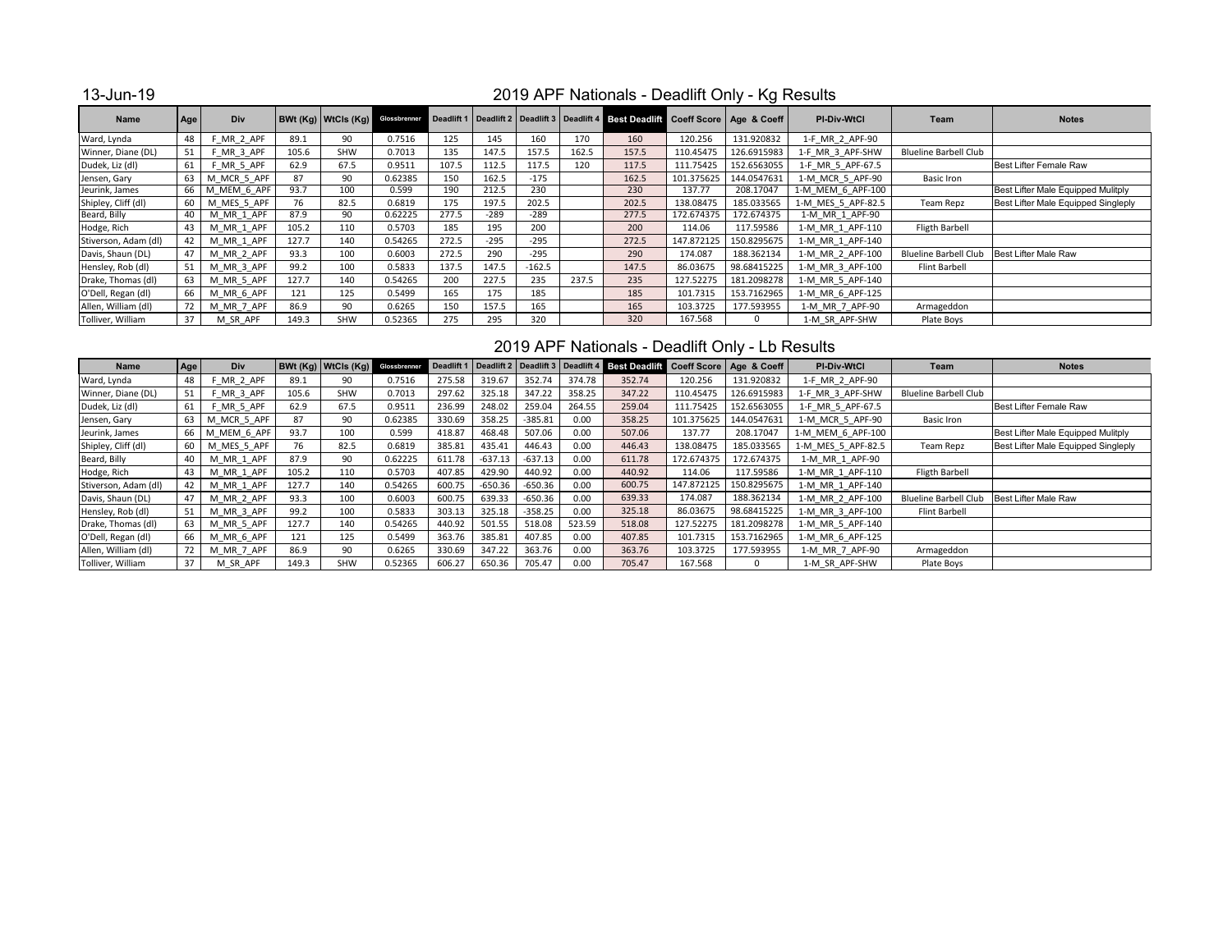13-Jun-19

## 2019 APF Nationals - Deadlift Only - Kg Results

| <b>Name</b>          | Age | Div            |       | <b>BWt (Kg) WtCls (Kg)</b> Glossbrenner |         |       |        |          |       | Deadlift 1   Deadlift 2   Deadlift 3   Deadlift 4   Best Deadlift Coeff Score   Age & Coeff |            |             | <b>PI-Div-WtCl</b> | Team                         | <b>Notes</b>                        |
|----------------------|-----|----------------|-------|-----------------------------------------|---------|-------|--------|----------|-------|---------------------------------------------------------------------------------------------|------------|-------------|--------------------|------------------------------|-------------------------------------|
| Ward, Lynda          | 48  | F MR 2 APF     | 89.1  | 90                                      | 0.7516  | 125   | 145    | 160      | 170   | 160                                                                                         | 120.256    | 131.920832  | 1-F MR 2 APF-90    |                              |                                     |
| Winner, Diane (DL)   | 51  | F MR 3 APF     | 105.6 | SHW                                     | 0.7013  | 135   | 147.5  | 157.5    | 162.5 | 157.5                                                                                       | 110.45475  | 126.6915983 | 1-F MR 3 APF-SHW   | <b>Blueline Barbell Club</b> |                                     |
| Dudek, Liz (dl)      | 61  | F MR 5 APF     | 62.9  | 67.5                                    | 0.9511  | 107.5 | 112.5  | 117.5    | 120   | 117.5                                                                                       | 111.75425  | 152.6563055 | 1-F MR 5 APF-67.5  |                              | Best Lifter Female Raw              |
| Jensen, Gary         | 63  | M MCR 5 APF    | 87    | 90                                      | 0.62385 | 150   | 162.5  | $-175$   |       | 162.5                                                                                       | 101.375625 | 144.0547631 | 1-M MCR 5 APF-90   | Basic Iron                   |                                     |
| Jeurink, James       |     | 66 M MEM 6 APF | 93.7  | 100                                     | 0.599   | 190   | 212.5  | 230      |       | 230                                                                                         | 137.77     | 208.17047   | 1-M MEM 6 APF-100  |                              | Best Lifter Male Equipped Mulitply  |
| Shipley, Cliff (dl)  | 60  | M MES 5 APF    | 76    | 82.5                                    | 0.6819  | 175   | 197.5  | 202.5    |       | 202.5                                                                                       | 138.08475  | 185.033565  | 1-M MES 5 APF-82.5 | <b>Team Repz</b>             | Best Lifter Male Equipped Singleply |
| Beard, Billy         | 40  | M MR 1 APF     | 87.9  | 90                                      | 0.62225 | 277.5 | $-289$ | $-289$   |       | 277.5                                                                                       | 172.674375 | 172.674375  | 1-M MR 1 APF-90    |                              |                                     |
| Hodge, Rich          | 43  | M MR 1 APF     | 105.2 | 110                                     | 0.5703  | 185   | 195    | 200      |       | 200                                                                                         | 114.06     | 117.59586   | 1-M MR 1 APF-110   | <b>Fligth Barbell</b>        |                                     |
| Stiverson, Adam (dl) | 42  | M MR 1 APF     | 127.7 | 140                                     | 0.54265 | 272.5 | $-295$ | $-295$   |       | 272.5                                                                                       | 147.872125 | 150.8295675 | 1-M MR 1 APF-140   |                              |                                     |
| Davis, Shaun (DL)    | 47  | M MR 2 APF     | 93.3  | 100                                     | 0.6003  | 272.5 | 290    | $-295$   |       | 290                                                                                         | 174.087    | 188.362134  | 1-M MR 2 APF-100   | <b>Blueline Barbell Club</b> | Best Lifter Male Raw                |
| Hensley, Rob (dl)    | 51  | M MR 3 APF     | 99.2  | 100                                     | 0.5833  | 137.5 | 147.5  | $-162.5$ |       | 147.5                                                                                       | 86.03675   | 98.68415225 | 1-M MR 3 APF-100   | Flint Barbell                |                                     |
| Drake, Thomas (dl)   | 63  | M MR 5 APF     | 127.7 | 140                                     | 0.54265 | 200   | 227.5  | 235      | 237.5 | 235                                                                                         | 127.52275  | 181.2098278 | 1-M MR 5 APF-140   |                              |                                     |
| O'Dell, Regan (dl)   | 66  | M MR 6 APF     | 121   | 125                                     | 0.5499  | 165   | 175    | 185      |       | 185                                                                                         | 101.7315   | 153.7162965 | 1-M MR 6 APF-125   |                              |                                     |
| Allen, William (dl)  | 72  | M MR 7 APF     | 86.9  | 90                                      | 0.6265  | 150   | 157.5  | 165      |       | 165                                                                                         | 103.3725   | 177.593955  | 1-M MR 7 APF-90    | Armageddon                   |                                     |
| Tolliver, William    | 37  | M SR APF       | 149.3 | <b>SHW</b>                              | 0.52365 | 275   | 295    | 320      |       | 320                                                                                         | 167.568    | $\Omega$    | 1-M SR APF-SHW     | Plate Boys                   |                                     |

## 2019 APF Nationals - Deadlift Only - Lb Results

| <b>Name</b>          | Age | <b>Div</b>     |       | BWt(Kq) WtCls(Kq) | Glossbrenner |        |           |           |        |        |            | Deadlift 1   Deadlift 2   Deadlift 3   Deadlift 4   Best Deadlift   Coeff Score   Age & Coeff | <b>PI-Div-WtCl</b> | Team                         | <b>Notes</b>                        |
|----------------------|-----|----------------|-------|-------------------|--------------|--------|-----------|-----------|--------|--------|------------|-----------------------------------------------------------------------------------------------|--------------------|------------------------------|-------------------------------------|
| Ward, Lynda          | 48  | F MR 2 APF     | 89.1  | 90                | 0.7516       | 275.58 | 319.67    | 352.74    | 374.78 | 352.74 | 120.256    | 131.920832                                                                                    | 1-F MR 2 APF-90    |                              |                                     |
| Winner, Diane (DL)   | 51  | F MR 3 APF     | 105.6 | <b>SHW</b>        | 0.7013       | 297.62 | 325.18    | 347.22    | 358.25 | 347.22 | 110.45475  | 126.6915983                                                                                   | 1-F MR 3 APF-SHW   | <b>Blueline Barbell Club</b> |                                     |
| Dudek, Liz (dl)      | 61  | F MR 5 APF     | 62.9  | 67.5              | 0.9511       | 236.99 | 248.02    | 259.04    | 264.55 | 259.04 | 111.75425  | 152.6563055                                                                                   | 1-F MR 5 APF-67.5  |                              | Best Lifter Female Raw              |
| Jensen, Gary         | 63  | M MCR 5 APF    | 87    | 90                | 0.62385      | 330.69 | 358.25    | $-385.81$ | 0.00   | 358.25 | 101.375625 | 144.0547631                                                                                   | 1-M MCR 5 APF-90   | Basic Iron                   |                                     |
| Jeurink, James       |     | 66 M MEM 6 APF | 93.7  | 100               | 0.599        | 418.87 | 468.48    | 507.06    | 0.00   | 507.06 | 137.77     | 208.17047                                                                                     | 1-M MEM 6 APF-100  |                              | Best Lifter Male Equipped Mulitply  |
| Shipley, Cliff (dl)  | 60  | M MES 5 APF    | 76    | 82.5              | 0.6819       | 385.81 | 435.41    | 446.43    | 0.00   | 446.43 | 138.08475  | 185.033565                                                                                    | 1-M MES 5 APF-82.5 | Team Repz                    | Best Lifter Male Equipped Singleply |
| Beard, Billy         | 40  | M MR 1 APF     | 87.9  | 90                | 0.62225      | 611.78 | $-637.13$ | $-637.13$ | 0.00   | 611.78 | 172.674375 | 172.674375                                                                                    | 1-M MR 1 APF-90    |                              |                                     |
| Hodge, Rich          | 43  | M MR 1 APF     | 105.2 | 110               | 0.5703       | 407.85 | 429.90    | 440.92    | 0.00   | 440.92 | 114.06     | 117.59586                                                                                     | 1-M MR 1 APF-110   | <b>Fligth Barbell</b>        |                                     |
| Stiverson, Adam (dl) | 42  | M MR 1 APF     | 127.7 | 140               | 0.54265      | 600.75 | $-650.36$ | $-650.36$ | 0.00   | 600.75 | 147.872125 | 150.8295675                                                                                   | 1-M MR 1 APF-140   |                              |                                     |
| Davis, Shaun (DL)    | 47  | M MR 2 APF     | 93.3  | 100               | 0.6003       | 600.75 | 639.33    | $-650.36$ | 0.00   | 639.33 | 174.087    | 188.362134                                                                                    | 1-M MR 2 APF-100   | <b>Blueline Barbell Club</b> | Best Lifter Male Raw                |
| Hensley, Rob (dl)    | 51  | M MR 3 APF     | 99.2  | 100               | 0.5833       | 303.13 | 325.18    | $-358.25$ | 0.00   | 325.18 | 86.03675   | 98.68415225                                                                                   | 1-M MR 3 APF-100   | Flint Barbell                |                                     |
| Drake, Thomas (dl)   | 63  | M MR 5 APF     | 127.7 | 140               | 0.54265      | 440.92 | 501.55    | 518.08    | 523.59 | 518.08 | 127.52275  | 181.2098278                                                                                   | 1-M MR 5 APF-140   |                              |                                     |
| O'Dell, Regan (dl)   | 66  | M MR 6 APF     | 121   | 125               | 0.5499       | 363.76 | 385.81    | 407.85    | 0.00   | 407.85 | 101.7315   | 153.7162965                                                                                   | 1-M MR 6 APF-125   |                              |                                     |
| Allen, William (dl)  | 72  | M MR 7 APF     | 86.9  | 90                | 0.6265       | 330.69 | 347.22    | 363.76    | 0.00   | 363.76 | 103.3725   | 177.593955                                                                                    | 1-M MR 7 APF-90    | Armageddon                   |                                     |
| Tolliver, William    | 37  | M SR APF       | 149.3 | <b>SHW</b>        | 0.52365      | 606.27 | 650.36    | 705.47    | 0.00   | 705.47 | 167.568    | $\Omega$                                                                                      | 1-M SR APF-SHW     | Plate Boys                   |                                     |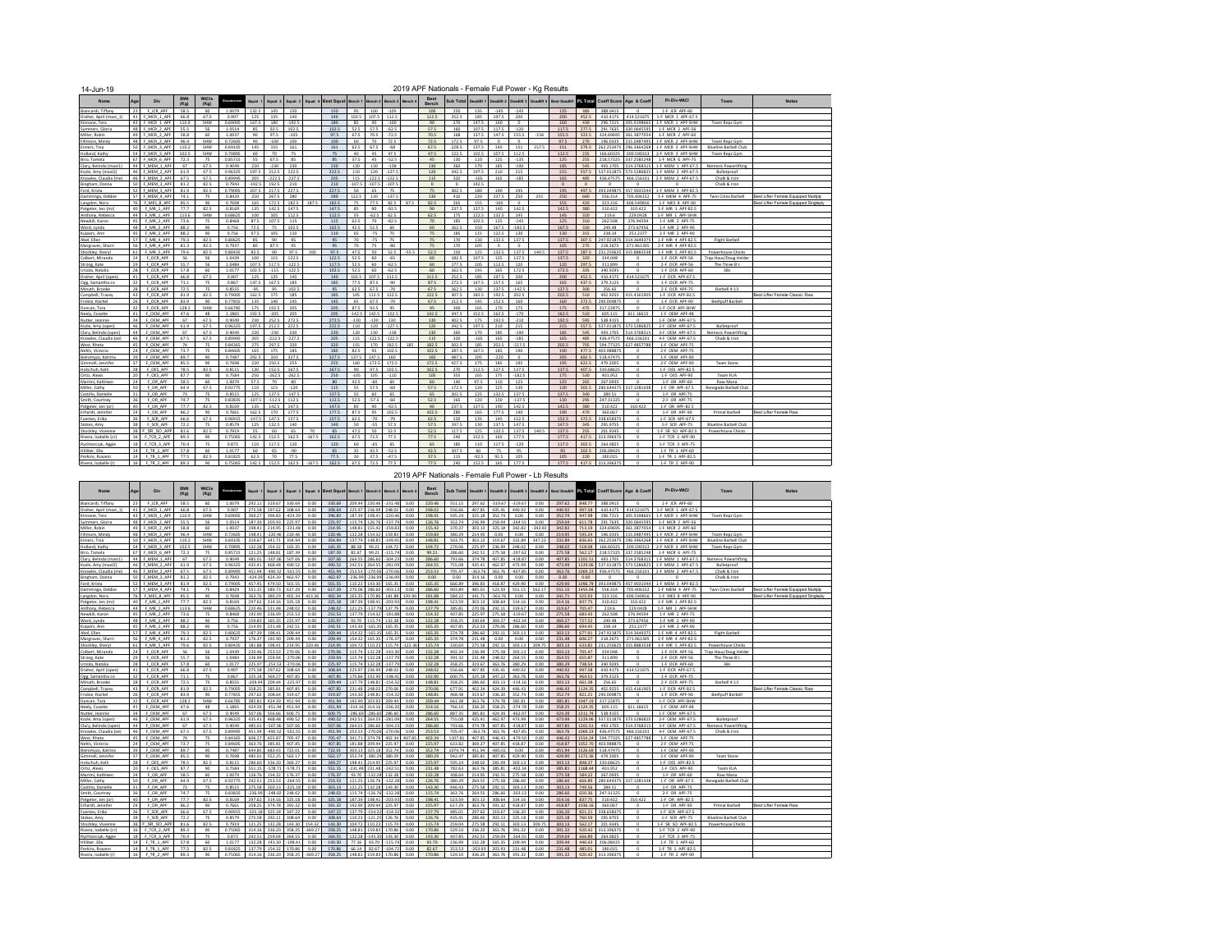| 14-Jun-19                               |                 |                            |                                 |                                   |                   |              |                 |               |         |                   |                   |                 |                 |         |               | 2019 APF Nationals - Female Full Power - Kg Results |               |                   |                    |        |                                     |              |                       |                          |                                       |                                               |                                       |
|-----------------------------------------|-----------------|----------------------------|---------------------------------|-----------------------------------|-------------------|--------------|-----------------|---------------|---------|-------------------|-------------------|-----------------|-----------------|---------|---------------|-----------------------------------------------------|---------------|-------------------|--------------------|--------|-------------------------------------|--------------|-----------------------|--------------------------|---------------------------------------|-----------------------------------------------|---------------------------------------|
| Name                                    | Age             | Div                        | <b>BWt</b><br>(K <sub>Q</sub> ) | <b>WtCls</b><br>(K <sub>Q</sub> ) |                   | Squat        | Souat 2         | Souat :       | Souat 4 | <b>Best Squat</b> | Bench 1           | Bench 2         | Bench 3         |         | Best<br>Rench | <b>Sub Total</b>                                    | Deadlift 1    | Deadlift 2        |                    |        | Deadlift 3 Deadlift 4 Best Deadlift | PL Total     | Coeff Score           | Age & Coeff              | PI-Div-WtCl                           | Team                                          | <b>Notes</b>                          |
| Biancardi, Tiffany                      | 23              | F JCR APF                  | 58.5                            | 60                                | 1.0079            | 132.5        | 145             | 150           |         | 150               | 95                | 100             | 105             |         | 100           | 250                                                 | 135           | $-145$            | $-145$             |        | 135                                 | 385          | 388.0415              | $\Omega$                 | 1-F JCR APF-60                        |                                               |                                       |
| Draher, April (mast 1)                  | 41              | F MCR 1 APF                | 66.8                            | 67.5                              | 0.907             | 125          | 135             | 140           |         | 140               | 102.5             | 107.5           | 112.5           |         | 112.5         | 252.5                                               | 185           | 197.5             | 200                |        | 200                                 | 452.5        | 410.4175              | 414.521675               | 1-F MCR 1 APF-67.5                    |                                               |                                       |
| Kinnane, Tera                           |                 | 43 F MCR 1 APF             | 110.9                           | SHW                               | 0.69005           | 167.5        | 180             | $-192.5$      |         | 180               | 85                | 90              | $-100$          |         | 90            | 270                                                 | 147.5         | 160               | $\Omega$           |        | 160                                 | 430          | 296.7215              | 305.9198665              | 1-F MCR 1 APF-SHW                     | Team Repz Gym                                 |                                       |
| Summers, Gloria                         |                 | 48 F MCR 2 APF             | 55.5                            | 56                                | 1.0514            | 85           | 92.5            | 102.5         |         | 102.5             | 52.5              | 57.5            | $-62.5$         |         | 57.5          | 160                                                 | 107.5         | 117.5             | $-120$             |        | 117.5                               | 277.5        | 291.7635              | 320.0645595              | 1-F MCR 2 APF-56                      |                                               |                                       |
| Miller, Robin                           | 49<br>48        | F MCR 2 APF<br>F MCR 2 APF | 58.8                            | 60                                | 1.0037<br>0.72605 | 90<br>90     | 97.5<br>$-100$  | $-105$<br>100 |         | 97.5<br>100       | 67.5<br>60        | 70.5<br>70      | $-72.5$<br>72.5 |         | 70.5<br>72.5  | 168<br>172.5                                        | 137.5<br>97.5 | 147.5<br>$\Omega$ | 155.5<br>$\Omega$  | $-156$ | 155.5                               | 323.5<br>270 | 324.69695<br>196.0335 | 61.3877054<br>15.0487495 | 1-F MCR 2 APF-60<br>1-F MCR 2 APF-SHW |                                               |                                       |
| illmore, Mindy<br>Enners, Tina          |                 | 50 F MCR 3 APF             | 96.4<br>110.2                   | SHW<br>SHW                        | 0.69105           | 145          | 155             | 161           |         | 161               | 62.5              | 67.5            | $-68$           |         | 67.5          | 228.5                                               | 137.5         | 145               | 151                | 157.5  | 97.5<br>151                         | 379.5        | 262.253475            | 8354248 285              | 1-F MCR 3 APF-SHW                     | Team Repz Gym<br><b>Blueline Barbell Club</b> |                                       |
| Holland, Kathy                          |                 | 54 F MCR 3 APF             | 102.5                           | SHW                               | 0.70895           | 60           | 70              | 75            |         | 75.               | 40 <sub>1</sub>   | 45              | 475             |         | 475           | 122.5                                               | 102.5         | 107.5             | 112.5              |        | 1125                                | 235          | 166,60325             |                          | 200.590313 2-F MCR 3 APF-SHW          | Team Repz Gym                                 |                                       |
| Biro, Tamela                            |                 | 67 F MCR 6 APF             | 72.3                            | 75                                | 0.85715           | 55           | 67.5            | 85            |         | 85                | 37.5              | 45              | $-52.5$         |         | 45            | 130                                                 | 110           | 125               | $-135$             |        | 125                                 | 255          | 218.57325             | 337.2585248              | 1-F MCR 6 APF-75                      |                                               |                                       |
| Clary, Belinda (mast1                   | 44              | MFM 1 APF                  | 67                              | 67.5                              | n anse            | 220          | $-230$          | 230           |         | 230               | 120               | 130             | 138             |         | 130           | 360                                                 | 170           | 185               | $-190$             |        | 185                                 | 545          | 493 1705              | 14 3768315               | 1-F MFM 1 APF-671                     | <b>Nemesis Powerlifting</b>                   |                                       |
| Kozle, Amy (mast2)                      |                 | 46 F MEM 2 APF             | 61.9                            | 67.5                              | 0.96325           | 1975         | 212.5           | 2225          |         | 222.5             | 110               | 120             | 1275            |         | 120           | 342.5                                               | 1975          | 210               | 215                |        | 215                                 | 557.5        | 537011875             | 573 5286825              | 1-F MEM 2 APF-67.5                    | Bulletproof                                   |                                       |
| Knowles, Claudia (me                    |                 | 46 F MEM 2 APF             | 67.5                            | 67.5                              | 0.89995           | 205          | $-222.5$        | $-227.5$      |         | 205               | 115               | $-122.5$        | $-122.5$        |         | 115           | 320                                                 | $-165$        | 165               | $-185$             |        | 165                                 | 485          | 436.47575             | 466.156101               | 2-F MEM 2 APF-67.5                    | Chalk & Iron                                  |                                       |
| Bingham, Donna                          |                 | 50 F MEM 3 APF             | 81.2                            | 82.5                              | 0.7943            | $-192.5$     | 192.5           | 210           |         | 210               | $-107.5$          | $-107.5$        | $-107.5$        |         | $\circ$       | $\Omega$                                            | 142.5         |                   |                    |        | $\circ$                             | $\circ$      | $\Omega$              | $\Omega$                 | $\Omega$                              | Chalk & Iron                                  |                                       |
| Ford, Krista                            |                 | 52 F MEM 3 APF             | 81.9                            | 82.5                              | 0.79005           | 207.5        | 217.5           | 227.5         |         | 227.5             | 50                | 65              | 75              |         | 75            | 302.5                                               | 180           | 190               | 195                |        | 195                                 | 497.5        | 393.049875            | 457.9031044              | 1-F MEM 3 APF-82.5                    |                                               |                                       |
| Damminga, Debbie                        |                 | 57 F MEM 4 APF             | 74.1                            | 75                                | 0.8429            | 250          | 267.5           | 280           |         | 280               | 122.5             | 130             | 137.            |         | 130           | 410                                                 | 220           | 237.5             | 250                | 255    | 250                                 | 660          | 556.314               | 705.406152               | 1-F MEM 4 APF-75                      | <b>Twin Cities Barbell</b>                    | Best Lifter Female Equipped Mulitph   |
| Langdon, Nora                           | 76              | F MES 8 APF                | 85.5                            | 90                                | 0.7698            | 165          | 172.5           | 1825          | 187.5   | 182.5             | 75                | 77.5            | 82.5            | 87.5    | 82.5          | 265                                                 | 155           | $-165$            | $\Omega$           |        | 155                                 | 420          | 323.316               | 606.540816               | 1-F MES 8 APF-90                      |                                               | Best Lifter Female Equipped Singleply |
| Potgeter, Jen (mr)                      | 40 <sub>1</sub> | F MR 1 APF                 | 77.7                            | 82.5                              | 0.8169            | 135          | 142.5           | 147.5         |         | 147.5             | 85                | 90              | $-92.5$         |         | 90            | 237.5                                               | 137.5         | 140               | 142.5              |        | 142.5                               | 380          | 310.422               | 310.422                  | 1-F MR 1 APF-82 1                     |                                               |                                       |
| Anthony, Rebecca                        | 44<br>45        | F MR 1 APF                 | 113.6                           | SHW                               | 0.68625           | 100          | 105             | 112.5         |         | 112.5             | 55                | $-62.5$         | 62.5<br>$-825$  |         | 62.5          | 175                                                 | 122.5         | 132.5             | 145                |        | 145                                 | 320          | 219.6                 | 229.0428                 | 1-F MR 1 APF-SHW                      |                                               |                                       |
| Newbill, Karon                          | 48              | F MR 2 APF<br>F MR 2 APF   | 73.6<br>88.2                    | 75<br>90                          | 0.8468<br>0.756   | 87.5<br>72.5 | 107.5<br>75     | 115<br>102.5  |         | 115<br>102.5      | 62.5<br>42.5      | 70<br>52.5      | 60              |         | 70<br>60      | 185<br>162.5                                        | 102.5<br>150  | 125<br>167.5      | $-145$<br>$-182.5$ |        | 125<br>167.5                        | 310<br>330   | 262.508<br>249,48     | 276.94594<br>273.67956   | 1-F MR 2 APF-75<br>1-F MR 2 APF-90    |                                               |                                       |
| Ward, Lynda<br>Kuipers, Ann             | 45              | F MR 2 APF                 | 88.2                            | 90                                | 0.756             | 97.5         | 105             | 110           |         | 110               | 65                | $-75$           | 75              |         | 75            | 185                                                 | 115           | 122.5             | 130                |        | 130                                 | 315          | 238.14                | 251,2377                 | 2-F MR 2 APF-90                       |                                               |                                       |
| Abel, Ellen                             | 57              | F MR 4 APF                 | 79.3                            | 82.5                              | 0.80625           | 85           | 90              | 95            |         | 95                | 70                | $-75$           | 75              |         | 75            | 170                                                 | 130           | 1325              | 1375               |        | 137.5                               | 3075         | 247.921875            | 14 3649375               | 1-F MR 4 APF-82 5                     | Flight Barbell                                |                                       |
| Margrayes, Sharr                        | 56 I            | F MR 4 APF                 | 81.3                            | 82.5                              | 0.7937            | 80           | 87.5            | 95            |         | 95                | 70                | 75              | $-80$           |         | 75            | 170                                                 | 105           | $\circ$           | $\circ$            |        | 105                                 | 275          | 218.2675              | 271,961305               | 2-F MR 4 APF-821                      |                                               |                                       |
| Shockley, Shervi                        | 61              | F MR 5 APF                 | 79.6                            | 82.5                              | 0.80435           | 82.5         | 90              | 975           | 100     | 97.5              | 47.5              | 50              | 52.5            | $-55.5$ | 52.5          | 150                                                 | 125           | 132.5             | 137.5              | 140.5  | 137.5                               | 287.5        | 231.250625            | 315 8883538              | 1-F MR 5 APF-82.5                     | <b>Powerhouse Chicks</b>                      |                                       |
| Colbert, Miranda                        | 24              | F OCR APF                  | 56                              | 56                                | 1.0439            | 100          | 115             | 122.5         |         | 122.5             | 52.5              | 60              | $-65$           |         | 60            | 182.5                                               | 107.5         | 125               | 137.5              |        | 137.5                               | 320          | 334,048               | $\Omega$                 | 1-F OCR APF-56                        | Trap Haus/Doug Helder                         |                                       |
| Strong, Kate                            | 79              | OCR APE                    | 55.7                            | 56                                | 10484             | 1075         | 1175            | 1225          |         | 1175              | 52.5              | 60              | 625             |         | 50            | 1775                                                | 105           | 1125              | 120                |        | 120                                 | 7975         | 311.899               | $\Omega$                 | 2-F OCR APF-56                        | The Three B's                                 |                                       |
| Urzola, Natalia                         | 28              | F OCR APE                  | 57.8                            | 60                                | 1.0177            | 102.5        | $-115$          | $-122.5$      |         | 1025              | 52.5              | 60              | $-62.5$         |         | 60            | 162.5                                               | 145           | 165               | 172.5              |        | 172.5                               | 335          | 340.9295              | $\circ$                  | 1-F OCR APF-60                        | 3Bs                                           |                                       |
| Draher, April (open                     | 41              | F OCR APE                  | 66.8                            | 67.5                              | 0.907             | 125          | 135             | 140           |         | 140               | 102.5             | 107.5           | 112.5           |         | 112.5         | 252.5                                               | 185           | 197.5             | 200                |        | 200                                 | 452.5        | 410.4175              | 414.521675               | 1-F OCR APF-67.5                      |                                               |                                       |
| Ogg, Samantha-Jo                        | 32              | F OCR APE                  | 71.1                            | 75                                | 0.867             | 147.5        | 167.5           | 185           |         | 185               | 77.5              | 87.5            | $-90$           |         | 87.5          | 272.5                                               | 147.5         | 157.5             | 165                |        | 165                                 | 437.5        | 379.3125              | $\circ$                  | 1-F OCR APF-75                        |                                               |                                       |
| Minuth, Brooke                          | 28              | F OCR APF                  | 72.5                            | 75                                | 0.8555            | $-95$        | 95              | $-102.5$      |         | 95                | 62.5              | 67.5            | $-70$           |         | 67.5          | 162.5                                               | 130           | 137.5             | $-142.5$           |        | 137.5                               | 300          | 256.65                | $\circ$                  | 2-F OCR APF-75                        | Barbell 4:13                                  |                                       |
| Campbell, Tracev                        | 43              | F OCR APE                  | 81.9                            | 82.5                              | 0.79005           | 162.5        | 175             | 185           |         | 185               | 105               | 112.5           | 122.5           |         | 122.5         | 307.5                                               | 182.5         | 1925              | 202.5              |        | 202.5                               | 510          | 402.9255              | 15.4161905               | 1-F OCR APF-82.5                      |                                               | Best Lifter Female Classic Raw        |
| Frisbie, Rachel                         | 26              | F OCR APF                  | 83.9                            | 90                                | 0.77855           | 135          | 140             | 145           |         | 145               | 65                | 67.5            | $-70$           |         | 67.5          | 212.5                                               | 145           | 152.5             | 160                |        | 160                                 | 372.5        | 290.009879            | $\Omega$                 | 1-F OCR APF-90                        | Beefpuff Barbell                              |                                       |
| Duncan, Tara                            | 32<br>41        | F OCR APF                  | 128.2<br>476                    | SHW                               | 0.66785           | 175          | 192.5           | 205           |         | 205               | 87.5              | 92.5            | 95              |         | 95            | 300                                                 | 165           | 170               | 175                |        | 175                                 | 475          | 317.22875             | $\sim$                   | 1-F OCR APF-SHW                       |                                               |                                       |
| Neely Cosette<br>Nutter leanni          | 34              | F OFM APE<br>F OEM APF     | 67                              | 48<br>67.5                        | 1.1865<br>0.9049  | 1925         | $-205$<br>252.5 | 205<br>272.5  |         | 205<br>272.5      | $-1425$<br>$-130$ | 142.5<br>$-130$ | 152.5<br>130    |         | 1425<br>130   | 3475<br>402.5                                       | 152.5<br>175  | 162.5<br>192.5    | $-170$<br>$-210$   |        | 1625<br>192.5                       | 510<br>595   | 605.115<br>538,4155   | 611 16615<br>$\circ$     | 1-F OFM APF-48<br>1-F OEM APF-67.5    |                                               |                                       |
| Kazle, Amy (open)                       | 46              | F OEM APF                  | 61.9                            | 67.5                              | 0.96325           | 230<br>197.5 | 212.5           | 222.5         |         | 222.5             | 110               | 120             | 127.            |         | 120           | 342.5                                               | 1975          | 210               | 215                |        | 215                                 | 557.5        | 537.011875            | 573.5286825              | 2-F OEM APF-67.5                      | Bulletproof                                   |                                       |
| Clary, Belinda (open)                   | 44              | F OEM APF                  | 67                              | 67.5                              | 0.9049            | 220          | $-230$          | 230           |         | 230               | 120               | 130             | $-138$          |         | 130           | 360                                                 | 170           | 185               | $-190$             |        | 185                                 | 545          | 493.1705              | 514.3768315              | 3-F OEM APF-67.5                      | Nemesis Powerlifting                          |                                       |
| Knowles, Claudia (ge)                   | 46              | F OEM APP                  | 675                             | 67.5                              | 0.89995           | 205          | $-222.5$        | $-227.5$      |         | 205               | 115               | $-122.5$        | 1225            |         | 115           | 320                                                 | $-165$        | 165               | $-185$             |        | 165                                 | 485          | 436 47575             | 101321 334               | 4-F OEM APF-67.5                      | Chalk & Iron                                  |                                       |
| West, Rheta                             | 45              | F OFM APE                  | 74                              | 75                                | 0.84365           | 275          | 297.5           | 320           |         | 320               | 155               | 170             | 182.5           | 185     | 182.5         | 5025                                                | 185           | 202.5             | 217.5              |        | 2025                                | 705          | 594.77325             | 27 4857788               | 1-F OEM APF-75                        |                                               |                                       |
| Nehls, Victoria                         | 24              | F OEM APF                  | 73.7                            | 75                                | 0.84605           | 165          | 175             | 185           |         | 185               | 82.5              | 95              | 102.5           |         | 102.5         | 287.5                                               | 167.5         | 185               | 190                |        | 190                                 | 477.5        | 403.988875            | $\Omega$                 | 2-F OEM APF-75                        |                                               |                                       |
| Bielomyza, Katrina                      | 39              | F OEM APP                  | 89.7                            | 90                                | 0.7487            | 292.5        | 310             | 327.5         |         | 327.5             | 1375              | 147.5           | 160             |         | 160           | 4875                                                | 205           | $-220$            | $\Omega$           |        | 205                                 | 692.5        | 518,47475             | $\Omega$                 | 1-F OEM APF-90                        |                                               |                                       |
| Gimmell, Jennifer                       | 37              | F OEM APF                  | 855                             | 90                                | 0.7698            | 220          | 250.5           | 255           |         | 255               | 160               | $-172.5$        | 172.5           |         | 172.5         | 427.5                                               | 175           | 185               | 195                |        | 195                                 | 622.5        | 479.2005              | $\circ$                  | 2-F OEM APF-90                        | <b>Team Stone</b>                             |                                       |
| Holschuh, Kell                          | 28              | F OES APF                  | 78.5                            | 82.5                              | 0.8115            | 130          | 152.5           | 167.5         |         | 167.5             | 90                | 97.5            | 102.5           |         | 102.5         | 270                                                 | 112.5         | 127.5             | 137.5              |        | 137.5                               | 407.5        | 330.68625             | $\circ$                  | 1-F OES APF-82.5                      |                                               |                                       |
| Ortiz, Alexis                           | 20              | F OES APF                  | 87.7                            | 90                                | 0.7584            | 250          | $-262.5$        | 262.5         |         | 250               | $-105$            | 105             | $-110$          |         | 105           | 355                                                 | 165           | 175               | 182.5              |        | 175                                 | 530          | 401.952               |                          | 1-F OES APF-90                        | <b>Team FUA</b>                               |                                       |
| Martini, Kathleen                       | 24              | F OR APF                   | 58.5                            | 60                                | 1.0079            | 57.5         | 70              | 80            |         | 80                | 42.5              | $-60$           | 60              |         | 60            | 140                                                 | 97.5          | 110               | 125                |        | 125                                 | 265          | 267.0935              | $\circ$                  | 1-F OR APF-60                         | Raw Mana                                      |                                       |
| Miller, Cathy                           | $50 -$          | F OR APE                   | 64.9                            | 67.5                              | 0.92775           | 110          | 115             | $-120$        |         | 115               | 55                | 57.5            | $-60 -$         |         | 57.5          | 172.5                                               | 120           | 125               | 130                |        | 130                                 | 3025         | 280 644375            | 17.1281438               | 1-F OR APF-67.5                       | Renezade Barbell Club                         |                                       |
| Castillo, Danielli                      | 31              | F OR APF                   | 73                              | 75                                | 0.8515            | 125          | 137.5           | $-147.5$      |         | 137.5             | 55                | 60              | 65              |         | 65            | 202.5                                               | 125           | 132.5             | 137.5              |        | 137.5                               | 340          | 289.51                | $\Omega$                 | 1-F OR APF-75                         |                                               |                                       |
| Smith, Courtney                         | 36              | F OR APF                   | 74.7                            | 75                                | 0.83835           | $-107.5$     | $-112.5$        | 112.5         |         | 112.5             | 52.5              | $-57.5$         | $-60$           |         | 52.5          | 165                                                 | 120           | 130               | $-137.5$           |        | 130                                 | 295          | 247.31325             | $^{\circ}$               | 2-F OR APF-75                         |                                               |                                       |
| Potgeter, Jen (or)<br>Erhardt, Jennifer | 40<br>24        | F OR APP<br>F OR APE       | 77.7<br>86.2                    | 82.5<br>$90^{\circ}$              | 0.8169<br>0.7661  | 135<br>162.5 | 142.5<br>170    | 147.5<br>1775 |         | 147.5<br>1775     | 85<br>87.5        | 90<br>95        | $-92.5$<br>1025 |         | 90<br>1025    | 237.5<br>280                                        | 137.5<br>165  | 140<br>1775       | 142.5<br>190       |        | 1425<br>190 <sub>1</sub>            | 380<br>470   | 310.422<br>360.067    | 310.422<br>$\Omega$      | 1-F OR APF-82.5<br>1-F OR APF-90      | Primal Rarhell                                | <b>Rest Lifter Female Raw</b>         |
|                                         | 36              | F SCR APF                  | 66.6                            | 67.5                              | 0.90915           | $-147.5$     | 147.5           | 157.5         |         | 157.5             | 62.5              | $-70$           | $-70$           |         | 62.5          | 220                                                 | 135           | 145               | 152.5              |        | 152.5                               | 372.5        | 338.658375            | $\circ$                  | 1-F SCR APF-67.5                      |                                               |                                       |
| Fuentes, Erika<br>Stokes, Amy           | 38              | F SCR APF                  | 72.2                            | 75                                | 0.8579            | 125          | 132.5           | 140           |         | 140               | 50                | $-55$           | 57.5            |         | 57.5          | 197.5                                               | 130           | 137.5             | 147.5              |        | 147.5                               | 345          | 295.9755              |                          | 1-F SCR APF-75                        | <b>Blueline Barbell Club</b>                  |                                       |
| Shockley, Vivienne                      |                 | 38 F SR SO APP             | 81.6                            | 82.5                              | 0.7919            | 55           | 60              | 65            | 70      | 65                | 47.5              | 50              | 52.5            |         | 52.5          | 117.5                                               | 125           | 132.5             | 137.5              | 140.5  | 137.5                               | 255          | 201.9345              | $^{\circ}$               | 1-F SR SD APF-82.5                    | Powerhouse Chicks                             |                                       |
| Rivera, Isabelle (cr)                   | 16              | F TCR 2 APF                | 89.3                            | $90^{\circ}$                      | 0.75065           | 142.5        | 152.5           | 162.5         | 167.5   | 162.5             | 67.5              | 72.5            | 775             |         | 77.5          | 240                                                 | 152.5         | 165               | 177.5              |        | 177.5                               | 417.5        | 313.396375            | $\Omega$                 | 1-F TCR 2 APF-90                      |                                               |                                       |
| Rychtarczyk, Aggie                      | 18 <sup>1</sup> | F TCR 3 APE                | 70.4                            | 75                                | 0.873             | 110          | 1175            | 120           |         | 120               | 60                | $-65$           | 65              |         | 65            | 185                                                 | 110           | 1175              | $-120$             |        | 1175                                | 3025         | 264.0825              |                          | 1-F TCR 3 APF-75                      |                                               |                                       |
| Hilliker, Ella                          | 14              | F TR 1 APF                 | 57.8                            | 60                                | 1.0177            | 60           | 65              | $-90$         |         | 65                | 35                | 42.5            | $-52.5$         |         | 42.5          | 107.5                                               | 60            | 75                | 95                 |        | 95                                  | 202.5        | 206.08429             | $\Omega$                 | 1-F TR 1 APF-60                       |                                               |                                       |
| Perkins, Roxann                         | 14              | F TR 1 APF                 | 77.5                            | 82.5                              | 0.81825           | 62.5         | 70              | 77.5          |         | 77.5              | 30                | 37.5            | $-47.5$         |         | 37.5          | 115                                                 | $-92.5$       | 92.5              | 105                |        | 105                                 | 220          | 180.015               | $\circ$                  | 1-F TR 1 APF-82.5                     |                                               |                                       |
| Rivera, Isabelle (r)                    | 16              | F TR 2 APE                 | 893                             | 90 <sub>0</sub>                   | 0.75065           | 142.5        | 152.5           | 162.5         | 1675    | 162.5             | 67.5              | 725             | 775             |         | 775           | 240                                                 | 152.5         | 165               | 1775               |        | 1775                                | 4175         | 313 396375            | $\sim$                   | 1-F TR 2 APF-90                       |                                               |                                       |

2019 APF Nationals - Female Full Power - Lb Results

| Name                                | 0 <sub>0</sub>         | Div                    | <b>BWt</b><br>(Kg) | <b>WtCls</b><br>(Kg) |                   | Souat               | Souat            | Souat <sub>3</sub> |              | Squat 4 Best Squat Bench 1 |                 |                  | Bench 2 Bench 3 Bench |                 | Rost<br>Bench    | <b>Sub Total</b> | Deadlift 1       |                  |                    |              | Deadlift 2 Deadlift 3 Deadlift 4 Best Deadlift 1 1 17-17 Coeff Score Age & Coeff |                  |                    |                        | PI-Div-WtCl                        | Team                       | <b>Notes</b>                          |
|-------------------------------------|------------------------|------------------------|--------------------|----------------------|-------------------|---------------------|------------------|--------------------|--------------|----------------------------|-----------------|------------------|-----------------------|-----------------|------------------|------------------|------------------|------------------|--------------------|--------------|----------------------------------------------------------------------------------|------------------|--------------------|------------------------|------------------------------------|----------------------------|---------------------------------------|
| Biancardi, Tiffam                   |                        | F JCR APF              | 58.5               | 60                   | 1,0079            | 292.11              | 319.67           | 330.69             | n nn         | 330.69                     | 209.44          | 220.46           | $-231.48$ 0.00        |                 | 220.46           | 551.15           | 297.62           |                  | $-319.67 - 319.67$ | 0.00         | 297.62                                                                           | 848.77           | 388,0415           | $\Omega$               | 1-F JCR APF-60                     |                            |                                       |
| Draher, April (mast 1)              | 41                     | F MCR 1 APR            | <b>66.8</b>        | 67.5                 | 0.907             | 275.58              | 297.62           | 308.64             | 0.00         | 308.64                     | 225.97          | 236.99           | 248.02                | 0.00            | 248.02           | 556.66           | 407.85           | 435.41           | 440.97             | 0.00         | 440.92                                                                           | 997.58           | 410.4175           | 414.521675             | 1-F MCR 1 APF-675                  |                            |                                       |
| Kinnane Terz                        |                        | F MCR 1 APF            | 110.9              | SHW                  | 0.69005           | 369.27              | 396.83           | $-424.39$          | 0.00         | 396.83                     | 187.3           | 198.41           | 220.46                | 00              | 198.41           | 595.24           | 325.18           | 352.74           | 0.00               | 0.00         | 352.74                                                                           | 947.98           | 296.7215           | 305.9198665            | 1-F MCR 1 APF-SHV                  | Team Repz Gym              |                                       |
| iummers, Gloria                     | 48                     | F MCR 2 APP            | 55.5               | <b>CG</b>            | 1.0514            | 187.3               | 203.93           | 225.97             | 0.00         | 225.97                     | 115.7           | 126.76           | 137.79                | 0.01            | 126.76           | 352.74           | 236.99           | 259.04           | $-264.55$          | 0.00         | 259.04                                                                           | 611.78           | 291.7635           | 320.064559             | 1-F MCR 2 APF-56                   |                            |                                       |
| Miller, Robin                       | 49                     | MCR 2 APP              | 58.8               | 60                   | 1.0037            | 198.41              | 214.95           | $-231.48$          | 0.00         | 214.95                     | 148.81          | 155.42           | 159.83                | 0.00            | 155.42           | 370.37           | 303.13           | 325.18           | 342.82             | 343.92       | 342.82                                                                           | 713.19           | 324.69695          | 361.387705             | 1-F MCR 2 APF-60                   |                            |                                       |
| Fillmore, Mindy                     | 48                     | F MCR 2 APP            | 96.4               | SHW                  | 0.72605           | 198.41              | $-220.4$         | 220.46             | 0.00         | 220.46                     | 132.2           | 154.32           | 159.83                | 0.00            | 159.83           | 380.29           | 214.95           | 0.00             | 0.00               | 0.00         | 214.95                                                                           | 595.24           | 196.0335           | 215.048749             | 1-F MCR 2 APF-SHW                  | Team Repz Gym              |                                       |
| Enners, Tina                        | sn                     | F MCR 3 APF            | 110.2              | <b>SHW</b>           | 0.69105           | 319.67              | 341.71           | 354.94             | 0.00         | 354.94                     | 137.79          | 148.81           | 149.91                | 0.00            | 148.81           | 503.75           | 303.13           | 319.67           | 332.89             | 347.22       | 332.89                                                                           | 836.65           | 262.253475         | 296.3464268            | 1-F MCR 3 APF-SHW                  | Blueline Barbell Club      |                                       |
| Holland, Kath                       | CA.                    | MCR 3 APR              | 102.5              | SHW                  | 0.70895           | 132.28              | 154.37           | 165.35             | n nn         | 165.35                     | 88.18           | 99.21            | 104.72                | 0.00            | 104.72           | 270.06           | 225.97           | <b>PP AFC</b>    | 248.02             | n nn         | 248.02                                                                           | 518.08           | 2503 861           | 200 590313             | 2-F MCR 3 APF-SHW                  | Team Repz Gym              |                                       |
| <b>Riro Tamela</b>                  | C <sub>7</sub>         | <b>NCR 6 APR</b>       | 72.3               | 75                   | 0.85715           | 121.25              | 148.81           | 18739              | 0.00         | 18739                      | 82.67           | 99.21            | 115.74                | 0.00            | 99.21            | 286.60           | 242.51           | 275.58           | $-29762$           | n nn         | 275.58                                                                           | 562.17           | 21857325           | 337.2585248            | 1-F MCR 6 APF-75                   |                            |                                       |
| Clary, Belinda (mast1               | 44                     | MEM 1 APR              | 67                 | 67.5                 | 0.9049            | 485.01              | 507.06           | 507.06             | 0.00         | 507.06                     | 264.5           | 286.60           | 304.23                | 0.00            | 286.60           | 793.66           | 374.78           | 407.85           | $-418.87$          | 0.00         | 407.85                                                                           | 201.51           | 493.1705           | 514.376831             | 1-F MEM 1 APF-67.5                 | Vemesis Powerlifting       |                                       |
| Kozle Amy (mast2                    | 46                     | F MEM 2 APF            | 61.9               | 67.5                 | 0.96325           | 435.41              | 468.48           | 490.52             | 0.00         | 490.52                     | 242.5           | 264.55           | 281.09                | 0.00            | 264.55           | 755.08           | 435.41           | 462.97           | 473.99             | 0.00         | 473.99                                                                           | 229.06           | 537.011875         | 573.5286825            | 1-F MEM 2 APF-67.                  | Bulletproof                |                                       |
| Knowles, Claudia (me)               | AC                     | F MFM 2 APF            | 67.5               | 67.5                 | 200980            | 451.94              | 4905             | 50155              | n nn         | 451.94                     | 253.57          | 270.06           | 270.06                | 0.00            | 253.53           | 705.47           | 363.76           | 363.76           | 407.85             | 0.00         | 363.76                                                                           | <b>FC PAO1</b>   | 436,47575          | 466 156101             | 2-F MFM 2 APF-675                  | Chalk & Iron               |                                       |
| Bingham, Donna                      |                        | F MEM 3 APF            | 81.2               | 82.5                 | 0.7943            | $-424.39$           | 424.39           | 462.97             | 0.00         | 462.97                     | $-236.9$        | 236.99           | 236.99                | 0.00            | 0.00             | 0.00             | 314.16           | 0.00             | 0.00               | 0.00         | 0.00                                                                             | 0.00             | $\Omega$           | $\Omega$               | $\Omega$                           | Chalk & Iron               |                                       |
| Ford, Krista                        | 52                     | F MEM 3 APF            | 81.9               | 82.5                 | 0.79005           | 457.45              | 479.50           | 501.55             | 0.00         | 501.55                     | 110.2           | 143.30           | 165.35                | 0.00            | 165.35           | 666.89           | 396.83           | 418.87           | 429.90             | 0.00         | 429.90                                                                           | 1096.79          | 393.049875         | 457.9031044            | 1-F MEM 3 APF-82.                  |                            |                                       |
| Damminga, Debbie                    |                        | F MEM 4 APF            | 74.1               | 75                   | 0.8429            | 551.15              | 589.73           | 617.29             | 0.00         | 617.29                     | 270.06          | 286.60           | 303.13                | 0.00            | 286.60           | 903.89           | 485.01           | 523.59           | 551.15             | 562.17       | 551.15                                                                           | 455.04           | 556.314            | 705,406152             | 1-F MEM 4 APF-75                   | <b>Twin Cities Barbell</b> | lest Lifter Female Equipped Mulitply  |
| Lanedon, Nora                       | 76                     | F MES 8 APF            | 85.5               | 90                   | 0.7698            | 363.76              | 380.29           | 402.34             | 413.36       | 402.34                     | 165.3           | 170.86           | 181.88                | 192.9           | 181.88           | 584.22           | 341.71           | $-363.76$        | 0.00               | 0.00         | 341.71                                                                           | 925.93           | 323.316            | 606.54081              | 1-F MES 8 APF-90                   |                            | Best Lifter Female Equipped Singleply |
| Potgeter, Jen (mr)                  |                        | F MR 1 APF             | 77.7               | 82.5                 | 0.8169            | 297.62              | 314.16           | 325.18             | 0.00         | 325.18                     | 187.3           | 198.41           | 203.93                | 0.00            | 198.41           | 523.59           | 303.13           | 308.64           | 314.16             | 0.00         | 314.16                                                                           | 837.75           | 310,422            | 310.422                | 1-F MR 1 APF-82.5                  |                            |                                       |
| Anthony, Rebecca                    | 44                     | F MR 1 APR             | 113.6              | SHW                  | 0.68625           | 220.46              | 231.48           | 248.02             | 0.00         | 248.02                     | 121.25          | 137.79           | 137.79                | 0.00            | 137.79           | 385.81           | 270.06           | 292.11           | 319.67             | 0.00         | 319.67                                                                           | 705.47           | 219.6              | 229.0428               | 1-F MR 1 APF-SHW                   |                            |                                       |
| Newbill, Karon                      | 48                     | MR <sub>2</sub> AP     | 73.6               | 75                   | 0.8468            | 192.90              | 236.99           | 253.53             | 0.00         | 253.53                     | 137.7           | 154.32           | 181.88                | 0.00            | 154.32           | 407.85           | 225.97           | 275.58           | 319.67             | 0.00         | 275.58                                                                           | 683.43           | 262.508            | 276,94594              | 1-F MR 2 APF-75                    |                            |                                       |
| Ward, Lynda                         |                        | F MR 2 APF             | 88.2               | 90                   | 0.756             | 159.83              | 165.35           | 225.97             | 0.00         | 225.97                     | 93.70           | 115.74           | 132.28                | 0.00            | 132.28           | 358.25           | 330.69           | 369.27           | $-402.34$          | 0.00         | 369.27                                                                           | 727.52           | 249.48             | 273.67956              | 1-F MR 2 APF-90                    |                            |                                       |
| Kuipers, Ann                        | AC                     | F MR 2 APF             | 88.2               | 90                   | 0.756             | 214.95              | 231.48           | 242.51             | 0.00         | 242.51                     | 143.31          | 165.35           | 165.35                | 0.00            | 165.35           | 407.85           | 253.53           | 270.06           | 286.60             | 0.00         | 286,60                                                                           | 694.45           | 238.14             | 251.2377               | 2-F MR 2 APF-90                    |                            |                                       |
| Abel Filen                          | <b>C7</b><br><b>CG</b> | F MR 4 AP              | 79.3               | 82.5                 | 0.80625           | 18739               | 198.41           | 209.44             | 0.00         | 209.44                     | 154.32          | 165.35           | 165.35                | 0.00            | 165.35           | 374 78           | 286.60           | 292.11           | 303.13             | n nn         | 303.13                                                                           | 677.91           | 247.921875         | 314.3649375            | 1-F MR 4 APF-82 S                  | Flight Barbell             |                                       |
| Margraves, Sharr                    |                        | F MR 4 APR             | 813                | 82.5                 | 0.7937            | 176.37              | 197 90           | 209.44             | n nn         | 209.44                     | 154.33          | 165.35           | 176.37                | 0.00            | 165.35           | 374 78           | 231.48           | n on             | 0.00               | 0.00         | 231.48                                                                           | 606.27           | 218 2675           | 271 961 305            | 2-F MR 4 APF-82 5                  |                            |                                       |
| Shockley, Shervl                    |                        | F MR 5 APF             | 79.6               | 82.5                 | 0.80435           | 181.88              | 198.41           | 214.95             | Ab 055       | 214.95                     | 104.77          | 110.23           |                       | 115 74 - 122 34 | 115.74           | <b>PA 035</b>    | 275.58           | 292.11           | 303.13             | 309.75       | 303.13                                                                           |                  | 63382 231 250625   | 315 8883538            | 1-F MR 5 APF-82 5                  | <b>Powerhouse Chicks</b>   |                                       |
| Colbert, Miranda                    | 24                     | F OCR APF              | 56                 | 56                   | 1.0439            | 220.46              | 253.53           | 270.06             | 0.00         | 270.06                     | 115.74          | 132.28           | 143.30                | 0.00            | 132.28           | 402.34           | 236.99           | 275.58           | 303.13             | 0.00         | 303.13                                                                           | 705.47           | 334,048            | $\sim$                 | 1-F OCR APF-56                     | Trap Haus/Doug Helder      |                                       |
| Strong, Kate                        | 79                     | F OCR APF              | 55.7               | 56                   | 1.0484            | 236.99              | 259.04           | $-270.06$          | 0.00         | 259.04                     | 115.74          | 132.28           | 137.79                | 0.00            | 132.28           | 391.32           | 231.48           | 248.02           | 264.55             | 0.00         | 264.55                                                                           | 655.87           | 311.899            | $\Omega$               | 2-F OCR APF-56                     | The Three B's              |                                       |
| Urzola, Natalia                     | $\lambda$              | F OCR APE              | 57.8               | 60                   | 1.0177            | 225.97              | 253.5            | 270.06             | n nn         | 225.97                     | 115.74          | 132.28           | 137.79                | 0.00            | 132.28           | 358.25           | 319.67           | 363.76           | 380.79             | 0.00         | 380.29                                                                           | 738.54           | 340.9295           | $\Omega$               | 1-F OCR APF-60                     | 3Rs                        |                                       |
| Draher, April (open                 | 32                     | F OCR APE<br>F OCR APE | <b>66.8</b>        | 67.5                 | 0.907             | 275.58              | 297.62           | 308.64             | 0.00         | 308.64                     | 225.97          | 236.99           | 248.02                | 0.00            | 248.02           | 556.66           | 407.85           | 435.41           | 440.92             | 0.00         | 440.97                                                                           | 997.58           | 410.4175           | 414.521675<br>$\Omega$ | 1-F OCR APF-67.5                   |                            |                                       |
| Opp. Samantha-Jo                    |                        |                        | 71.1               | 75<br>75             | 0.867             | 325.18              | 369.27           | 407.85             | 0.00         | 407.85                     | 170.8           | 192.90           | 198.41                | 0.00            | 192.90           | 600.75           | 325.18           | 347.22           | 363.76             | 0.00         | 363.76                                                                           | 964.51           | 379.3125           | $\Omega$               | 1-F OCR APF-75                     |                            |                                       |
| Minuth, Brooke                      | 43                     | F OCR API<br>F OCR API | 72.5<br>81.9       | 82.5                 | 0.8555<br>0.79005 | $-209.44$<br>358.25 | 209.44<br>385.81 | 225.97<br>407.85   | 0.00<br>0.00 | 209,44<br>407.85           | 137.7<br>231.48 | 148.81<br>248.02 | 154.32<br>270.06      | 0.00<br>0.00    | 148.81<br>270.06 | 358.25<br>677.91 | 286.60<br>402.34 | 303.13<br>424.39 | 314.16<br>446.43   | 0.00<br>0.00 | 303.13<br>446,43                                                                 | 561.38<br>124.35 | 256.65<br>402.9255 | 415.416190             | 2-F OCR APF-75<br>1-F OCR APF-82.5 | Barbell 4:13               | Best Lifter Female Classic Raw        |
| Campbell, Tracey<br>Frisbie, Rachel | 26                     | F OCR AP               | 83.9               | 90                   | 0.77855           | 297.62              | 308.64           | 319.67             | 0.00         | 319.67                     | 143.3           | 148.81           | 154.32                | 0.00            | 148.81           | 468.48           | 319.67           | 336.20           | 352.74             | 0.00         | 352.74                                                                           | 821.21           | 90.00987           |                        | 1-F OCR APF-90                     | Beefpuff Barbell           |                                       |
| Duncan, Tara                        | 32                     | OCR APP                | 128.2              | SHW                  | 0.66785           | 385.81              | 424.39           | 451.94             | 0.00         | 451.94                     | 192.90          | 203.93           | 209.44                | 0.00            | 209.44           | 661.38           | 363.76           | 374.78           | 385.81             | 0.00         | 385.81                                                                           | 047.19           | 317.22875          | $\Omega$               | 1-F OCR APF-SHW                    |                            |                                       |
| Neely, Cosette                      | $\overline{a}$         | F OEM AP               | 47.6               | 48                   | 1.1865            | 424.39              | 451.9            | 451.94             | 0.00         | 451.94                     | 314.1           | 314.16           | 336.20                | 0.00            | 314.16           | 766.10           | 336.20           | 358.25           | $-374.78$          | 0.00         | 358.25                                                                           | 124.35           | 605.115            | 611.1661               | 1-F OEM APF-48                     |                            |                                       |
| Nutter leannie                      | 24                     | F OFM API              | 67                 | 67.5                 | PA0P 0            | 507.06              | 556.66           | 600.75             | 0.00         | 600.75                     | $-286.60$       | 286.60           | <b>DA 885</b>         | 0.00            | 286.60           | 88735            | 385.81           | 424.39           | $-46297$           | 0.001        | 424.39                                                                           | 311.74           | 538,4155           | $\sim$                 | 1-F OEM APF-67.5                   |                            |                                       |
| Kozle, Amy (open)                   | 46                     | F OFM APE              | 61.9               | 67.5                 | 0.96325           | 435.41              | 468.48           | 490.52             | 0.00         | 490.52                     | 242.51          | 264.55           | 281.09                | 0.00            | 264.55           | 755.08           | 435.41           | 462.97           | 473.99             | 0.00         | 473.99                                                                           | 229.06           | 537.011875         | 573.5286825            | 2-F OEM APF-67.5                   | Bulletproof                |                                       |
| Clary, Belinda (open                | $\overline{A}$         | <b>CODA ARE</b>        | GT.                | 67.5                 | PAOP O            | 485.01              | 507.06           | 507.06             | n nn         | 507.06                     | 364.51          | 03.385           | 304.23                | 0.00            | <b>DA 285</b>    | 702.66           | 374 78           | 407.85           | $-418.87$          | 0.001        | 407.85                                                                           | 20151            | 493.1705           | 514 3768315            | 3-F OFM APF-67.5                   | Nemesis Powerlifting       |                                       |
| Knowles, Claudia (ge)               | 46                     | F OEM APF              | 67.5               | 67.5                 | 0.89995           | 451.94              | $-490.5$         | $-501.55$          | 0.00         | 451.94                     | 253.53          | 270.06           | 270.06                | 0.00            | 253.53           | 705.47           | 363.76           | 363.76           | $-407.85$          | 0.00         | 363.76                                                                           | 1069.23          | 436.47575          | 466,15610              | 4-F OEM APF-67.5                   | Chalk & Iron               |                                       |
| West, Rheta                         |                        | F OFM APE              | 74                 | 75                   | 0.84365           | 606.27              | 655.87           | 705.47             | n nn         | 705.47                     | 341.7           | 374 78           |                       | 402.34 407.8    | 402.34           | 107.81           | 407.85           | 446.43           | $-47950$           | n nn         | 446.43                                                                           | 554.24           | 594 77325          | 627 4857781            | 1-F OFM APF-75                     |                            |                                       |
| Nehls, Victoria                     | 24                     | F OEM APF              | 73.7               | 75                   | 0.84605           | 363.76              | 385.81           | 407.85             | 0.00         | 407.85                     | 181.88          | 209.44           | 225.97                | 0.00            | 225.97           | 633.82           | 369.27           | 407.85           | 418.87             | 0.00         | 418.87                                                                           | 1052.70          | 403.988875         | $\Omega$               | 2-F OEM APF-75                     |                            |                                       |
| Bielomyza, Katrina                  |                        | F OEM APF              | 89.7               | 90                   | 0.7487            | 644.85              | 683.43           | 722.01             | 0.00         | 722.01                     | 303.13          | 325.18           | 352.74                | 0.00            | 352.74           | 1074.74          | 451.94           | 485.01           | 0.00               | 0.00         | 451.94                                                                           | 526.69           | 518.47475          | $\Omega$               | 1-F OEM APF-90                     |                            |                                       |
| Gimmell, Jennifer                   | 37                     | F OEM API              | 85.5               | 90                   | 0.7698            | 485.0               | 552.25           | 562.17             | 0.00         | 562.17                     | 352.74          | 380.2            | 380.25                | 0.00            | 380.29           | 942.47           | 385.81           | 407.85           | 429.90             | 0.00         | 429.90                                                                           | 1372.36          | 479.2005           | $\Omega$               | 2-F OEM APF-90                     | Team Stone                 |                                       |
| Holschuh, Kelli                     | 28                     | F OES API              | 78.5               | 82.5                 | 0.8115            | 286.61              | 336.20           | 369.27             | 0.00         | 369.27                     | 198.4           | 214.95           | 225.97                | 0.00            | 225.97           | 595.24           | 248.02           | 281.09           | 303.13             | 0.00         | 303.13                                                                           | 898.37           | 330.68625          | $\Omega$               | 1-F OES APF-82.5                   |                            |                                       |
| Ortiz Alexis                        |                        | F OES API              | 87.7               | 90                   | 0.7584            | 551.15              | 578.71           | 578.71             | 0.00         | 551.15                     | 231.4           | 231.48           | 242.51                | 0.00            | 231.48           | 782.63           | 363.76           | 385.81           | 402.34             | 0.00         | 385.81                                                                           | 168.44           | 401.952            | $\Omega$               | 1-F OES APF-90                     | Team FIIA                  |                                       |
| Martini, Kathleen                   | 24                     | OR APP                 | 58.5               | 60                   | 1.0079            | 126.76              | 154.32           | 176.37             | 0.00         | 176.37                     | 93.70           | 132.28           | 132 28                | 0.00            | 132.28           | 308.64           | 214.95           | 242.51           | 275.58             | 0.00         | 275.58                                                                           | 584.22           | 267.0935           | $\Omega$               | 1-F OR APF-60                      | Raw Mana                   |                                       |
| Miller, Cathy                       | co.                    | F OR APF               | 64.9               | 67.5                 | 0.92775           | 242.51              | 253.53           | $-264.55$          | 0.00         | 253.53                     | 121.25          | 126.76           | 132.28                | 0.00            | 126.76           | 380.29           | 264.55           | 275.58           | 286.60             | 0.00         | 286,60                                                                           | 66.89            | 280,644375         | 317.1281438            | 1-F OR APF-67.5                    | Renezade Barbell Club      |                                       |
| Castillo, Danielle                  | 31                     | F OR APP               | 73                 | 75                   | 0.8515            | 275.58              | 303.13           | $-325.18$          | 0.00         | 303.13                     | 121.25          | 132.28           | 14330                 | 0.00            | 143.30           | 446.43           | 275.58           | 292.11           | 303.13             | n nn         | 303.13                                                                           | 749.56           | 289.51             | $\Omega$               | 1-F OR APF-75                      |                            |                                       |
| Smith, Courtney                     |                        | F OR APE               | 747                | 75                   | 0.83835           | $-23699$            | $-24802$         | 248.02             | n nn         | 248.02                     | 115.74          | 126.76           | 132.28                | 0.00            | 115.74           | 363.76           | 264.55           | 286.60           | $-303.13$          | 0.00         | 286.60                                                                           | <b>AF 028</b>    | 247.31325          | $\sim$                 | 2-F OR APF-75                      |                            |                                       |
| Potgeter, Jen (or)                  | $\overline{AB}$        | F OR APP               | 77.7               | 82.5                 | 0.8169            | 297.62              | 314.16           | 325.18             | 0.00         | 325.18                     | 187.35          | 198.41           | 203.93                | 0.00            | 198.41           | 523.59           | 303.13           | 308.64           | 314.16             | 0.00         | 314.16                                                                           | 837.75           | 310.422            | 310.422                | 1-F OR APF-82.5                    |                            |                                       |
| Erhardt, Jennifer                   | 24                     | F OR APE               | 86.2               | 90                   | 0.7661            | 358.25              | 374.78           | 391.32             | n nn         | 39132                      | 192.90          | 209.44           |                       | 225.97 0.00     | 225.97           | 617.79           | 363.76           | 391.32           | 418.87             | 0.00         | 418.87                                                                           | 81.801           | 360.067            | $\Omega$               | 1-F OR APF-90                      | Primal Rarhell             | Inst Lifter Female Raw                |
| Fuentes, Erika                      | 20                     | E SCR APE              | <b>66.6</b>        | 67.5                 | 0.90915           | $-325.18$           | 325.18           | 347.22             | 0.00         | 347.22                     | 137.79          | 154.32           | 154.32                | 0.00            | 137.79           | 485.01           | 297.62           | 319.67           | 336.20             | 0.00         | 336,20                                                                           | 821.21           | 338 658375         | $\Omega$               | 1-F SCR APE-67.5                   |                            |                                       |
| Stokes, Amy                         |                        | F SCR APP              | 72.2               | 75                   | 0.8579            | 275.58              | 292.13           | 308.64             | 0.00         | 308.64                     | 110.23          | 121.25           | 126.76                | 0.00            | 126.76           | 435.41           | 286.60           | 303.13           | 325.18             | 0.00         | 325.18                                                                           | 760.59           | 295.9755           | $\Omega$               | 1-F SCR APF-75                     | Blueline Barbell Club      |                                       |
| Shockley, Vivienne                  |                        | SR SO AF               | 81.6               | 82.5                 | 0.7919            | 121.25              | 132.21           | 143.30             | 154.32       | 143.30                     | 104.7           | 110.23           | 115.74                | 0.00            | 115.74           | 259.04           | 275.58           | 292.13           | 303.13             | 309.75       | 303.13                                                                           | 562.17           | 201.9345           | $\Omega$               | 1-F SR SD APF-82.5                 | Powerhouse Chicks          |                                       |
| Rivera, Isabelle (cr)               |                        | F TCR 2 APF            | 89.3               | 90                   | 0.75065           | 314.16              | 336.20           | 358.25             | 369.27       | 358.25                     | 148.8           | 159.83           | 170.86                | 0.00            | 170.86           | 529.10           | 336.20           | 363.76           | 391.32             | 0.00         | 391.32                                                                           | 920.42           | 13.396375          | $\Omega$               | 1-F TCR 2 APF-90                   |                            |                                       |
| Rychtarczyk, Aggie                  | 10                     | F TCR 3 APF            | 70.4               | 75                   | 0.873             | 242.51              | 259.04           | 264.55             | 0.00         | 264.55                     | 132.2           | 143.30           | 143.30                | 0.00            | 143.30           | 407.85           | 242.51           | 259.04           | $-264.55$          | 0.00         | 259.04                                                                           | 66.89            | 264.0825           |                        | 1-F TCR 3 APF-75                   |                            |                                       |
| Hilliker, Ella                      | 14                     | F TR 1 API             | 57.8               | 60                   | 1.0177            | 132.2               | 143.30           | 198.41             | 0.00         | 143.30                     | 77.16           | 93.70            | 115.74                | 0.00            | 93.70            | 236.99           | 132.28           | 165.3            | 209.44             | 0.00         | 209.44                                                                           | 446.43           | 206.08425          | $\Omega$               | 1-F TR 1 APF-60                    |                            |                                       |
| Perkins, Roxann                     | 14                     | F TR 1 APF             | 77.5               | 82.5                 | 0.81825           | 137.79              | 154.32           | 170.86             | 0.00         | 170.86                     | 66.14           | 82.67            | 104.72                | 0.00            | 82.67            | 253.53           | $-203.93$        | 203.93           | 231.48             | 0.00         | 231.48                                                                           | 485.01           | 180.015            | $\Omega$               | 1-F TR 1 APF-82.5                  |                            |                                       |
| Rivera, Isabelle (r)                | 16                     | F TR 2 APF             | 893                | $90^{\circ}$         | 0.75065           | 314.16              | 336.70           | 358.25             | 369.27       | 358.25                     | 148.81          | 159.83           | 170.86                | 0.00            | 170.86           | 529.10           | 336.20           | 363.76           | 39132              | 0.00         | 39132                                                                            | 920.42           | 113 396375         | $\mathbf{a}$           | 1-F TR 2 APF-90                    |                            |                                       |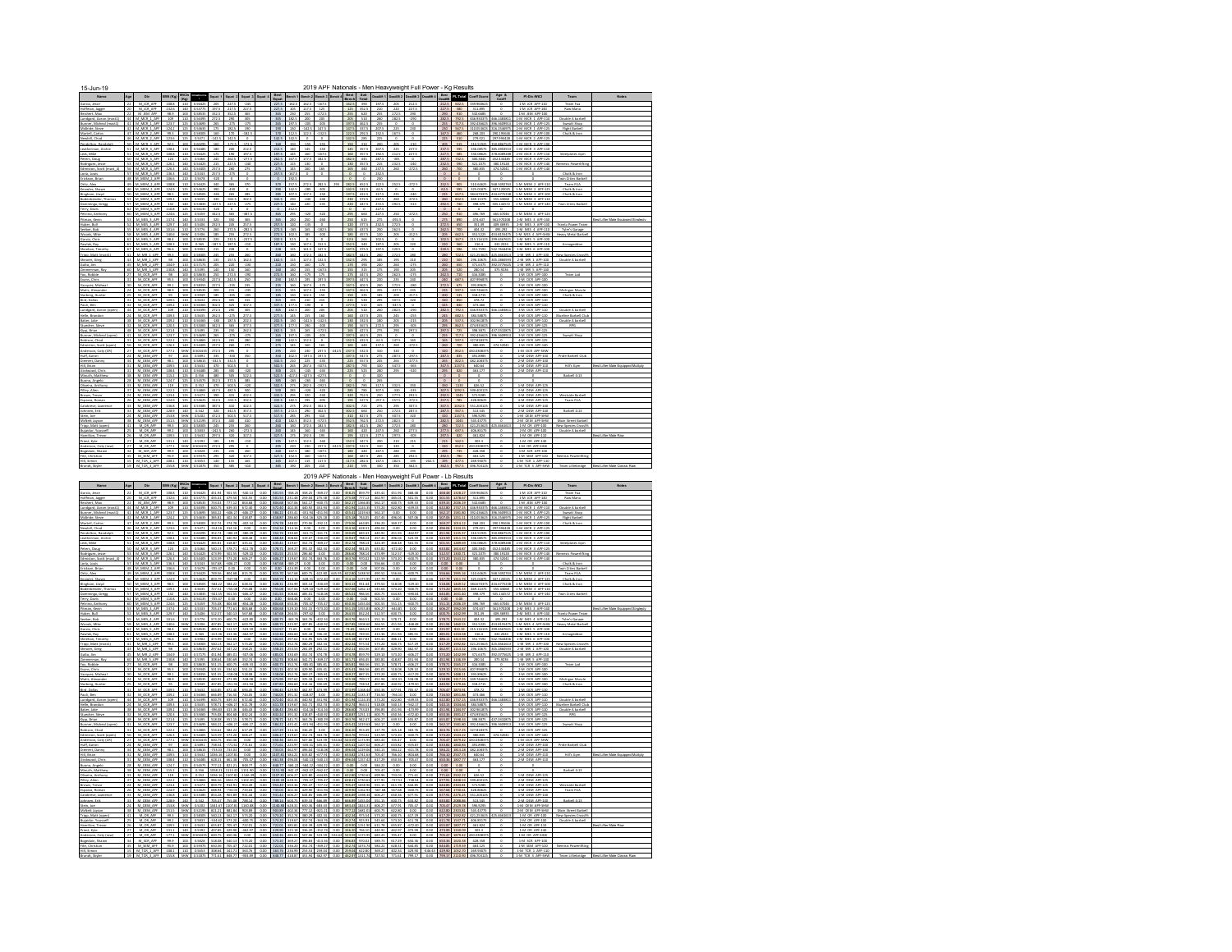| $15 - \frac{10}{N \cdot 100}$                                                                                                                                                                                                                                            |                         |                                                                                                                          |                                                                                 |                                                    |                                                                                                                                                                                                                                                                                                                                             |                                                                |                                                                         |                                                                                                                                  |                                                                     |                                                                                                                                                                                                                                                                                                                       |                                                             |                                                                         |                                                                                                                                                                                                          | 2019 APF Nationals - Men Heavyweight Full Power - Kg Results                              |                                                                                |                                                                       |                                                                                                                                                                                                                                                                              |                                                                                                 |                                                              |                                                                                                       |                            |                                                                                                                                                                                     |                                                                                                                                                                                                                                                                                                                   |                                                                                                                                                       |                                                                                                                                                                                      |                                             |  |
|--------------------------------------------------------------------------------------------------------------------------------------------------------------------------------------------------------------------------------------------------------------------------|-------------------------|--------------------------------------------------------------------------------------------------------------------------|---------------------------------------------------------------------------------|----------------------------------------------------|---------------------------------------------------------------------------------------------------------------------------------------------------------------------------------------------------------------------------------------------------------------------------------------------------------------------------------------------|----------------------------------------------------------------|-------------------------------------------------------------------------|----------------------------------------------------------------------------------------------------------------------------------|---------------------------------------------------------------------|-----------------------------------------------------------------------------------------------------------------------------------------------------------------------------------------------------------------------------------------------------------------------------------------------------------------------|-------------------------------------------------------------|-------------------------------------------------------------------------|----------------------------------------------------------------------------------------------------------------------------------------------------------------------------------------------------------|-------------------------------------------------------------------------------------------|--------------------------------------------------------------------------------|-----------------------------------------------------------------------|------------------------------------------------------------------------------------------------------------------------------------------------------------------------------------------------------------------------------------------------------------------------------|-------------------------------------------------------------------------------------------------|--------------------------------------------------------------|-------------------------------------------------------------------------------------------------------|----------------------------|-------------------------------------------------------------------------------------------------------------------------------------------------------------------------------------|-------------------------------------------------------------------------------------------------------------------------------------------------------------------------------------------------------------------------------------------------------------------------------------------------------------------|-------------------------------------------------------------------------------------------------------------------------------------------------------|--------------------------------------------------------------------------------------------------------------------------------------------------------------------------------------|---------------------------------------------|--|
|                                                                                                                                                                                                                                                                          | Age                     | Div                                                                                                                      | <b>SWI (Kg)</b> WICIs                                                           |                                                    |                                                                                                                                                                                                                                                                                                                                             |                                                                |                                                                         |                                                                                                                                  |                                                                     |                                                                                                                                                                                                                                                                                                                       |                                                             |                                                                         |                                                                                                                                                                                                          |                                                                                           |                                                                                |                                                                       |                                                                                                                                                                                                                                                                              |                                                                                                 |                                                              |                                                                                                       |                            |                                                                                                                                                                                     |                                                                                                                                                                                                                                                                                                                   | Squat 1 Squat 2 Squat 3 Squat 4 Sext Beach 1 Beach 2 Beach 3 Beach 4 Beat 5ub Dought 1 Deadlit 2 Deadlit 2 Deadlit 2 Deadlit 2 Text Coeff Score Age & | PI-Div-WICI                                                                                                                                                                          | Team                                        |  |
|                                                                                                                                                                                                                                                                          |                         |                                                                                                                          |                                                                                 |                                                    |                                                                                                                                                                                                                                                                                                                                             |                                                                |                                                                         |                                                                                                                                  |                                                                     |                                                                                                                                                                                                                                                                                                                       |                                                             |                                                                         |                                                                                                                                                                                                          |                                                                                           |                                                                                |                                                                       |                                                                                                                                                                                                                                                                              |                                                                                                 |                                                              |                                                                                                       |                            |                                                                                                                                                                                     |                                                                                                                                                                                                                                                                                                                   |                                                                                                                                                       |                                                                                                                                                                                      |                                             |  |
| Hoffman, Japper<br>Reichert, Max<br>Lundgard, Aaron (m.<br>Bunner, Micheal (m.<br>McBride, Steve                                                                                                                                                                         |                         | 44 M MCR 1 API<br>M MCR 1 AP                                                                                             | 123.7                                                                           | $\frac{1}{10}$                                     | 0.54695                                                                                                                                                                                                                                                                                                                                     | 265                                                            |                                                                         | $-275$<br>190                                                                                                                    |                                                                     | 205<br>265<br>197.5                                                                                                                                                                                                                                                                                                   | 1875                                                        |                                                                         |                                                                                                                                                                                                          |                                                                                           |                                                                                |                                                                       |                                                                                                                                                                                                                                                                              |                                                                                                 | 390                                                          |                                                                                                       | 282.5                      | 717.5                                                                                                                                                                               | 10243557                                                                                                                                                                                                                                                                                                          | 466,148381                                                                                                                                            | <b>1.M M'B</b><br>1-M MCR 1 APP-121                                                                                                                                                  | Druhle & harhel                             |  |
| Martell, Carlo                                                                                                                                                                                                                                                           |                         | 42 M MCR 1 AP<br>47 M_MCR_2_AP<br>46 M MCR 2 AS                                                                          | 124.2<br>92.3<br>123.6                                                          | 125                                                | 125 0.54635<br>100 0.58305<br>0.5471                                                                                                                                                                                                                                                                                                        | 175<br>160<br>$-342.5$                                         | 182.5<br>170<br>142.5                                                   | $-182.5$                                                                                                                         |                                                                     | 190 130<br>170 112.5<br>$142.5$ 142                                                                                                                                                                                                                                                                                   |                                                             | $-142.5$ 147.5<br>122.5 -132.5                                          |                                                                                                                                                                                                          |                                                                                           | 122.5<br>142.5                                                                 |                                                                       | 147.5 137.5 207.5<br>292.5 152.5                                                                                                                                                                                                                                             | 225<br>167.5                                                                                    | 230<br>$\circ$                                               |                                                                                                       | 167.5<br>225               | 460<br>510                                                                                                                                                                          | 279.021                                                                                                                                                                                                                                                                                                           | 258.203 290.195546<br>207.004428                                                                                                                      | 230 567.5 310.053625 316.2546975 2-M MCR 1 APP-125<br>1-M MCR 2 APP-100<br>1-M MCR 2 APP-12                                                                                          | <b>Flight Barbell</b>                       |  |
| Newbill Chad<br>Pendelton, Randolph                                                                                                                                                                                                                                      |                         | 50 M MCR 3 APR<br>M. MCR. 3, API                                                                                         | 108.4                                                                           |                                                    | 92.5 100 0.60295                                                                                                                                                                                                                                                                                                                            | 160<br>180                                                     | $-172.5$<br>200                                                         | $-172.5$<br>212.5                                                                                                                |                                                                     | 160 150 -155<br>212.5                                                                                                                                                                                                                                                                                                 | 140                                                         | 145                                                                     | $-155$<br>$-150$                                                                                                                                                                                         |                                                                                           | 150<br>145                                                                     | 310                                                                   | 200<br>207.5                                                                                                                                                                                                                                                                 | 205<br>225                                                                                      | $-210$<br>237.5                                              |                                                                                                       | 237.5                      | 595                                                                                                                                                                                 | 336,08575                                                                                                                                                                                                                                                                                                         | 85.4903553                                                                                                                                            | 205 515 310.51925 350.8867525 1-M MCR 3 APP-100<br>1-M MCR 1-APP-110                                                                                                                 |                                             |  |
| Pendelton, Randolp<br>Leatherman, Archie<br>Leath Mile<br>Petern, Doug<br>Rodriguez, Jesse<br>Lomiton, Scott Ima<br>Loria, Louis<br>Crickson, Brian<br>Ding, Louis<br>Ding, Ding, Shawn<br>Ring, Petern, Norweg, Shawn<br>Ring, Petern Ring, Shawn<br>Ringshawn, S       |                         | 51 M MCR 3 API<br>50 M_MCR_3_AP                                                                                          | 108.8<br>124                                                                    | $\frac{25}{2}$                                     | 110 0.56485<br>110 0.56425<br>0.5466                                                                                                                                                                                                                                                                                                        | 175<br>245                                                     | 190<br>262.5                                                            | 197.5<br>$-277.5$                                                                                                                |                                                                     | 197.5<br>262.5                                                                                                                                                                                                                                                                                                        | 145<br>167.5                                                | 160                                                                     | $-167.5$<br>182.5                                                                                                                                                                                        |                                                                                           | 160<br>182.5                                                                   | 357.5                                                                 | 192.5<br>287.5                                                                                                                                                                                                                                                               | 212.5                                                                                           | 227.5                                                        |                                                                                                       | 227.5<br>287.5             | 585<br>732.5                                                                                                                                                                        | 110.08625<br>400.3845                                                                                                                                                                                                                                                                                             | 378.6089288<br>452.434485                                                                                                                             | 2-M MCR 3-APP-116<br>1-M MCR                                                                                                                                                         |                                             |  |
|                                                                                                                                                                                                                                                                          |                         | 51 M MCR 3 AP<br>56 M MCR 4 AP<br>57 M MCR 5 AP<br>48 M MEM 2 AP                                                         | $\frac{126.1}{126.3}$<br>$\frac{136.3}{106.6}$                                  |                                                    | 140 0.54425<br>140 0.54425<br>140 0.5343<br>110 0.5678                                                                                                                                                                                                                                                                                      | $\begin{array}{r} 215 \\ 237.5 \\ 257.5 \\ \hline \end{array}$ | 227 I<br>260<br>-275                                                    | $\frac{275}{0}$                                                                                                                  |                                                                     | 275<br>257.5                                                                                                                                                                                                                                                                                                          | 115<br>145<br>167.5                                         |                                                                         |                                                                                                                                                                                                          |                                                                                           | $\frac{130}{165}$                                                              | $\begin{array}{c}\n440 \\ 0 \\ 0\n\end{array}$                        | $\begin{array}{r} 215 \\ 237.5 \\ 252.5 \end{array}$                                                                                                                                                                                                                         | 260                                                                                             | 272.5                                                        |                                                                                                       | $rac{212.5}{260}$          | 550<br>700                                                                                                                                                                          | 121.1075<br>180.835                                                                                                                                                                                                                                                                                               | 474 52041                                                                                                                                             | 1-M MCR 1 APP-1<br>1-M MCR 4 APP-1                                                                                                                                                   |                                             |  |
|                                                                                                                                                                                                                                                                          |                         | 49 M MEM 2 APR                                                                                                           |                                                                                 |                                                    |                                                                                                                                                                                                                                                                                                                                             |                                                                | $\frac{365}{430}$                                                       | $\frac{370}{0}$                                                                                                                  |                                                                     |                                                                                                                                                                                                                                                                                                                       |                                                             |                                                                         |                                                                                                                                                                                                          |                                                                                           | $\frac{282.5}{142.5}$                                                          |                                                                       |                                                                                                                                                                                                                                                                              | $\frac{2525}{0}$                                                                                |                                                              |                                                                                                       |                            |                                                                                                                                                                                     | $\frac{1}{2}$                                                                                                                                                                                                                                                                                                     |                                                                                                                                                       |                                                                                                                                                                                      | Team FUA<br>Chalk & Iron                    |  |
|                                                                                                                                                                                                                                                                          |                         | 50 M_MEM_3_APP                                                                                                           |                                                                                 |                                                    | 1066 110 03676 110<br>1068 110 036425 160<br>124.9 125 034625 160<br>665 100 038565 165<br>109.3 110 03635 310                                                                                                                                                                                                                              |                                                                | 265                                                                     | $\frac{1}{215}$<br>342.5                                                                                                         |                                                                     | 370 257.5<br>390 342.5<br>285 397.5<br>342.5 230                                                                                                                                                                                                                                                                      |                                                             | $\begin{array}{r} 272.5 \\ -285 \\ 137.5 \end{array}$<br>$-240 - 240$   | 282.5<br>-305<br>-150                                                                                                                                                                                    |                                                                                           | 137.5<br>230                                                                   |                                                                       | $\begin{array}{@{}lllllllll@{}} \begin{array}{@{}lllllllll@{}} 0 & 200 & & & \\ 6515 & 2225 & & \\ 5325 & 625 & & \\ 4225 & 2125 & & \\ 5725 & 2475 & & \\ \end{array} \end{array}$                                                                                          | 215<br>260                                                                                      | $rac{2725}{0}$<br>$-272.5$                                   |                                                                                                       |                            |                                                                                                                                                                                     |                                                                                                                                                                                                                                                                                                                   |                                                                                                                                                       |                                                                                                                                                                                      |                                             |  |
| Damminga, Gregg                                                                                                                                                                                                                                                          |                         | 57 M_MEM_4_AR<br>62 M MFM 5 40                                                                                           | 132                                                                             | 125                                                | 140 0.53835<br>o serre                                                                                                                                                                                                                                                                                                                      | $-227.5$                                                       | 227.5                                                                   | $-275$                                                                                                                           |                                                                     | 227.5                                                                                                                                                                                                                                                                                                                 | 140                                                         | 220                                                                     | $-235$                                                                                                                                                                                                   |                                                                                           |                                                                                | 447.5                                                                 | 272.5                                                                                                                                                                                                                                                                        | 202.5                                                                                           | $-313$                                                       |                                                                                                       | 292.5                      | 740                                                                                                                                                                                 | 198,379                                                                                                                                                                                                                                                                                                           | 505.144572                                                                                                                                            | 1-M MEM 4 APP-146                                                                                                                                                                    | Twin Cities Barbell                         |  |
| Petrino, Anthony<br>Pitman, Kevin<br>Huber, Bull                                                                                                                                                                                                                         |                         | 60 M MEM 5 APR<br>53 M. Mts. 1, API                                                                                      |                                                                                 |                                                    | 124.6 125 0.5459<br>137.4 140 0.5333                                                                                                                                                                                                                                                                                                        | 342.5<br>320                                                   | 365<br>350                                                              | $-387.5$<br>365                                                                                                                  |                                                                     | 365<br>365 240 250                                                                                                                                                                                                                                                                                                    | 295                                                         | $-320$                                                                  | $-320$<br>$-260$                                                                                                                                                                                         |                                                                                           | 295<br>250                                                                     | 660<br>615                                                            | 227.5<br>275                                                                                                                                                                                                                                                                 | 250<br>$-292.5$                                                                                 | $-272.5$<br>$\circ$                                          |                                                                                                       | 250                        | 910<br>275 850                                                                                                                                                                      | 496.769<br>474.637                                                                                                                                                                                                                                                                                                |                                                                                                                                                       | 665.67046 1-M MEM 5 APF-125<br>561.970208 1-M MES 3 APP-140                                                                                                                          |                                             |  |
|                                                                                                                                                                                                                                                                          |                         | M. MES. 3, APP<br>M. Mt5 4, API<br>M. Mt5 4, API                                                                         | 129.7<br>101.6                                                                  | 140<br>StW                                         | 0.5406<br>110 0.5776<br>0.5306                                                                                                                                                                                                                                                                                                              | 232.5<br>260<br>185                                            | 245<br>272.5<br>255                                                     | $-282.5$<br>272.5                                                                                                                |                                                                     | 257.5<br>272.5<br>272.5                                                                                                                                                                                                                                                                                               | $-165$<br>102.5                                             | $-135$<br>165<br>185                                                    | $-182.5$<br>$-200$                                                                                                                                                                                       |                                                                                           | 165<br>185                                                                     | 437.5<br>457.5                                                        | 232.5<br>250<br>120                                                                                                                                                                                                                                                          | 272.5<br>262.5<br>205                                                                           | $^{\circ}$<br>$-212.5$                                       |                                                                                                       | 262.5<br>205               | 650<br>700<br>662.5                                                                                                                                                                 | 351.39<br>404.12<br>3515225                                                                                                                                                                                                                                                                                       | 409.16935<br>495.292<br>453 8155475                                                                                                                   | 2-M MES 3 APP-140<br>1-M MES 4 APP-110<br>1-M MIS 4 APP-SHW                                                                                                                          | Tyler's Garage<br>Heavy Metal Barb          |  |
| Huber, Bull<br>Seeber, Bob<br>Waads, Mike<br>Garcia, Chris<br>Sheehan, Tim<br>Tripp, Matt (i<br>Shearer, Greg<br>Galto, Jim                                                                                                                                              |                         | 62 M. MES. S. API<br>61 M. MES. S. API                                                                                   | 140.6<br>98.4<br>105.3                                                          | $\frac{100}{110}$                                  | 0.58535<br>$-0.565$                                                                                                                                                                                                                                                                                                                         | 220                                                            | 232.5<br>187.5                                                          | $-237.5$<br>$-210$                                                                                                               |                                                                     | 232.5<br>187.5                                                                                                                                                                                                                                                                                                        | $\frac{32.5}{130}$                                          | $\frac{0}{147.5}$                                                       | $rac{0}{1525}$                                                                                                                                                                                           |                                                                                           | 32.5<br>152.5                                                                  | 265<br>340                                                            | $\frac{102}{5}$                                                                                                                                                                                                                                                              | $rac{0}{205}$                                                                                   | $rac{0}{220}$                                                |                                                                                                       |                            |                                                                                                                                                                                     |                                                                                                                                                                                                                                                                                                                   | 99.6567621<br>432,2024                                                                                                                                | 1-M MES 5 APP-100<br>1-M MES 5 APP-110                                                                                                                                               |                                             |  |
|                                                                                                                                                                                                                                                                          |                         |                                                                                                                          |                                                                                 |                                                    |                                                                                                                                                                                                                                                                                                                                             |                                                                | $\begin{array}{r} 228 \\ 255 \\ 157.5 \\ 220 \\ 180 \end{array}$        |                                                                                                                                  |                                                                     |                                                                                                                                                                                                                                                                                                                       |                                                             | $\begin{array}{r} 141.5 \\ 172.5 \\ 127.5 \\ 160 \\ \hline \end{array}$ |                                                                                                                                                                                                          |                                                                                           |                                                                                | $\begin{array}{r} 375.5 \\ 442.5 \\ 255 \\ 350 \\ \hline \end{array}$ | $\begin{array}{r} 197.5 \\ 260 \\ 185 \\ 240 \\ 175 \end{array}$                                                                                                                                                                                                             | $\begin{array}{r} 220.5 \\ 272.5 \\ 155 \\ 260 \\ 190 \\ \end{array}$                           |                                                              |                                                                                                       |                            |                                                                                                                                                                                     |                                                                                                                                                                                                                                                                                                                   |                                                                                                                                                       |                                                                                                                                                                                      |                                             |  |
|                                                                                                                                                                                                                                                                          |                         | M MS 6 APP<br>M MR 1 APP<br>M MR 1 APP<br>M MR 3 APP<br>M MR 5 APP<br>M OCR APP                                          |                                                                                 |                                                    | $\begin{array}{ cccc } \hline 96.6 & 100 & 0.5602 \\ \hline 99.1 & 100 & 0.58305 \\ \hline 98 & 100 & 0.58355 \\ \hline 98 & 100 & 0.57175 \\ \hline 104.9 & 110 & 0.57175 \\ \hline 130.8 & 140 & 0.53655 \\ \hline \end{array}$                                                                                                           | $\begin{array}{r} 215 \\ 26 \\ 54 \\ 65 \\ \end{array}$        |                                                                         | $\begin{array}{r} \begin{array}{r} 0 \\ \hline 280 \\ \hline 1625 \\ \hline 320 \\ \hline 160 \\ \hline \end{array} \end{array}$ |                                                                     | $\begin{array}{r} 228 & 115 \\ 260 & 160 \\ 162.5 & 115 \\ 220 & 150 \\ 160 & 140 \\ 272.5 & 160 \end{array}$                                                                                                                                                                                                         |                                                             |                                                                         | 147.5<br>182.5<br>132.5<br>170<br>167.5                                                                                                                                                                  |                                                                                           | $\begin{array}{r} 147.5 \\ 182.5 \\ 112.5 \\ 170 \\ 170 \\ \hline \end{array}$ |                                                                       |                                                                                                                                                                                                                                                                              |                                                                                                 | $\begin{array}{r} 0 \\ 280 \\ 210 \\ 275 \\ 203 \end{array}$ |                                                                                                       |                            |                                                                                                                                                                                     | $\begin{array}{ c c c c c } \hline 102.5 & \mathbf{M7.5} & 215.116125 \\ \hline 210 & 560 & 116.4 \\ \hline 220 & 560 & 116.4 \\ \hline 235.5 & 560 & 215.17612 \\ \hline 210 & 575 & 471.75625 \\ \hline 210 & 560 & 216.16175 \\ \hline 225 & 710 & 216.34 \\ \hline 235 & 710 & 416.3035 \\ \hline 245.5 & 71$ | 105.280593<br>192.0775625<br>175.9216                                                                                                                 | 1 M MES 6 ART-200<br>1 M ME 1 APT-100<br>2 M ME 1 APT-100<br>1 M ME 2 APT-100<br>1 M ME 5 APT-140<br>1 M OCR APT-100                                                                 |                                             |  |
| <b>Evens</b> , Chris<br>Varguez, Mic                                                                                                                                                                                                                                     |                         | M OCR APP                                                                                                                | 95.5                                                                            |                                                    | 100 0.59345                                                                                                                                                                                                                                                                                                                                 | 227.5                                                          | 2725<br>242.5                                                           | $-200$                                                                                                                           |                                                                     | 250                                                                                                                                                                                                                                                                                                                   | 1825                                                        | $\frac{122}{175}$<br>$125 -$                                            | $rac{1}{175}$                                                                                                                                                                                            |                                                                                           | $\frac{1}{17}$<br>197.5                                                        | 447.5<br>447.5                                                        | 175<br>250                                                                                                                                                                                                                                                                   | 262.5                                                                                           | $rac{1}{275}$<br>240                                         |                                                                                                       | 262.5                      |                                                                                                                                                                                     | 240 687.5 407.996875                                                                                                                                                                                                                                                                                              |                                                                                                                                                       | 2-M OCR APP-100                                                                                                                                                                      |                                             |  |
| Matis, Alexan                                                                                                                                                                                                                                                            |                         | M OCR APP<br>24 M OCR APP<br>25 M. OCR_APP                                                                               | 99.1<br>98.9<br>95                                                              |                                                    | 100 0.58355<br>100 058535<br>100 0.5949 185                                                                                                                                                                                                                                                                                                 | 227.5<br>200                                                   | $-235$<br>215<br>$-205$                                                 | 235<br>$-215$<br>$-205$                                                                                                          |                                                                     | 235<br>215<br>185 130 142.5 150                                                                                                                                                                                                                                                                                       | 160<br>135                                                  | 1675<br>1475                                                            | $-175$<br>$-155$                                                                                                                                                                                         |                                                                                           | 167.5<br>147.5<br>150                                                          | 4025<br>362.5                                                         | 360<br>205<br>335 385                                                                                                                                                                                                                                                        | 2725<br>$-227.5$<br>200                                                                         | 380<br>235<br>$-217.5$                                       |                                                                                                       | 272.5                      | 675<br>200 535                                                                                                                                                                      | 393,89625<br>235 597.5 349.746625<br>318.2715                                                                                                                                                                                                                                                                     | $\circ$<br>$\circ$                                                                                                                                    | 3-M OCR APP-100<br>4-M OCR APP-100<br>5-M OCR APP-100                                                                                                                                |                                             |  |
| Matis, Alexander<br>Norberg, Huster<br>David, Bellas<br>Pauli, Ben<br>Lundgard, Aaron (open)<br>Helle, Brandon<br>Baker, Jako                                                                                                                                            |                         | M OCR APP<br>32 M OCR APP                                                                                                | 109.5                                                                           |                                                    | 0.563<br>109.2 110 0.56365                                                                                                                                                                                                                                                                                                                  | 302.5                                                          | 325                                                                     | 315<br>337.5                                                                                                                     |                                                                     | 315<br>337.5                                                                                                                                                                                                                                                                                                          | 177.5                                                       | $-190$                                                                  | 215<br>$\circ$                                                                                                                                                                                           |                                                                                           | 215<br>177.5                                                                   | 515                                                                   | 325                                                                                                                                                                                                                                                                          | $-347.5$                                                                                        | $\circ$                                                      |                                                                                                       |                            | 850<br>325 840                                                                                                                                                                      | 478.72<br>473,466                                                                                                                                                                                                                                                                                                 |                                                                                                                                                       | 1-M OCR APP-110<br>2-M OCR APP-110                                                                                                                                                   |                                             |  |
|                                                                                                                                                                                                                                                                          |                         | 44 M OCR APP<br>M_OCR_APP                                                                                                | 109.3                                                                           |                                                    | 109 110 0.56395 272.5<br>110 0.5635<br>110 0.56365                                                                                                                                                                                                                                                                                          | 262.5                                                          | 290<br>$-275$                                                           | 305<br>277.5                                                                                                                     |                                                                     | 305 182.5 200 205<br>277.5                                                                                                                                                                                                                                                                                            | 145                                                         | 155                                                                     | 160                                                                                                                                                                                                      |                                                                                           | 205<br>160                                                                     | 510<br>437.5                                                          | 260 282.5<br>235                                                                                                                                                                                                                                                             | 245                                                                                             | $-290$<br>$-255$                                             |                                                                                                       | 245                        | 682.5                                                                                                                                                                               | 282.5 792.5 446.930375<br>384,58875                                                                                                                                                                                                                                                                               | 466.1483811<br>0                                                                                                                                      | 3-M OCR APP-110<br>4-M OCR APP-110                                                                                                                                                   | Double A barbell<br><b>Blueline Barbell</b> |  |
|                                                                                                                                                                                                                                                                          | 35                      | M_OCR_APP<br>M_OCR_APE                                                                                                   | 109.2<br>120.3                                                                  | $\frac{1}{125}$                                    | 0.55065                                                                                                                                                                                                                                                                                                                                     | $-180$<br>342.5                                                | 187.5<br>365                                                            | 202.5<br>377.5                                                                                                                   |                                                                     | 202.5<br>377.5                                                                                                                                                                                                                                                                                                        | 130<br>177.5                                                | $-142.5$<br>190                                                         | $-142.5$<br>$-200$                                                                                                                                                                                       |                                                                                           | 130<br>190                                                                     | 332.5<br>567.5                                                        | 180<br>272.5                                                                                                                                                                                                                                                                 | -205<br>295                                                                                     | $-215$<br>$-305$                                             |                                                                                                       | 205<br>295                 | 537.5<br>862.5                                                                                                                                                                      | 02 961879<br>174.93562                                                                                                                                                                                                                                                                                            | $\circ$                                                                                                                                               | 5-M OCR APP-110<br>1-M OCR APP-125                                                                                                                                                   | Double A barbel                             |  |
|                                                                                                                                                                                                                                                                          |                         |                                                                                                                          | $\begin{array}{r} 121.4 \\ 121.7 \\ 122.2 \\ \hline \end{array}$                |                                                    |                                                                                                                                                                                                                                                                                                                                             |                                                                | 250<br>-275<br>-265                                                     |                                                                                                                                  |                                                                     | 262.5 155<br>265 197.5<br>280 142.5<br>235 145                                                                                                                                                                                                                                                                        |                                                             |                                                                         |                                                                                                                                                                                                          |                                                                                           |                                                                                | $\frac{427.5}{432.5}$                                                 | $\begin{array}{r} 275 \\ 235 \\ 62.5 \\ 237.5 \\ 310 \\ 275 \\ 245 \\ 245 \end{array}$                                                                                                                                                                                       |                                                                                                 |                                                              |                                                                                                       | 297.5<br>255<br>265<br>260 | $\frac{725}{717.5}$ 1                                                                                                                                                               | 398 3875<br>392 436625<br>327 818375                                                                                                                                                                                                                                                                              |                                                                                                                                                       | 2-M OCR APP-125<br>3-M OCR APP-125<br>4-M OCR APP-125<br>1-M OCR APP-140                                                                                                             |                                             |  |
| Bunner, Micheal (op<br>Robison, Chad<br>Edmiston, Scott (op)<br>Anderson, Coty (CR)<br>Huff, Aaron                                                                                                                                                                       | $\overline{27}$         |                                                                                                                          | 177.1                                                                           |                                                    |                                                                                                                                                                                                                                                                                                                                             |                                                                | $rac{295}{350}$                                                         |                                                                                                                                  |                                                                     |                                                                                                                                                                                                                                                                                                                       |                                                             |                                                                         |                                                                                                                                                                                                          |                                                                                           | 237.5<br>197.5                                                                 | 532.5<br>547.5                                                        |                                                                                                                                                                                                                                                                              | $\begin{array}{r} 260 \\ 320 \\ 287.5 \\ 265 \end{array}$                                       | $-272.5$<br>$-297.5$                                         |                                                                                                       |                            |                                                                                                                                                                                     | 320 852.5 430.0308375                                                                                                                                                                                                                                                                                             |                                                                                                                                                       | 1-M OCR APP-SHW                                                                                                                                                                      |                                             |  |
| Hill, Brian                                                                                                                                                                                                                                                              | 32                      | MOCRAPE<br>MOCRAPE<br>MOCRAPE<br>MOCRAPE<br>MOCRAPE<br>MOCRAPE<br>MOCRAPE<br>MOCRAPE                                     | $rac{97}{98.1}$<br>109.5                                                        |                                                    |                                                                                                                                                                                                                                                                                                                                             |                                                                | $rac{1}{1125}$<br>5025                                                  | $\begin{array}{r} -275 \\ 210 \\ 275 \\ 0 \\ 350 \\ 0 \\ 0 \\ \end{array}$                                                       |                                                                     | $\begin{array}{cccc} 275 & 145 & 160 & 160 \\ 275 & 230 & 230 & 237.5 \\ 350 & 102.5 & 437.5 & 337.5 \\ 332.5 & 210 & 225 & 437.5 \\ 502.5 & 205 & 217.5 & 407.5 \end{array}$                                                                                                                                         |                                                             |                                                                         |                                                                                                                                                                                                          |                                                                                           | $\frac{225}{247.5}$                                                            | 750                                                                   | 320 347.5                                                                                                                                                                                                                                                                    |                                                                                                 | $-277.5$                                                     |                                                                                                       |                            |                                                                                                                                                                                     | 287.5 835 491.8985<br>265 822.5 482.108175<br>347.5 1137.5 640.64                                                                                                                                                                                                                                                 |                                                                                                                                                       | 2-M OEM APF-100<br>2-M OEM APF-100<br>1-M OEM APF-110                                                                                                                                |                                             |  |
| Girdwood, Chris<br>Minuth, Matthew                                                                                                                                                                                                                                       |                         | 31 M CEM APT                                                                                                             | $\frac{108A}{1152}$                                                             |                                                    | $\begin{array}{r rrrr} 112 & 0.5995 & 140.5 & 135 \\ \hline 125 & 0.5495 & 105 & 105 \\ \hline 125 & 0.5495 & 105 & 15 \\ \hline 135 & 0.5495 & 105 & 15 \\ \hline 140 & 0.5495 & 177.5 & 15 \\ \hline 100 & 0.5945 & 177.5 & 15 \\ \hline 100 & 0.5945 & 177.5 & 15 \\ \hline 100 & 0.5945 & 105 & 15 \\ \hline$                           |                                                                | $rac{300}{305}$                                                         | $-120$<br>5225                                                                                                                   |                                                                     | $\begin{array}{ c c c c c c } \hline 300 & 225 & -245 & -245 \\ \hline 522.5 & 427.5 & 427.5 & 427.5 \\ \hline \end{array}$                                                                                                                                                                                           |                                                             |                                                                         |                                                                                                                                                                                                          |                                                                                           | 225                                                                            | 525                                                                   | $\frac{280}{320}$                                                                                                                                                                                                                                                            | 295                                                                                             | $-320$                                                       |                                                                                                       | $\circ$                    | 295 820<br>$\circ$                                                                                                                                                                  | 463.177                                                                                                                                                                                                                                                                                                           |                                                                                                                                                       | 2-M OEM APF-110                                                                                                                                                                      |                                             |  |
|                                                                                                                                                                                                                                                                          |                         | M_OEM_APE<br>M_OEM_APP<br>M_CEM_APP                                                                                      | 124.7<br>119<br>122.2                                                           |                                                    | 125 0.54575<br><u>125   ~</u><br>125   0.54803<br>  13 <u>42</u>                                                                                                                                                                                                                                                                            | 352.5<br>470<br>447.5                                          | 372.5<br>502.5<br>482                                                   | 385<br>$-520$                                                                                                                    |                                                                     | 385<br>502.5                                                                                                                                                                                                                                                                                                          | $-265$<br>275<br>285                                        | 265<br>282.5                                                            | $-265$<br>$-292.5$<br>$-320$                                                                                                                                                                             |                                                                                           | $\circ$<br>282.5<br>285                                                        | $\circ$<br>785<br>785                                                 | 265<br>317.5<br>107.5                                                                                                                                                                                                                                                        | 3325                                                                                            | 350<br>$-335$                                                |                                                                                                       | $\circ$<br>350             | 1135<br>092.5                                                                                                                                                                       | 626.52                                                                                                                                                                                                                                                                                                            |                                                                                                                                                       | 1-M OEM APP-125<br>2-M OEM APF-121                                                                                                                                                   |                                             |  |
|                                                                                                                                                                                                                                                                          |                         | M CEM APT<br>M CEM APT<br>M CEM APT<br>M CEM APT<br>M CEM APT<br>M CEM APT                                               | $\frac{121.4}{124.9}$                                                           | $\frac{125}{125}$                                  | 0.5473                                                                                                                                                                                                                                                                                                                                      | $\frac{350}{312.5}$                                            | $\frac{415}{3125}$                                                      | 4325<br>3325                                                                                                                     |                                                                     | 500<br>432.5<br>332.5                                                                                                                                                                                                                                                                                                 | $rac{285}{1825}$                                            | 320<br>195                                                              | $-330$<br>$-205$                                                                                                                                                                                         |                                                                                           | $\frac{320}{195}$                                                              | 752.5<br>527.5                                                        | $rac{250}{3375}$                                                                                                                                                                                                                                                             | $\frac{330}{277.5}$                                                                             | 292.5<br>-272.5                                              |                                                                                                       | 307.5<br>202.5<br>257.5    | 1045<br>$785\,$                                                                                                                                                                     | 5719285<br>428.80625                                                                                                                                                                                                                                                                                              |                                                                                                                                                       | 3-M OEM APP-125<br>4-M OEM APP-125                                                                                                                                                   | Team FUA                                    |  |
| Brown, Trevor<br>Calabrese, Lew<br>Calabrese, Lew<br>Johnsen, Trik<br>Stein, Joe<br>McNett Javson<br>Tripp, Matt (op                                                                                                                                                     |                         |                                                                                                                          |                                                                                 |                                                    | 126.8 140 051185 187.5<br>128.0 140 0542 320<br>151.8 90W 05202 472.5<br>151.5 90W 052195 172.5<br>00.1 100 058305 245                                                                                                                                                                                                                      |                                                                | $\begin{array}{r} 410 \\ 342.5 \\ 502.5 \\ 400 \end{array}$             | $\begin{array}{r} 422.5 \\ 357.5 \\ 517.5 \\ 410 \\ 260 \end{array}$                                                             |                                                                     | $\begin{array}{r} 422.5 \\ 357.5 \\ 517.5 \\ 410 \\ 260 \end{array}$                                                                                                                                                                                                                                                  | $\begin{array}{r} 275 \\ 272.5 \\ 285 \\ 182.5 \end{array}$ | $\frac{795}{295}$<br>$\frac{295}{152.5}$                                | $\begin{array}{r} 102.5 \\ 102.5 \\ 310 \\ -172.5 \end{array}$                                                                                                                                           |                                                                                           | $\begin{array}{r} 302.5 \\ 302.5 \\ 310 \\ 352.5 \\ \end{array}$               | $\frac{827.5}{762.5}$                                                 | $\begin{array}{r} 275 \\ 230 \\ 275 \\ 272.5 \\ 200 \end{array}$                                                                                                                                                                                                             | $\begin{array}{r} 195 \\ 272.5 \\ 307.5 \\ 282.5 \end{array}$                                   | $\begin{array}{r} 1073 \\ 2875 \\ 320 \\ 0 \\ \end{array}$   |                                                                                                       |                            |                                                                                                                                                                                     | 307.5 1082.5 551.700929<br>287.5 947.5 511.545<br>320 1147.5 506.9295<br>282.5 1045 545.43775                                                                                                                                                                                                                     |                                                                                                                                                       | <b>1-M OEM APESINE</b>                                                                                                                                                               |                                             |  |
|                                                                                                                                                                                                                                                                          | 41                      | M OR APP                                                                                                                 |                                                                                 |                                                    |                                                                                                                                                                                                                                                                                                                                             |                                                                | 255                                                                     |                                                                                                                                  |                                                                     |                                                                                                                                                                                                                                                                                                                       | 160                                                         | 1725                                                                    | 1825                                                                                                                                                                                                     |                                                                                           | 182.5                                                                          | 442.5                                                                 |                                                                                                                                                                                                                                                                              | 2725                                                                                            | $\overline{200}$                                             |                                                                                                       |                            |                                                                                                                                                                                     | 280 722.5 421.25362                                                                                                                                                                                                                                                                                               | 25.4662613                                                                                                                                            | 1-M OR APP-100                                                                                                                                                                       | New Species CrossFi                         |  |
| <b>Bujaldar</b> , Youss                                                                                                                                                                                                                                                  | 27                      | M. OR APP<br>M OR APP<br>M OR APP                                                                                        | 99.2                                                                            | 100                                                | 0.5833<br>0.5632<br>131.1 140 0.5392                                                                                                                                                                                                                                                                                                        | $-242.5$<br>185                                                | 195                                                                     | 3275<br>$-220$                                                                                                                   |                                                                     | 260<br>327.5<br>195 147.5 152.5                                                                                                                                                                                                                                                                                       | 145                                                         |                                                                         | $-165$<br>105<br>$-160$                                                                                                                                                                                  |                                                                                           | 160<br>152.5                                                                   | $420 -$<br>347.5                                                      | 247.5<br>200                                                                                                                                                                                                                                                                 | 210                                                                                             | 277.5<br>215                                                 |                                                                                                       | 2075                       | 277.5 697.5<br>215 562.5                                                                                                                                                            | 406.85175<br>461.874<br>303.3                                                                                                                                                                                                                                                                                     |                                                                                                                                                       | 2-M OR APF-100<br>1.M OR 406-110<br>1-M OR APP-140                                                                                                                                   | Double A barbell                            |  |
| Hamilton, Travar<br>Priest, Kyle<br>Anderson, Coty (raw<br>Bogedain, Shawn<br>File, Christian<br>Hill, Simon<br>Brandt, Skyler                                                                                                                                           |                         | M_OR_APE<br>M_SCR_APE<br>M_SCM_APE                                                                                       |                                                                                 |                                                    | 177.1 94W 0.504435 272.5<br>95.9 100 0.50375 275<br>95.9 100 0.50375 295                                                                                                                                                                                                                                                                    | $\frac{235}{295}$                                              | 295<br>245                                                              | $\circ$<br>260                                                                                                                   |                                                                     | 295 220 230 237.5                                                                                                                                                                                                                                                                                                     |                                                             | $\begin{array}{r} 180 \\ 160 \\ -167.5 \end{array}$                     |                                                                                                                                                                                                          | 242.5                                                                                     | 237.5 532.5<br>$\frac{180}{160}$                                               | 460                                                                   | 310<br>267.5                                                                                                                                                                                                                                                                 | 320<br>280                                                                                      | $\circ$<br>$\frac{205}{292.5}$                               |                                                                                                       |                            |                                                                                                                                                                                     | 320 852.5 430.0308375                                                                                                                                                                                                                                                                                             |                                                                                                                                                       | 1-M OR APP-SHW<br>1-M SCR APP-100                                                                                                                                                    |                                             |  |
|                                                                                                                                                                                                                                                                          |                         | 15 M_TCR_1_APF                                                                                                           |                                                                                 |                                                    | 108.1 110 0.5653                                                                                                                                                                                                                                                                                                                            | 140                                                            | 320<br>155                                                              | 327.5<br>165                                                                                                                     |                                                                     | 260 167.5<br>327.5 152.5<br>165 107.5                                                                                                                                                                                                                                                                                 |                                                             | 115                                                                     | 117.5                                                                                                                                                                                                    |                                                                                           | 117.5                                                                          | 282.5                                                                 | 265<br>167.5                                                                                                                                                                                                                                                                 | 285<br>182.5                                                                                    | 195                                                          | $-202.5$                                                                                              |                            |                                                                                                                                                                                     | 295 715 428.358<br>292.5 710 463.125<br>195 477.5 269.93075<br>96.70312                                                                                                                                                                                                                                           |                                                                                                                                                       | 1-M SEM APF-100<br>1-M TCR 1 APP-110<br>1-M TOL 1 APF-SHM                                                                                                                            |                                             |  |
|                                                                                                                                                                                                                                                                          |                         |                                                                                                                          |                                                                                 |                                                    |                                                                                                                                                                                                                                                                                                                                             |                                                                |                                                                         |                                                                                                                                  |                                                                     |                                                                                                                                                                                                                                                                                                                       |                                                             |                                                                         |                                                                                                                                                                                                          |                                                                                           |                                                                                |                                                                       |                                                                                                                                                                                                                                                                              |                                                                                                 |                                                              |                                                                                                       |                            |                                                                                                                                                                                     |                                                                                                                                                                                                                                                                                                                   |                                                                                                                                                       |                                                                                                                                                                                      |                                             |  |
|                                                                                                                                                                                                                                                                          |                         |                                                                                                                          |                                                                                 |                                                    |                                                                                                                                                                                                                                                                                                                                             |                                                                |                                                                         |                                                                                                                                  |                                                                     |                                                                                                                                                                                                                                                                                                                       |                                                             |                                                                         |                                                                                                                                                                                                          | 2019 APF Nationals - Men Heavyweight Full Power - Lb Results                              |                                                                                |                                                                       |                                                                                                                                                                                                                                                                              |                                                                                                 |                                                              |                                                                                                       |                            |                                                                                                                                                                                     |                                                                                                                                                                                                                                                                                                                   |                                                                                                                                                       |                                                                                                                                                                                      |                                             |  |
| Name                                                                                                                                                                                                                                                                     |                         | Div                                                                                                                      | <b>BWt</b> $(Kg)$ WtChs                                                         |                                                    |                                                                                                                                                                                                                                                                                                                                             |                                                                |                                                                         |                                                                                                                                  |                                                                     | Squat 1 Squat 2 Squat 3 Squat 4 Squat Bench 1                                                                                                                                                                                                                                                                         |                                                             |                                                                         |                                                                                                                                                                                                          |                                                                                           |                                                                                |                                                                       |                                                                                                                                                                                                                                                                              |                                                                                                 |                                                              |                                                                                                       |                            |                                                                                                                                                                                     |                                                                                                                                                                                                                                                                                                                   | Bench 2 Bench 3 Bench 4 Bent 5 Sub Deadlift 1 Deadlift 3 Deadlift 4 Deadlift 4 9 (21) Coeff Score Age &                                               | PI-Div-WtCl                                                                                                                                                                          | Team                                        |  |
| Garcia, Jesse<br>Hoffman, Jagger                                                                                                                                                                                                                                         | 22<br>20                | M_KR_APF   108.8 110 0.56425 451.94 501.55 540.13<br>M_KR_APF   132.6 140 0.53775 435.41 479.50 501.55                   |                                                                                 |                                                    |                                                                                                                                                                                                                                                                                                                                             |                                                                |                                                                         |                                                                                                                                  |                                                                     |                                                                                                                                                                                                                                                                                                                       |                                                             |                                                                         |                                                                                                                                                                                                          |                                                                                           |                                                                                |                                                                       |                                                                                                                                                                                                                                                                              |                                                                                                 |                                                              |                                                                                                       |                            |                                                                                                                                                                                     | 0.00 302.55 351.25 351.25 369.27 0.00 <mark>351.25</mark> 859.79 435.41 451.94 448.48 0.00 448.48 1328.27 330.9000.55 330<br>0.00 302.55 231.48 259.04 275.58 0.00 <mark>375.58</mark> 777.12 442.97 485.01 503.55 0.00 <mark>5.01.55 1378.67</mark> 311.895                                                      | $\circ$<br>$\circ$                                                                                                                                    | 1-M JCR APP-110<br>1-M JCR APP-140                                                                                                                                                   | Team Fua<br><b>Raw Mana</b>                 |  |
| richert, Max                                                                                                                                                                                                                                                             |                         | M_RM_APP<br>M_MCR_1_API<br>41 M_MCR_1_API                                                                                | 98.9<br>109<br>121.7                                                            | $\frac{100}{110}$<br>125                           | 0.58535<br>0.56395<br>0.54695                                                                                                                                                                                                                                                                                                               | 733.03<br>600.75<br>584.22                                     | 777.12<br>639.33<br>606.2                                               | 804.68<br>672.40                                                                                                                 | 0.00<br>0.00<br>0.00                                                | 804.68<br>672.40<br>584.22 435.43                                                                                                                                                                                                                                                                                     | 507.06<br>402.34                                            | 62.17<br>440.92<br>6194                                                 | 400.75<br>451.94<br>451.94                                                                                                                                                                               | 0.00 562.17<br>0.00 451.94<br>0.00 435.41                                                 |                                                                                | 166.85<br>1124.35<br>1019.61                                          | 562.17<br>573.20<br>562.17                                                                                                                                                                                                                                                   | 600.75<br>622.80<br>0.00                                                                        | 639.33<br>$-639.33$<br>0.00                                  | $0.00 -$<br>0.00<br>0.00                                                                              |                            | 639.33 2006.19<br>622.80 1747.15<br>562.17 1581.80                                                                                                                                  | 532 6685<br>46.93037                                                                                                                                                                                                                                                                                              | 192.436625 196.3609913                                                                                                                                | 1-M RM APP-100<br>1-M MCR 1 APP-11<br>1-M MCR 1 APP-121                                                                                                                              |                                             |  |
|                                                                                                                                                                                                                                                                          |                         | 42 M MCR 1 API<br>47 M MCR 2 API<br>46 M MCR 2 API                                                                       | $\frac{124.2}{99.3}$                                                            |                                                    | 0.54635<br>0.58305                                                                                                                                                                                                                                                                                                                          | 385.81<br>352.74<br>-314.16                                    | 402.14<br>174.78                                                        | 402.14                                                                                                                           | 0.00                                                                | 418.87<br>374.78<br>285.60                                                                                                                                                                                                                                                                                            |                                                             | 270.06                                                                  | 325.18<br>-292.11                                                                                                                                                                                        | $\frac{000}{000}$                                                                         | 325.18                                                                         | 144.05<br>144.85<br>144.85                                            | $\frac{457.45}{336.20}$                                                                                                                                                                                                                                                      | 496.04                                                                                          | $rac{07.06}{0.00}$                                           | $0.00$<br>$0.00$                                                                                      | $\frac{507.06}{369.27}$    | $\frac{1251.11}{1014.12}$                                                                                                                                                           | 10 05 1635<br>268 203                                                                                                                                                                                                                                                                                             | 116 2546975<br>290.195646<br>381.004438                                                                                                               |                                                                                                                                                                                      |                                             |  |
|                                                                                                                                                                                                                                                                          |                         |                                                                                                                          |                                                                                 | $\frac{125}{100}$                                  |                                                                                                                                                                                                                                                                                                                                             |                                                                |                                                                         |                                                                                                                                  |                                                                     |                                                                                                                                                                                                                                                                                                                       |                                                             |                                                                         |                                                                                                                                                                                                          |                                                                                           |                                                                                |                                                                       |                                                                                                                                                                                                                                                                              |                                                                                                 |                                                              |                                                                                                       |                            |                                                                                                                                                                                     |                                                                                                                                                                                                                                                                                                                   |                                                                                                                                                       | 2-M MCR 1-APF-121<br>1-M MCR 2-APF-100<br>1-M MCR 2-APF-121                                                                                                                          |                                             |  |
|                                                                                                                                                                                                                                                                          |                         |                                                                                                                          |                                                                                 |                                                    |                                                                                                                                                                                                                                                                                                                                             |                                                                |                                                                         |                                                                                                                                  |                                                                     |                                                                                                                                                                                                                                                                                                                       |                                                             |                                                                         |                                                                                                                                                                                                          |                                                                                           |                                                                                |                                                                       |                                                                                                                                                                                                                                                                              |                                                                                                 |                                                              |                                                                                                       |                            |                                                                                                                                                                                     |                                                                                                                                                                                                                                                                                                                   |                                                                                                                                                       |                                                                                                                                                                                      |                                             |  |
| <b>Edministra Frank (p</b>                                                                                                                                                                                                                                               |                         | 46 M MCR 2 APP<br>51 M MCR 3 APP<br>51 M MCR 3 APP<br>52 M MCR 3 APP<br>52 M MCR 3 APP<br>52 M MCR 3 APP                 |                                                                                 |                                                    |                                                                                                                                                                                                                                                                                                                                             |                                                                | 114.16<br>-180.29<br>-418.87<br>-418.87<br>-578.71<br>-578.71<br>573.20 | 0.00<br>-380.29<br>-468.48<br>-415.41<br>-611.78<br>-529.10<br>605.27                                                            | 0.00                                                                | 0.00 314.16 314.16<br>0.00 312.74 310.69<br>0.00 445.41 319.67<br>0.00 435.41 319.67<br>0.00 578.71 369.27<br>606.27 319.67                                                                                                                                                                                           |                                                             |                                                                         | $\begin{array}{ c c c c } \hline 0.00 & 0.00 & 0.00 \\ \hline 361.71 & 341.71 & 0.002 \\ \hline 352.74 & 350.60 & 0.00 \\ \hline 352.74 & 360.274 & 0.00 \\ \hline 352.74 & 361.76 & \hline \end{array}$ | 000 31416<br>000 31067<br>000 31067<br>000 40234<br>000 40234<br>000 31560<br>0.00 363.76 |                                                                                |                                                                       | $\begin{tabular}{ c c c c c c } \hline 628.11 & 626.04 & 0.00 & 0.00 & 0.00 & 0.00 & 0.00 & 0.00 & 0.00 & 0.00 & 0.00 & 0.00 & 0.00 & 0.00 & 0.00 & 0.00 & 0.00 & 0.00 & 0.00 & 0.00 & 0.00 & 0.00 & 0.00 & 0.00 & 0.00 & 0.00 & 0.00 & 0.00 & 0.00 & 0.00 & 0.00 & 0.00 & $ |                                                                                                 |                                                              |                                                                                                       |                            |                                                                                                                                                                                     |                                                                                                                                                                                                                                                                                                                   |                                                                                                                                                       |                                                                                                                                                                                      |                                             |  |
| Ortiz, Alex                                                                                                                                                                                                                                                              |                         | 57 M. MCR. 5, API<br>48 M MEM 2 AP<br>49 M MtM 2 APP                                                                     | 136.3<br>105.5                                                                  | 140<br>110                                         | $\begin{array}{ c c c c c } \hline 1216 & 125 & 0.1471 & -11416 \\ \hline 925 & 100 & 0.69295 & 352.79 \\ \hline 1014 & 110 & 0.56445 & 126.81 \\ \hline 1013 & 110 & 0.56455 & 540.13 \\ \hline 1214 & 125 & 0.5466 & 540.13 \\ \hline 1284 & 125 & 0.54658 & 540.13 \\ \hline 1284 & 140 & 0.5445$<br>0.5343<br>0.5678<br>110 0.56425     | 567.68<br>$-705.47$<br>749.56                                  | 606.27<br>0 <sup>o</sup><br>804.68                                      | 0.00<br>0 <sup>0</sup><br>815.70                                                                                                 | 0.00<br>0 <sup>0</sup><br>0.00                                      | 567.68<br>on.<br>424.3<br>815.70 567.68                                                                                                                                                                                                                                                                               | 300.2                                                       | 0.00<br>0.00                                                            | 8<br>0.00                                                                                                                                                                                                | 0.00<br>0.00<br>0.00<br>600.75 622.80 645.95 622.80                                       | 0.00                                                                           | 0.00<br>0.00<br>1438.50                                               | 556.66<br>507.0<br>490.52                                                                                                                                                                                                                                                    | 0.00<br>0.00<br>556.66                                                                          | 0.00<br>000                                                  | 0.00<br>0.00                                                                                          | 0.00<br>000                | 0.00<br>0.00                                                                                                                                                                        |                                                                                                                                                                                                                                                                                                                   |                                                                                                                                                       | -600.75 0.00 556.66 1995.16 510.64625 568.3492763 1-M MEM 2 APP-110                                                                                                                  | Team FUA                                    |  |
|                                                                                                                                                                                                                                                                          |                         | 46 M_MDA 2_APP                                                                                                           |                                                                                 |                                                    | 124.9 125 0.54625 859.79                                                                                                                                                                                                                                                                                                                    | 584.2                                                          | $-947.98$<br>584.22                                                     | 0.00<br>628.31                                                                                                                   | 0.00                                                                | 859.79 314.16 -628.31 -672.40                                                                                                                                                                                                                                                                                         |                                                             |                                                                         |                                                                                                                                                                                                          | 0.00 314.16                                                                               |                                                                                |                                                                       | 117195 137.79<br>479.50                                                                                                                                                                                                                                                      | 0.00<br>518.00                                                                                  | -529.00                                                      |                                                                                                       |                            | 518.08 1449.53                                                                                                                                                                      | 84 67037                                                                                                                                                                                                                                                                                                          | 434.6775238                                                                                                                                           | 0.00 0.00 137.79 1311.74 125.01875 347.120025 1-M MEM 2 APP-125<br>1-M MEM 1-APP-10                                                                                                  | Chalk & Iron                                |  |
|                                                                                                                                                                                                                                                                          |                         | 53 M MIM 3 APP<br>57 M MDM 4 AP                                                                                          | 132<br>110.8                                                                    | 140                                                | 98.5 100 0.58505<br>109.3 110 0.5635<br>0.53835                                                                                                                                                                                                                                                                                             | 727.52<br>-501.55                                              | $-755.08$<br>501.55                                                     | 755.08<br>606.27                                                                                                                 | 0.00<br>0.00                                                        | 755.08 507.06 529.10 529.10<br>503.55 308.64 485.01 518.08<br>0.00 458.48                                                                                                                                                                                                                                             |                                                             |                                                                         |                                                                                                                                                                                                          | 0.00 30313 93144 479.50<br>0.00 307.00 1262.13 545.64<br>0.00 485.01 986.56 600.75        |                                                                                | $0.00 -$                                                              | 501.55                                                                                                                                                                                                                                                                       | 573.20<br>644.85<br>0.00                                                                        | 0.00                                                         | 490.04 0.00<br>0.00                                                                                   |                            |                                                                                                                                                                                     | $-600.75$ 0.00 573.20 1835.33 469.11375<br>644 85 1631 40 398 379                                                                                                                                                                                                                                                 | 555,43068<br>505.144572                                                                                                                               | 1-M MEM 1 APP-110<br>144 MDM 4 APP-146                                                                                                                                               |                                             |  |
| Crowles, Shawn<br>Bingham, Lloyd<br>Bodenbender, Thoms<br>Darreringa, Greeg<br>Terry, Davis<br>Terry, Davis                                                                                                                                                              |                         | 62 M MIM 5 AP                                                                                                            | 124.6                                                                           |                                                    | 125 0.56115<br>125 0.5459                                                                                                                                                                                                                                                                                                                   | $-705.47$<br>755.08                                            | $rac{0.00}{404.68}$                                                     | $0.00$<br>854.28                                                                                                                 | $\frac{0.00}{0.00}$                                                 | 804.68 650.36                                                                                                                                                                                                                                                                                                         |                                                             |                                                                         |                                                                                                                                                                                                          |                                                                                           |                                                                                | 1455.0                                                                | 501.55                                                                                                                                                                                                                                                                       | 551.15                                                                                          | $-600.75$ 0.00                                               |                                                                                                       |                            | $\begin{array}{ c c c c }\hline 0.00 & 0.00 & \\ \hline 551.15 & 2006.19 & \\\hline \end{array}$                                                                                    | 0<br>406.769                                                                                                                                                                                                                                                                                                      | 0                                                                                                                                                     |                                                                                                                                                                                      |                                             |  |
|                                                                                                                                                                                                                                                                          |                         |                                                                                                                          |                                                                                 |                                                    |                                                                                                                                                                                                                                                                                                                                             |                                                                | 771.61<br>540.13<br>562.17                                              | 804.68<br>567.68<br>622.80<br>600.75                                                                                             |                                                                     |                                                                                                                                                                                                                                                                                                                       |                                                             |                                                                         |                                                                                                                                                                                                          |                                                                                           |                                                                                |                                                                       |                                                                                                                                                                                                                                                                              |                                                                                                 |                                                              |                                                                                                       |                            |                                                                                                                                                                                     |                                                                                                                                                                                                                                                                                                                   |                                                                                                                                                       |                                                                                                                                                                                      |                                             |  |
| Huber, Bu<br>Seeber, Bu<br>Woods, M<br>Garcia, Ch<br>Pawlak, Ran                                                                                                                                                                                                         |                         | 00   M. MEM 5. APR<br>53   M. MES 3. APR<br>52   M. MES 4. APR<br>58   M. MES 4. APR<br>62 M MFS 5 400<br>61 M MES 5 APT |                                                                                 |                                                    |                                                                                                                                                                                                                                                                                                                                             |                                                                | 1257<br>413.36                                                          | *****<br>462.97                                                                                                                  |                                                                     | 0.00 804.68 529.10<br>0.00 567.68 264.55<br>0.00 600.75 -361.76<br>0.00 600.75 225.97<br>0.00 512.57 71.65<br>0.00 413.35 286.60                                                                                                                                                                                      |                                                             | 325.18 336.20                                                           |                                                                                                                                                                                                          |                                                                                           |                                                                                | $\frac{1}{2}$                                                         | 606.27<br>512.57<br>551.15<br>264.55<br>225.97<br>413.36                                                                                                                                                                                                                     | $\begin{array}{r} 644.85 \\ 600.75 \\ 578.71 \\ 651.94 \\ 0.00 \\ \ldots \end{array}$<br>451.94 | 485.01                                                       | $\begin{array}{c cc} 0.00 & 0 \\ 0.00 & 0 \\ 0.00 & 0 \\ 0.00 & 0 \\ 0.00 & 0 \\ \end{array}$<br>0.00 |                            | 225.97 810.19<br>485.01 1234.58                                                                                                                                                     | 215.114125<br>316.4                                                                                                                                                                                                                                                                                               | 432,2024                                                                                                                                              | 1.54 MPS 5 APR.10<br>1-M MES 5 APP-110                                                                                                                                               |                                             |  |
| Sheehan, Tin<br>Tripp, Matt (mast1)                                                                                                                                                                                                                                      |                         | 67 M MES 6 AP1<br>41 M MR 1 APP                                                                                          |                                                                                 |                                                    | 99.3 100 0.58305 540.13 562.17                                                                                                                                                                                                                                                                                                              |                                                                | 502.65                                                                  | 000<br>573.20                                                                                                                    | 0.00                                                                | 502.65 297.62<br>0.00 573.20 352.74 380.29 402.34 0.00 402.34 975.54 573.20                                                                                                                                                                                                                                           |                                                             | 111.05                                                                  | 325.18                                                                                                                                                                                                   |                                                                                           |                                                                                |                                                                       | 827.83 435.41                                                                                                                                                                                                                                                                | 48611                                                                                           |                                                              |                                                                                                       |                            | 0.00 486.11 1313.94                                                                                                                                                                 | 351,7592<br>600.75 617.29 0.00 617.29 1592.82 421.253625                                                                                                                                                                                                                                                          | 542.7644456                                                                                                                                           | 1-M MES 6 APP-10<br>425.4661613 1-M MR 1 APP-100                                                                                                                                     |                                             |  |
|                                                                                                                                                                                                                                                                          |                         | 43 M.MR.1.APP<br>45 M MR 2 AP<br>60 M MR 5 APR                                                                           | 95<br>104.9                                                                     |                                                    | 100 0.58635 297.62 347.22 358.25<br>110 057175 451.94                                                                                                                                                                                                                                                                                       |                                                                |                                                                         |                                                                                                                                  |                                                                     |                                                                                                                                                                                                                                                                                                                       |                                                             |                                                                         |                                                                                                                                                                                                          |                                                                                           |                                                                                |                                                                       |                                                                                                                                                                                                                                                                              |                                                                                                 |                                                              |                                                                                                       |                            |                                                                                                                                                                                     |                                                                                                                                                                                                                                                                                                                   | 2.077562                                                                                                                                              | 0.00 358.25 253.53 281.09 292.11 0.00 292.11 650.36 407.85 429.50 462.97 0.00 462.97 1111.12 296.10675 305.2860593 2-M MR 1 APF-100<br>1-M MR 2 APP-110<br>375.9236 1-M MR 5 APF-140 |                                             |  |
|                                                                                                                                                                                                                                                                          |                         | 27 M. OCR. APP<br>M_OCR_APP                                                                                              | $95.5 -$                                                                        |                                                    | 130.8 140 0.5355 308.64 310.69 352.74<br>98 100 0.58635 551.15 600.75 619.13<br>100 059345                                                                                                                                                                                                                                                  | 501.55                                                         | 534.62                                                                  | 551.15                                                                                                                           | 0.00                                                                | 551.15 402.14                                                                                                                                                                                                                                                                                                         |                                                             | 429.90 435.41                                                           |                                                                                                                                                                                                          | $0.00 -$                                                                                  | 435.41                                                                         | 986.56                                                                | 485.01                                                                                                                                                                                                                                                                       | 518.08                                                                                          | 529.00                                                       |                                                                                                       |                            |                                                                                                                                                                                     | 0.00 529.10 1515.66 407.996875                                                                                                                                                                                                                                                                                    | $\circ$<br>$\circ$                                                                                                                                    | 1-M OCR APP-100<br>2-M OCR APP-100                                                                                                                                                   | Team Lad                                    |  |
| Tripp, Matt (mast<br>Shearer, Greg<br>Galto, Jim<br>Zimmerman, Ray<br>Tox, Robbis<br>Nara Chris<br>Varquer, Micheal<br>Matis, Alexander<br>Narius, Micheal<br>Matis, Alexander                                                                                           |                         | M_OCR_APE                                                                                                                | 99.1                                                                            | $rac{100}{100}$                                    | 0.58355                                                                                                                                                                                                                                                                                                                                     | 501.55                                                         | 518.0                                                                   | 518.00                                                                                                                           | 0.00                                                                | 518.08<br>352.7                                                                                                                                                                                                                                                                                                       |                                                             | 89.27                                                                   | 385.81                                                                                                                                                                                                   | 0.00                                                                                      | 369.27                                                                         | 887.35                                                                | 573.20                                                                                                                                                                                                                                                                       | 600T                                                                                            |                                                              | 0.00                                                                                                  |                            | 00.75 1488.11                                                                                                                                                                       | 393.85625                                                                                                                                                                                                                                                                                                         |                                                                                                                                                       | 3-M OCR APP-100                                                                                                                                                                      |                                             |  |
|                                                                                                                                                                                                                                                                          |                         | M_OCR_APE<br>M_OCR_APE<br>M_OCR_APE<br>M_OCR_APE                                                                         | 98.9<br>95<br>109.5<br>109.2                                                    |                                                    | 100 058535 440.92<br>100 0.5949 407.85<br>110 0.5632 644.85<br>110 0.56365 666.89                                                                                                                                                                                                                                                           |                                                                | 473.99<br>-451.94<br>672.40                                             |                                                                                                                                  |                                                                     |                                                                                                                                                                                                                                                                                                                       |                                                             |                                                                         | 125.18 - 141.71<br>114.16 - 110.69<br>162.97 - 471.99<br>418.87 - 0.00                                                                                                                                   | 000 12518<br>000 13069<br>000 471.99<br>000 191.32                                        |                                                                                |                                                                       | 451.94<br>407.85<br>650.36<br>736.50                                                                                                                                                                                                                                         | $\begin{array}{r} -501.55 \\ -440.92 \\ \hline 677.91 \\ -766.10 \end{array}$                   | 518.08<br>-479.50<br>-705.47                                 |                                                                                                       |                            |                                                                                                                                                                                     |                                                                                                                                                                                                                                                                                                                   |                                                                                                                                                       | 4-M OCR APP-100<br>5-M OCR APP-100<br>1-M OCR APP-110<br>2-M OCR APP-110                                                                                                             |                                             |  |
|                                                                                                                                                                                                                                                                          |                         | M. OCR. APE<br>M OCR APP                                                                                                 |                                                                                 |                                                    |                                                                                                                                                                                                                                                                                                                                             |                                                                | 639.33<br>411.16                                                        | -518.08<br>-451.94<br>-694.45<br>-542.40<br>-632.40<br>-631.78<br>446.43                                                         | 0.00                                                                | $\begin{array}{cccc} 0.00 & 473.99 & 297.62 \\ 0.00 & 407.85 & 286.60 \\ 0.00 & 694.45 & 429.90 \\ 0.00 & 744.05 & 391.32 \\ 0.00 & 677.40 & 402.34 \\ 0.00 & 611.78 & 119.67 \end{array}$<br>446.43 286.60                                                                                                           |                                                             | 342.72<br>314.16                                                        | 352.74<br>$-314.16$                                                                                                                                                                                      | 000<br>191.32<br>451.94<br>352.74<br>286.60<br>0.00                                       |                                                                                | 1124.35<br>964.51                                                     |                                                                                                                                                                                                                                                                              | $-765.10$<br>$522.80$<br>$540.13$<br>451.94                                                     | $\frac{639.11}{562.17}$<br>$-471.99$                         |                                                                                                       |                            |                                                                                                                                                                                     |                                                                                                                                                                                                                                                                                                                   |                                                                                                                                                       | 465 1483811 3-M OCR APP-110<br>5-M OCR APP-110                                                                                                                                       | <b>Blueline Barbell Club</b>                |  |
| Norberg, Hunt<br>Bird, Dallas<br>Pauli, Ben<br>Lundgard, Aan<br>Helle, Brandor<br>Baker, Jake<br>Stuecher, Steve<br>Kipp, Brian                                                                                                                                          | $\overline{\mathbf{u}}$ | M OCR APP<br>M_OCR_APP                                                                                                   |                                                                                 |                                                    |                                                                                                                                                                                                                                                                                                                                             |                                                                | 804.68<br>551.15                                                        | 832.24<br>578.71                                                                                                                 |                                                                     |                                                                                                                                                                                                                                                                                                                       |                                                             |                                                                         |                                                                                                                                                                                                          | 0.00 418.87 1251.11 000.75<br>0.00 363.76                                                 |                                                                                |                                                                       | $\frac{571.20}{511.08}$<br>942.47 606.27                                                                                                                                                                                                                                     | 650.36                                                                                          | $-672.40$<br>639.33 655.87                                   |                                                                                                       |                            | 0.00 655.87 1598.14                                                                                                                                                                 | 0.00 115.00 111772 14974625<br>0.00 460 171746 111745 14874625<br>0.00 700.47 1121301 442.72<br>0.00 570.50 1121301 443.72<br>0.00 570.50 1120.425 114.500175<br>0.00 570.50 1120.427 171.9131315<br>0.00 570.50 1120.427 171.9131315<br>398,3875                                                                 | $\overline{\phantom{0}}$<br>437.0310875                                                                                                               | 1-M OCR APP-125<br>2-M OCR APP-125                                                                                                                                                   |                                             |  |
| Robison, Chad                                                                                                                                                                                                                                                            | 32                      | M OCR APP<br>M. OCR. APP                                                                                                 | 123.7<br>122.2                                                                  |                                                    | $\begin{array}{ c c c c c c } \hline 109.2 & 110 & 0.56485 & 666.09 \\ \hline 109 & 110 & 0.56485 & 600.75 \\ \hline 109.3 & 110 & 0.56385 & 5.78.72 \\ \hline 109.2 & 110 & 0.56485 & -596.81 \\ \hline 120.3 & 125 & 0.55695 & 795.08 \\ \hline 121.4 & 125 & 0.5495 & 518.08 \\ \hline \end{array}$<br>125 0.54695<br>125 0.54855 534.62 | 584.22                                                         | 584.22                                                                  | 617.29                                                                                                                           | 0.00                                                                | 0.00 832.24 20132 418.87 440.02<br>0.00 578.71 341.71 363.76 480.29<br>0.00 584.22 435.41 451.94 451.94<br>617.29 314.16 336.20                                                                                                                                                                                       |                                                             |                                                                         | 0.00                                                                                                                                                                                                     | 0.00 435.41<br>0.00 336.20                                                                |                                                                                |                                                                       | 953.49 137.79                                                                                                                                                                                                                                                                | 325.18                                                                                          | 363.76                                                       |                                                                                                       |                            | 562.17 1581.80 392.43                                                                                                                                                               | 0.00 363.76 1317.25 327.818375                                                                                                                                                                                                                                                                                    | $\circ$                                                                                                                                               | 3-M OCR APP-125<br>4-M OCR APP-125                                                                                                                                                   |                                             |  |
|                                                                                                                                                                                                                                                                          |                         | M. OCR_APE<br>M OCR APP<br>M_CEM_ARE                                                                                     |                                                                                 |                                                    | 126.3 140 0.54405 523.59                                                                                                                                                                                                                                                                                                                    | 600.75<br>738.54                                               | 573.20<br>550.36<br>771.63                                              | 606.27<br>0.00<br>771.61                                                                                                         | 0.00<br>0.00<br>0.00                                                | 606.27 319.67 352.74 363.76                                                                                                                                                                                                                                                                                           |                                                             |                                                                         | 523.59<br>$-435.41$ $-435.41$                                                                                                                                                                            | 0.00 363.76<br>534.6<br>0.00 435.41 1207.02                                               | 23.59                                                                          | 117195                                                                | 970.02 523.59<br>683.43<br>606.27                                                                                                                                                                                                                                            | 705.47<br>633.82                                                                                |                                                              | 573.20 -600.75 0.00 573.20 1543.22<br>0.00<br>0.00                                                    |                            | 05.47 1879.42 4<br>633.82 1840.84                                                                                                                                                   | 380.835<br>30.030837<br>491.8985                                                                                                                                                                                                                                                                                  | 474.52041                                                                                                                                             | 1-M OCR APP-140<br>1-M OCR APP-SHW<br>1-M OEM APP-100                                                                                                                                |                                             |  |
|                                                                                                                                                                                                                                                                          |                         | M_OEM_APE                                                                                                                | 98.1                                                                            |                                                    | 177.1 Sew 0.506435<br>97 100 0.5891<br>0.58615                                                                                                                                                                                                                                                                                              | $-733.01$                                                      | 733.00                                                                  |                                                                                                                                  | 0.00                                                                | 650.36 485.01<br>771.61 225.97<br>733.03                                                                                                                                                                                                                                                                              | 462.9                                                       |                                                                         | 518.08                                                                                                                                                                                                   | 0.00                                                                                      |                                                                                | 229.0                                                                 | 540.13                                                                                                                                                                                                                                                                       | 584.22                                                                                          | $rac{0.00}{655.87}$<br>$-611.71$                             | 0.00                                                                                                  | 584.22                     | 1813.28                                                                                                                                                                             |                                                                                                                                                                                                                                                                                                                   |                                                                                                                                                       | 2-M OEM APP-100                                                                                                                                                                      |                                             |  |
|                                                                                                                                                                                                                                                                          |                         |                                                                                                                          |                                                                                 | $\begin{array}{r}\n100 \\ 110 \\ 110\n\end{array}$ |                                                                                                                                                                                                                                                                                                                                             | 1036.16<br>628.31                                              |                                                                         | $0.00$<br>$0.00$<br>705.4                                                                                                        | 0.00                                                                |                                                                                                                                                                                                                                                                                                                       |                                                             |                                                                         |                                                                                                                                                                                                          | $\frac{0.00}{0.00}$                                                                       | 633.82 1741.63<br>496.04 1157.42                                               |                                                                       | 705.47<br>617.29                                                                                                                                                                                                                                                             | 765.10<br>650.16                                                                                |                                                              |                                                                                                       |                            | 766.10 2507.73<br>650.36 1807.77                                                                                                                                                    | 640.64<br>463.177                                                                                                                                                                                                                                                                                                 |                                                                                                                                                       | 1-M OEM APF-110<br>2-M OEM APF-110                                                                                                                                                   |                                             |  |
|                                                                                                                                                                                                                                                                          |                         |                                                                                                                          | $\begin{array}{r} 109.5 \\ 101.4 \\ 124.7 \\ 115.2 \\ 119 \\ 122.2 \end{array}$ |                                                    |                                                                                                                                                                                                                                                                                                                                             |                                                                | 1107.81<br>661.38<br>671.21<br>1113.32<br>1107.81<br>1061.72            | 848.77<br>1151.90<br>1146.39                                                                                                     | $\begin{array}{r} 0.00 \\ 0.00 \\ 0.00 \\ 0.00 \\ 0.00 \end{array}$ |                                                                                                                                                                                                                                                                                                                       |                                                             |                                                                         |                                                                                                                                                                                                          |                                                                                           |                                                                                | 1730.61<br>1730.61                                                    | 639.95                                                                                                                                                                                                                                                                       | 733.03                                                                                          |                                                              |                                                                                                       |                            |                                                                                                                                                                                     | 626.52                                                                                                                                                                                                                                                                                                            |                                                                                                                                                       | 1-M OEM APP-125                                                                                                                                                                      |                                             |  |
| Robison, Chad<br>Andraton, Soft (cpan)<br>Andraton, Colv (CR)<br>Andraton, Colv (CR)<br>Diamert, Danny<br>Sill, Rein<br>Sill, Rein<br>Broboria, Andra<br>Minuth, Matthews<br>Chowin, Anthony<br>Chowin, Andra<br>Diamer, Angelo<br>Diamer, Trengt<br>Diamer, Trengt<br>R | 콻<br>$\overline{u}$     | M ORM APT<br>M ORM APT<br>M ORM APT<br>M ORM APT<br>M ORM APT<br>M ORM APT<br>M OFM APE<br>M CEM APT                     | 1214<br>124.9                                                                   |                                                    |                                                                                                                                                                                                                                                                                                                                             | 777.12<br>1058.21<br>1036.16<br>086.56<br>552.70<br>688.94     | 014.01<br>733.00                                                        | 053.40                                                                                                                           | $rac{1}{100}$<br>0.00                                               | $\begin{array}{ c c c c c } \hline 210741 & 264.22 & 263.04 \\ \hline 210741 & 264.22 & 263.04 \\ \hline 364.31 & 406.04 & 340.13 \\ \hline 144.77 & 354.22 & 354.22 \\ \hline 115160 & 344.27 & 354.24 \\ \hline 1107.81 & 606.27 & 622.80 \\ \hline 1107.80 & 624.31 & 705.47 \\ \hline 233.49 & $<br>733.03 402.34 |                                                             |                                                                         | 095182 077.91<br>501.82 09613 09613<br>504.22 096422<br>022.80 064.85<br>022.80 064.85<br>705.47 705.47<br>705.47 705.47                                                                                 | 000 000<br>000 000<br>000 022.80<br>000 023.31<br>000 705.47                              |                                                                                | $57.8$ OK<br>116291                                                   | 567.68                                                                                                                                                                                                                                                                       | 611.78<br>567.68                                                                                | 644.95                                                       | -004.68 0.00<br>-705.47 0.00<br>0.00 0.00<br>773.54 0.00<br>-738.54 0.00<br>$rac{1}{100}$             |                            | $\begin{array}{ c c c c }\hline 0.00 & 0.00 & \\ \hline 0.00 & 0.00 & \\ \hline 771.61 & 2502.22 & \\ 577.91 & 2408.53 & \\ \hline \end{array}$<br>644.85 2303.81<br>567.68 1730.61 | 571 9285<br>28.80625                                                                                                                                                                                                                                                                                              |                                                                                                                                                       | 3.56 OFM 405.125<br>4-M OEM APP-125                                                                                                                                                  | Westwide Bachel<br>Team FUA                 |  |
| Esparra, Ron<br>Calabrese, La                                                                                                                                                                                                                                            | 33                      | M OEM APP<br>M_CEM_APT                                                                                                   | 136.8<br>128.9                                                                  | 140                                                | 210 03652<br>120 036425<br>125 036425<br>125 0362<br>125 03625<br>125 03625<br>125 03625<br>125 03625<br>0.53385 854.28<br>140 0.542 705.47                                                                                                                                                                                                 |                                                                | 903.89<br>755.08                                                        | 931.44<br>788.14                                                                                                                 | 0.00<br>0.00                                                        | 931.44 606.27<br>788.14 600.75 639.33 666.89 0.00 666.89 1455.04 551.15                                                                                                                                                                                                                                               |                                                             | 644.85                                                                  |                                                                                                                                                                                                          | 0.00<br>656.89                                                                            |                                                                                |                                                                       | 606.27                                                                                                                                                                                                                                                                       | 650.36                                                                                          | 677.93<br>600.75 633.82                                      | 0.00                                                                                                  | 677.91 2276.25             | 0.00 633.82 2088.86                                                                                                                                                                 | 513.545                                                                                                                                                                                                                                                                                                           |                                                                                                                                                       | 1-M OEM APP-140<br>2-M OEM APF-140                                                                                                                                                   |                                             |  |
| Johnsen, Erik<br>Stein, Joe                                                                                                                                                                                                                                              |                         | M_OEM_APP<br>M. OR APP                                                                                                   | 151.8                                                                           |                                                    | SHW 0.5202 1041.67 1107.81<br>99.3 100 0.58305 540.13                                                                                                                                                                                                                                                                                       |                                                                | <b>S18</b><br>562.17                                                    | 1140.88<br>573.20                                                                                                                | 0.00                                                                | 1140.88 628.31<br>0.00 573.20 352.74 380.29 402.34                                                                                                                                                                                                                                                                    |                                                             |                                                                         | 05036 08141 0.00                                                                                                                                                                                         | 0.00 402.34                                                                               | 68143                                                                          |                                                                       | 1824.31 606.27<br>975.54 573.20                                                                                                                                                                                                                                              | 677.91<br>600.75                                                                                | 705.47<br>617.29                                             |                                                                                                       |                            | 0.00 705.47 2529.78                                                                                                                                                                 | 596.9295<br>0.00 617.29 1592.82 421.253625                                                                                                                                                                                                                                                                        | 25.4662613                                                                                                                                            | 1-M OEM APP-SHW<br>1-M OR APP-100                                                                                                                                                    | New Species CrossFit                        |  |
|                                                                                                                                                                                                                                                                          | 25                      | M.OR.APE<br>M. OR APP                                                                                                    | 99.2<br>109.5                                                                   |                                                    | 100 0.5833 -534.62<br>110 05632                                                                                                                                                                                                                                                                                                             | 655.87                                                         | 573.20<br>705.47                                                        | 600.75<br>722.01                                                                                                                 | 0.00                                                                | 0.00 573.20 319.67 352.74 -363.76<br>722.01                                                                                                                                                                                                                                                                           | 385.81                                                      | 424.39 429.90                                                           |                                                                                                                                                                                                          | 0.00 352.74 925.93 545.64 573.20<br>$0.00 -$                                              | 429.90                                                                         | 1151.90                                                               | 611.78                                                                                                                                                                                                                                                                       | 655.87                                                                                          | 611.78<br>$-672.40$                                          | 0.00                                                                                                  |                            | 655.87 1807.77                                                                                                                                                                      | 0.00 611.78 1537.71 406.85175<br>461.824                                                                                                                                                                                                                                                                          |                                                                                                                                                       | 2-M OR APP-100<br>1-M OR APP-110                                                                                                                                                     | Double A barbell                            |  |
| stein, 308<br>McNett Javson<br>Tripp, Matt (open)<br>Bujaidar, Yousseff<br>Marelton, Trever<br>Priest, Kyle                                                                                                                                                              |                         |                                                                                                                          |                                                                                 |                                                    |                                                                                                                                                                                                                                                                                                                                             |                                                                |                                                                         |                                                                                                                                  | 0.00                                                                | 429.90 325.18                                                                                                                                                                                                                                                                                                         |                                                             |                                                                         | 352.74                                                                                                                                                                                                   |                                                                                           | 336.20                                                                         | 766.10                                                                |                                                                                                                                                                                                                                                                              | 462.9                                                                                           | 471.9                                                        |                                                                                                       |                            |                                                                                                                                                                                     |                                                                                                                                                                                                                                                                                                                   |                                                                                                                                                       | 1-M OR APP-140                                                                                                                                                                       |                                             |  |
|                                                                                                                                                                                                                                                                          |                         |                                                                                                                          |                                                                                 |                                                    |                                                                                                                                                                                                                                                                                                                                             |                                                                |                                                                         |                                                                                                                                  |                                                                     | 000 00036 45101 97706 57130 53140 53330 117130 01141 75347<br>000 77726 3828 5837 5811 41136 020 35635 97037 9877 97729<br>000 38376 3828 53174 56327 030 35635 97874 5842 03131<br>000 88377 43377 43134 46397 030 4609 9111374 7773 7                                                                               |                                                             |                                                                         |                                                                                                                                                                                                          |                                                                                           |                                                                                |                                                                       |                                                                                                                                                                                                                                                                              |                                                                                                 | 0.00<br>050.36<br>044.85<br>429.90<br>799.17                 |                                                                                                       |                            |                                                                                                                                                                                     | 0.00 705.47 1879.42 430.0108175<br>0.00 694.85 1430.81 428.328<br>446.43 439.90 109.770 463.125<br>0.00 799.17 2110.90 495.701125                                                                                                                                                                                 |                                                                                                                                                       | 1-M OR APP-3HW<br>1-M SCR APP-100<br>1-M TCR 1 APP-100<br>1-M TCR 3 APP-SHW                                                                                                          |                                             |  |